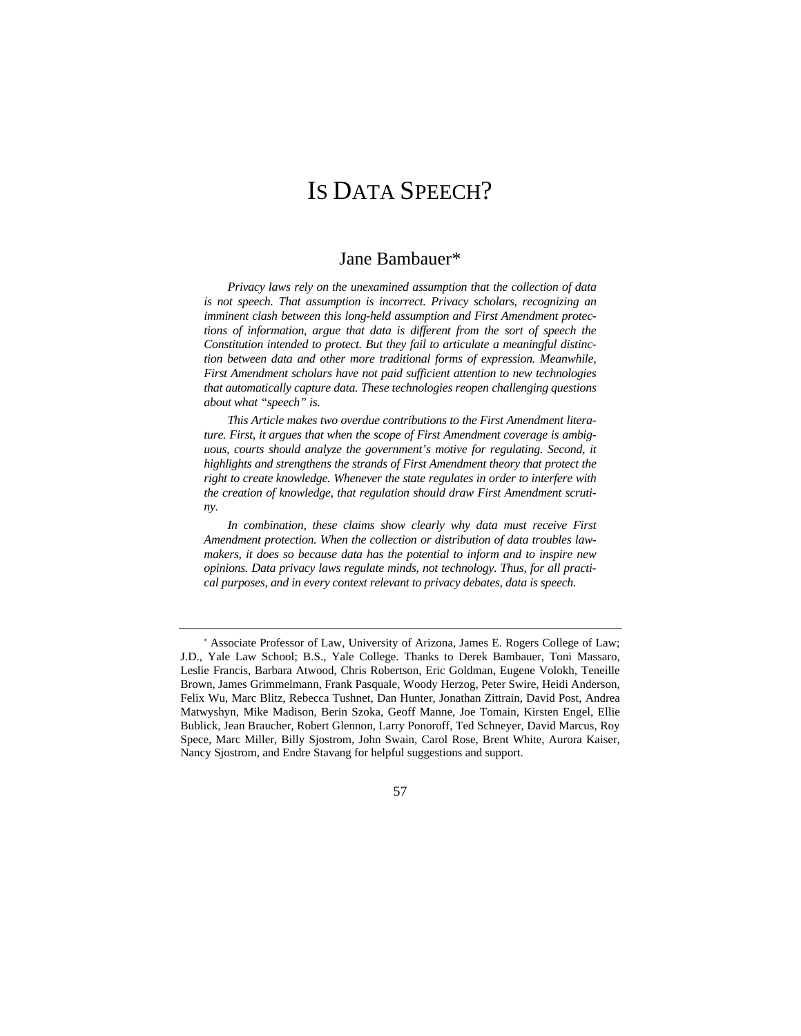# IS DATA SPEECH?

# Jane Bambauer\*

*Privacy laws rely on the unexamined assumption that the collection of data*  is not speech. That assumption is incorrect. Privacy scholars, recognizing an *imminent clash between this long-held assumption and First Amendment protections of information, argue that data is different from the sort of speech the Constitution intended to protect. But they fail to articulate a meaningful distinction between data and other more traditional forms of expression. Meanwhile, First Amendment scholars have not paid sufficient attention to new technologies that automatically capture data. These technologies reopen challenging questions about what "speech" is.* 

*This Article makes two overdue contributions to the First Amendment literature. First, it argues that when the scope of First Amendment coverage is ambiguous, courts should analyze the government's motive for regulating. Second, it highlights and strengthens the strands of First Amendment theory that protect the right to create knowledge. Whenever the state regulates in order to interfere with the creation of knowledge, that regulation should draw First Amendment scrutiny.* 

*In combination, these claims show clearly why data must receive First Amendment protection. When the collection or distribution of data troubles lawmakers, it does so because data has the potential to inform and to inspire new opinions. Data privacy laws regulate minds, not technology. Thus, for all practical purposes, and in every context relevant to privacy debates, data is speech.* 

57

<sup>\*</sup> Associate Professor of Law, University of Arizona, James E. Rogers College of Law; J.D., Yale Law School; B.S., Yale College. Thanks to Derek Bambauer, Toni Massaro, Leslie Francis, Barbara Atwood, Chris Robertson, Eric Goldman, Eugene Volokh, Teneille Brown, James Grimmelmann, Frank Pasquale, Woody Herzog, Peter Swire, Heidi Anderson, Felix Wu, Marc Blitz, Rebecca Tushnet, Dan Hunter, Jonathan Zittrain, David Post, Andrea Matwyshyn, Mike Madison, Berin Szoka, Geoff Manne, Joe Tomain, Kirsten Engel, Ellie Bublick, Jean Braucher, Robert Glennon, Larry Ponoroff, Ted Schneyer, David Marcus, Roy Spece, Marc Miller, Billy Sjostrom, John Swain, Carol Rose, Brent White, Aurora Kaiser, Nancy Sjostrom, and Endre Stavang for helpful suggestions and support.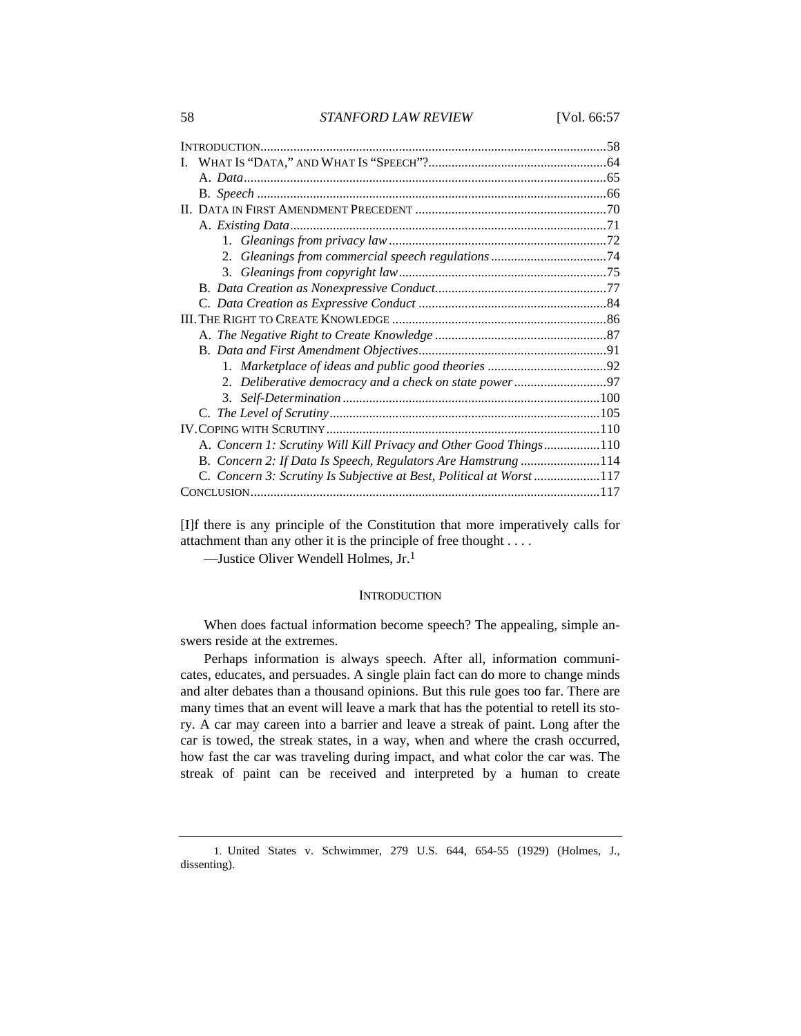[I]f there is any principle of the Constitution that more imperatively calls for attachment than any other it is the principle of free thought . . . .

—Justice Oliver Wendell Holmes, Jr.1

# **INTRODUCTION**

When does factual information become speech? The appealing, simple answers reside at the extremes.

Perhaps information is always speech. After all, information communicates, educates, and persuades. A single plain fact can do more to change minds and alter debates than a thousand opinions. But this rule goes too far. There are many times that an event will leave a mark that has the potential to retell its story. A car may careen into a barrier and leave a streak of paint. Long after the car is towed, the streak states, in a way, when and where the crash occurred, how fast the car was traveling during impact, and what color the car was. The streak of paint can be received and interpreted by a human to create

 <sup>1.</sup> United States v. Schwimmer, 279 U.S. 644, 654-55 (1929) (Holmes, J., dissenting).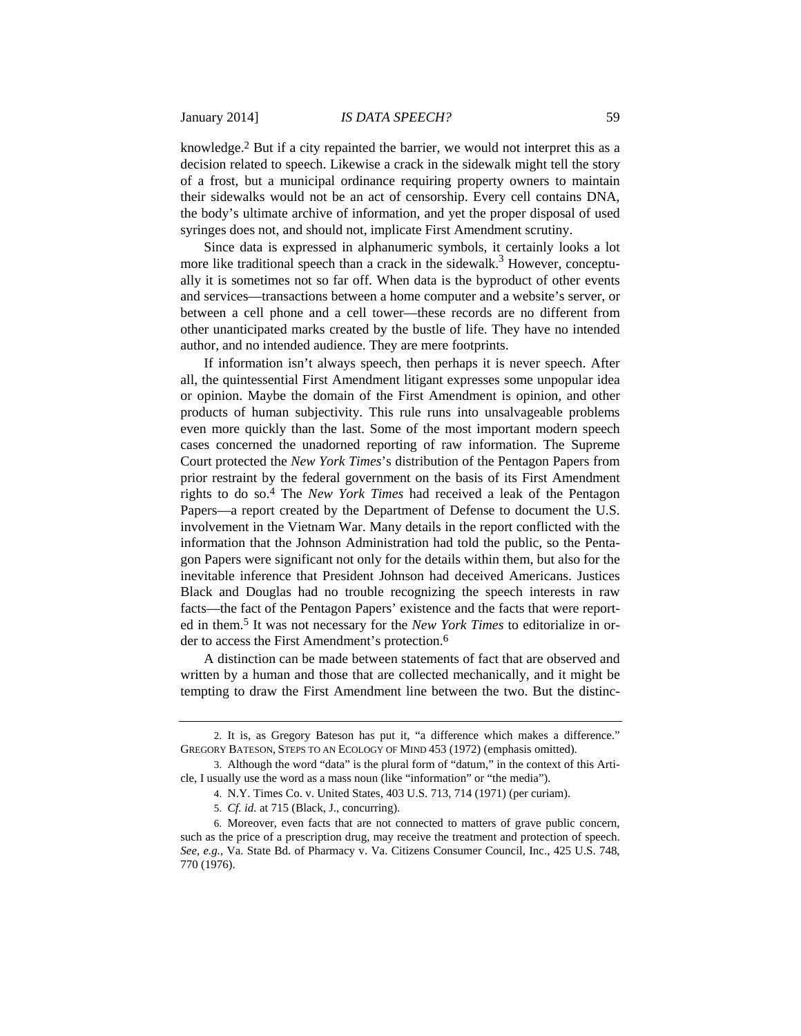knowledge.2 But if a city repainted the barrier, we would not interpret this as a decision related to speech. Likewise a crack in the sidewalk might tell the story of a frost, but a municipal ordinance requiring property owners to maintain their sidewalks would not be an act of censorship. Every cell contains DNA, the body's ultimate archive of information, and yet the proper disposal of used syringes does not, and should not, implicate First Amendment scrutiny.

Since data is expressed in alphanumeric symbols, it certainly looks a lot more like traditional speech than a crack in the sidewalk.<sup>3</sup> However, conceptually it is sometimes not so far off. When data is the byproduct of other events and services—transactions between a home computer and a website's server, or between a cell phone and a cell tower—these records are no different from other unanticipated marks created by the bustle of life. They have no intended author, and no intended audience. They are mere footprints.

If information isn't always speech, then perhaps it is never speech. After all, the quintessential First Amendment litigant expresses some unpopular idea or opinion. Maybe the domain of the First Amendment is opinion, and other products of human subjectivity. This rule runs into unsalvageable problems even more quickly than the last. Some of the most important modern speech cases concerned the unadorned reporting of raw information. The Supreme Court protected the *New York Times*'s distribution of the Pentagon Papers from prior restraint by the federal government on the basis of its First Amendment rights to do so.4 The *New York Times* had received a leak of the Pentagon Papers—a report created by the Department of Defense to document the U.S. involvement in the Vietnam War. Many details in the report conflicted with the information that the Johnson Administration had told the public, so the Pentagon Papers were significant not only for the details within them, but also for the inevitable inference that President Johnson had deceived Americans. Justices Black and Douglas had no trouble recognizing the speech interests in raw facts—the fact of the Pentagon Papers' existence and the facts that were reported in them.5 It was not necessary for the *New York Times* to editorialize in order to access the First Amendment's protection.6

A distinction can be made between statements of fact that are observed and written by a human and those that are collected mechanically, and it might be tempting to draw the First Amendment line between the two. But the distinc-

 <sup>2.</sup> It is, as Gregory Bateson has put it, "a difference which makes a difference." GREGORY BATESON, STEPS TO AN ECOLOGY OF MIND 453 (1972) (emphasis omitted).

 <sup>3.</sup> Although the word "data" is the plural form of "datum," in the context of this Article, I usually use the word as a mass noun (like "information" or "the media").

 <sup>4.</sup> N.Y. Times Co. v. United States, 403 U.S. 713, 714 (1971) (per curiam).

 <sup>5.</sup> *Cf. id.* at 715 (Black, J., concurring).

 <sup>6.</sup> Moreover, even facts that are not connected to matters of grave public concern, such as the price of a prescription drug, may receive the treatment and protection of speech. *See, e.g.*, Va. State Bd. of Pharmacy v. Va. Citizens Consumer Council, Inc., 425 U.S. 748, 770 (1976).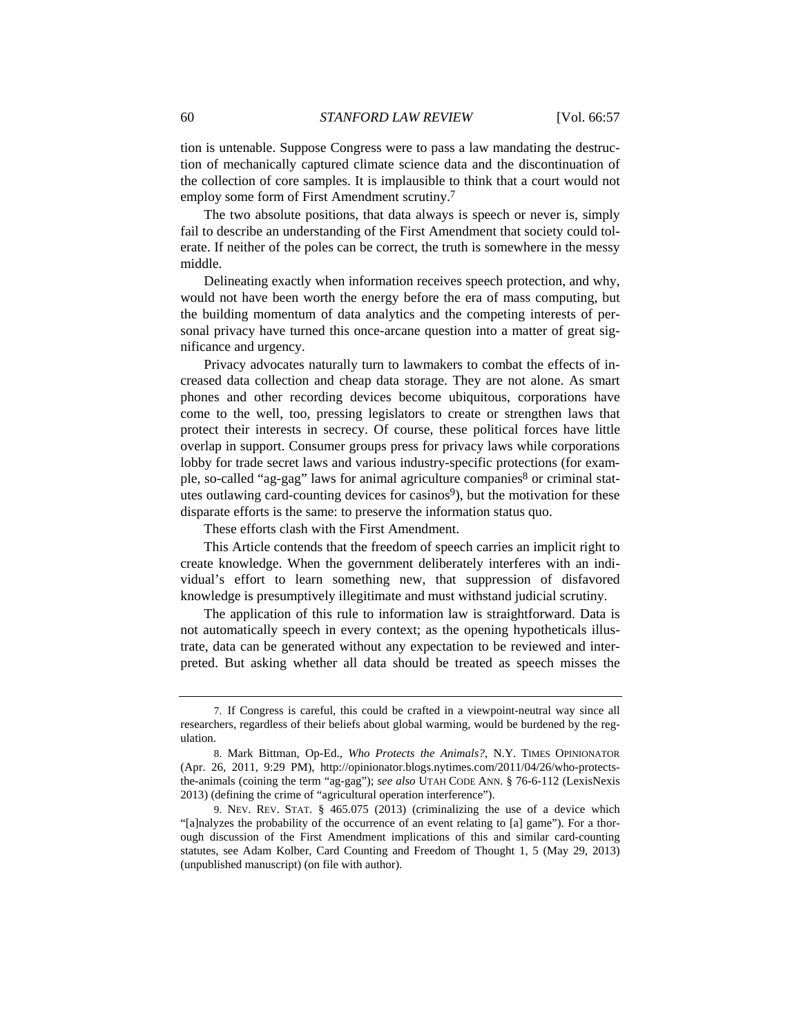tion is untenable. Suppose Congress were to pass a law mandating the destruction of mechanically captured climate science data and the discontinuation of the collection of core samples. It is implausible to think that a court would not employ some form of First Amendment scrutiny.7

The two absolute positions, that data always is speech or never is, simply fail to describe an understanding of the First Amendment that society could tolerate. If neither of the poles can be correct, the truth is somewhere in the messy middle.

Delineating exactly when information receives speech protection, and why, would not have been worth the energy before the era of mass computing, but the building momentum of data analytics and the competing interests of personal privacy have turned this once-arcane question into a matter of great significance and urgency.

Privacy advocates naturally turn to lawmakers to combat the effects of increased data collection and cheap data storage. They are not alone. As smart phones and other recording devices become ubiquitous, corporations have come to the well, too, pressing legislators to create or strengthen laws that protect their interests in secrecy. Of course, these political forces have little overlap in support. Consumer groups press for privacy laws while corporations lobby for trade secret laws and various industry-specific protections (for example, so-called "ag-gag" laws for animal agriculture companies<sup>8</sup> or criminal statutes outlawing card-counting devices for casinos<sup>9</sup>), but the motivation for these disparate efforts is the same: to preserve the information status quo.

These efforts clash with the First Amendment.

This Article contends that the freedom of speech carries an implicit right to create knowledge. When the government deliberately interferes with an individual's effort to learn something new, that suppression of disfavored knowledge is presumptively illegitimate and must withstand judicial scrutiny.

The application of this rule to information law is straightforward. Data is not automatically speech in every context; as the opening hypotheticals illustrate, data can be generated without any expectation to be reviewed and interpreted. But asking whether all data should be treated as speech misses the

 <sup>7.</sup> If Congress is careful, this could be crafted in a viewpoint-neutral way since all researchers, regardless of their beliefs about global warming, would be burdened by the regulation.

 <sup>8.</sup> Mark Bittman, Op-Ed., *Who Protects the Animals?*, N.Y. TIMES OPINIONATOR (Apr. 26, 2011, 9:29 PM), http://opinionator.blogs.nytimes.com/2011/04/26/who-protectsthe-animals (coining the term "ag-gag"); *see also* UTAH CODE ANN. § 76-6-112 (LexisNexis 2013) (defining the crime of "agricultural operation interference").

 <sup>9.</sup> NEV. REV. STAT. § 465.075 (2013) (criminalizing the use of a device which "[a]nalyzes the probability of the occurrence of an event relating to [a] game"). For a thorough discussion of the First Amendment implications of this and similar card-counting statutes, see Adam Kolber, Card Counting and Freedom of Thought 1, 5 (May 29, 2013) (unpublished manuscript) (on file with author).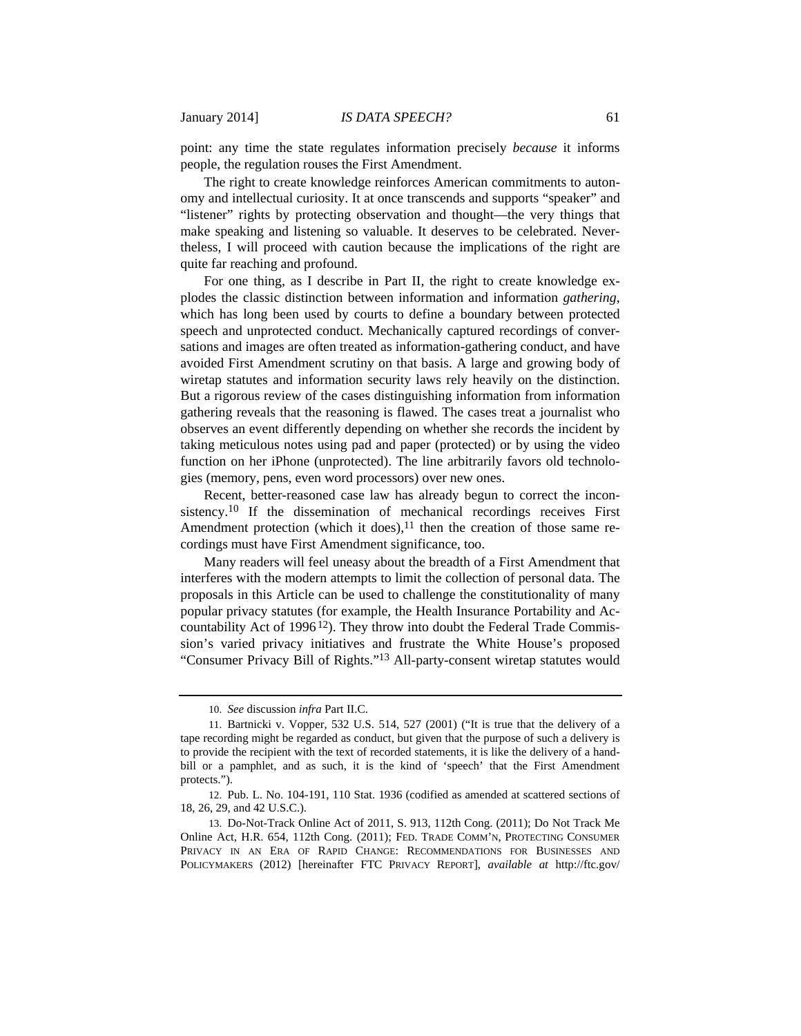point: any time the state regulates information precisely *because* it informs people, the regulation rouses the First Amendment.

The right to create knowledge reinforces American commitments to autonomy and intellectual curiosity. It at once transcends and supports "speaker" and "listener" rights by protecting observation and thought—the very things that make speaking and listening so valuable. It deserves to be celebrated. Nevertheless, I will proceed with caution because the implications of the right are quite far reaching and profound.

For one thing, as I describe in Part II, the right to create knowledge explodes the classic distinction between information and information *gathering*, which has long been used by courts to define a boundary between protected speech and unprotected conduct. Mechanically captured recordings of conversations and images are often treated as information-gathering conduct, and have avoided First Amendment scrutiny on that basis. A large and growing body of wiretap statutes and information security laws rely heavily on the distinction. But a rigorous review of the cases distinguishing information from information gathering reveals that the reasoning is flawed. The cases treat a journalist who observes an event differently depending on whether she records the incident by taking meticulous notes using pad and paper (protected) or by using the video function on her iPhone (unprotected). The line arbitrarily favors old technologies (memory, pens, even word processors) over new ones.

Recent, better-reasoned case law has already begun to correct the inconsistency.10 If the dissemination of mechanical recordings receives First Amendment protection (which it does), $^{11}$  then the creation of those same recordings must have First Amendment significance, too.

Many readers will feel uneasy about the breadth of a First Amendment that interferes with the modern attempts to limit the collection of personal data. The proposals in this Article can be used to challenge the constitutionality of many popular privacy statutes (for example, the Health Insurance Portability and Accountability Act of 1996<sup>12</sup>). They throw into doubt the Federal Trade Commission's varied privacy initiatives and frustrate the White House's proposed "Consumer Privacy Bill of Rights."13 All-party-consent wiretap statutes would

 <sup>10.</sup> *See* discussion *infra* Part II.C.

 <sup>11.</sup> Bartnicki v. Vopper, 532 U.S. 514, 527 (2001) ("It is true that the delivery of a tape recording might be regarded as conduct, but given that the purpose of such a delivery is to provide the recipient with the text of recorded statements, it is like the delivery of a handbill or a pamphlet, and as such, it is the kind of 'speech' that the First Amendment protects.").

 <sup>12.</sup> Pub. L. No. 104-191, 110 Stat. 1936 (codified as amended at scattered sections of 18, 26, 29, and 42 U.S.C.).

 <sup>13.</sup> Do-Not-Track Online Act of 2011, S. 913, 112th Cong. (2011); Do Not Track Me Online Act, H.R. 654, 112th Cong. (2011); FED. TRADE COMM'N, PROTECTING CONSUMER PRIVACY IN AN ERA OF RAPID CHANGE: RECOMMENDATIONS FOR BUSINESSES AND POLICYMAKERS (2012) [hereinafter FTC PRIVACY REPORT], *available at* http://ftc.gov/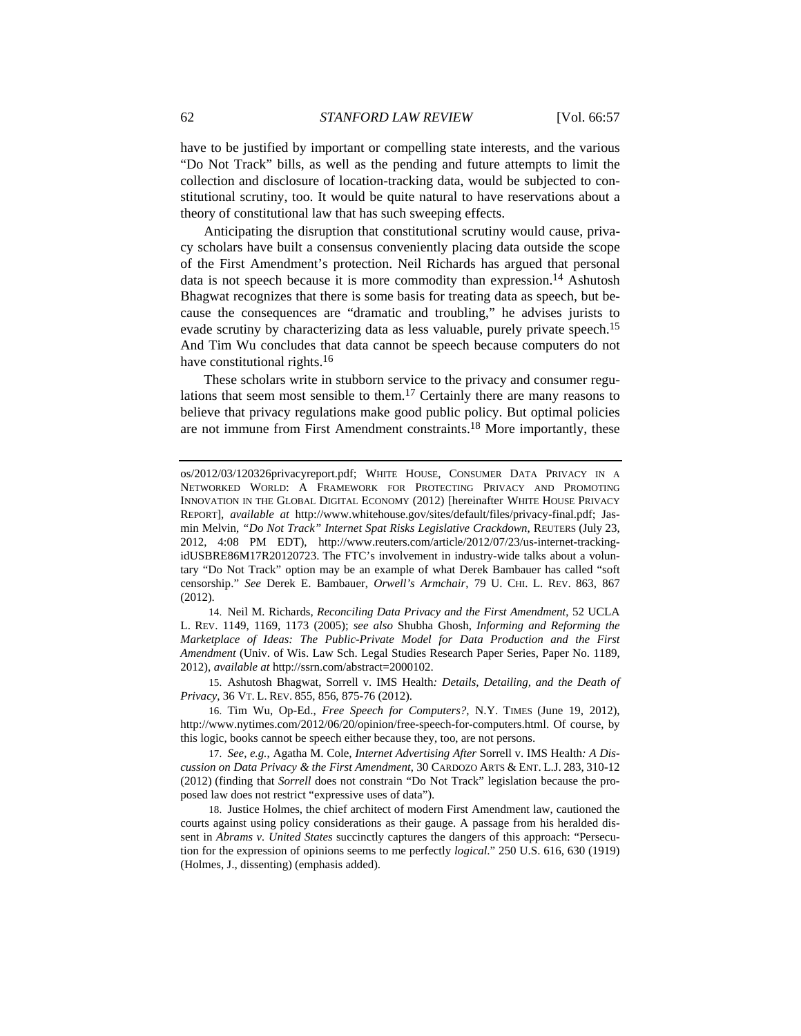have to be justified by important or compelling state interests, and the various "Do Not Track" bills, as well as the pending and future attempts to limit the collection and disclosure of location-tracking data, would be subjected to constitutional scrutiny, too. It would be quite natural to have reservations about a theory of constitutional law that has such sweeping effects.

Anticipating the disruption that constitutional scrutiny would cause, privacy scholars have built a consensus conveniently placing data outside the scope of the First Amendment's protection. Neil Richards has argued that personal data is not speech because it is more commodity than expression.14 Ashutosh Bhagwat recognizes that there is some basis for treating data as speech, but because the consequences are "dramatic and troubling," he advises jurists to evade scrutiny by characterizing data as less valuable, purely private speech.<sup>15</sup> And Tim Wu concludes that data cannot be speech because computers do not have constitutional rights.<sup>16</sup>

These scholars write in stubborn service to the privacy and consumer regulations that seem most sensible to them.17 Certainly there are many reasons to believe that privacy regulations make good public policy. But optimal policies are not immune from First Amendment constraints.18 More importantly, these

 14. Neil M. Richards, *Reconciling Data Privacy and the First Amendment*, 52 UCLA L. REV. 1149, 1169, 1173 (2005); *see also* Shubha Ghosh, *Informing and Reforming the Marketplace of Ideas: The Public-Private Model for Data Production and the First Amendment* (Univ. of Wis. Law Sch. Legal Studies Research Paper Series, Paper No. 1189, 2012), *available at* http://ssrn.com/abstract=2000102.

 15. Ashutosh Bhagwat, Sorrell v. IMS Health*: Details, Detailing, and the Death of Privacy*, 36 VT. L. REV. 855, 856, 875-76 (2012).

 16. Tim Wu, Op-Ed., *Free Speech for Computers?*, N.Y. TIMES (June 19, 2012), http://www.nytimes.com/2012/06/20/opinion/free-speech-for-computers.html. Of course, by this logic, books cannot be speech either because they, too, are not persons.

 17. *See, e.g.*, Agatha M. Cole, *Internet Advertising After* Sorrell v. IMS Health*: A Discussion on Data Privacy & the First Amendment*, 30 CARDOZO ARTS & ENT. L.J. 283, 310-12 (2012) (finding that *Sorrell* does not constrain "Do Not Track" legislation because the proposed law does not restrict "expressive uses of data").

 18. Justice Holmes, the chief architect of modern First Amendment law, cautioned the courts against using policy considerations as their gauge. A passage from his heralded dissent in *Abrams v. United States* succinctly captures the dangers of this approach: "Persecution for the expression of opinions seems to me perfectly *logical*." 250 U.S. 616, 630 (1919) (Holmes, J., dissenting) (emphasis added).

os/2012/03/120326privacyreport.pdf; WHITE HOUSE, CONSUMER DATA PRIVACY IN A NETWORKED WORLD: A FRAMEWORK FOR PROTECTING PRIVACY AND PROMOTING INNOVATION IN THE GLOBAL DIGITAL ECONOMY (2012) [hereinafter WHITE HOUSE PRIVACY REPORT], *available at* http://www.whitehouse.gov/sites/default/files/privacy-final.pdf; Jasmin Melvin, *"Do Not Track" Internet Spat Risks Legislative Crackdown*, REUTERS (July 23, 2012, 4:08 PM EDT), http://www.reuters.com/article/2012/07/23/us-internet-trackingidUSBRE86M17R20120723. The FTC's involvement in industry-wide talks about a voluntary "Do Not Track" option may be an example of what Derek Bambauer has called "soft censorship." *See* Derek E. Bambauer, *Orwell's Armchair*, 79 U. CHI. L. REV. 863, 867 (2012).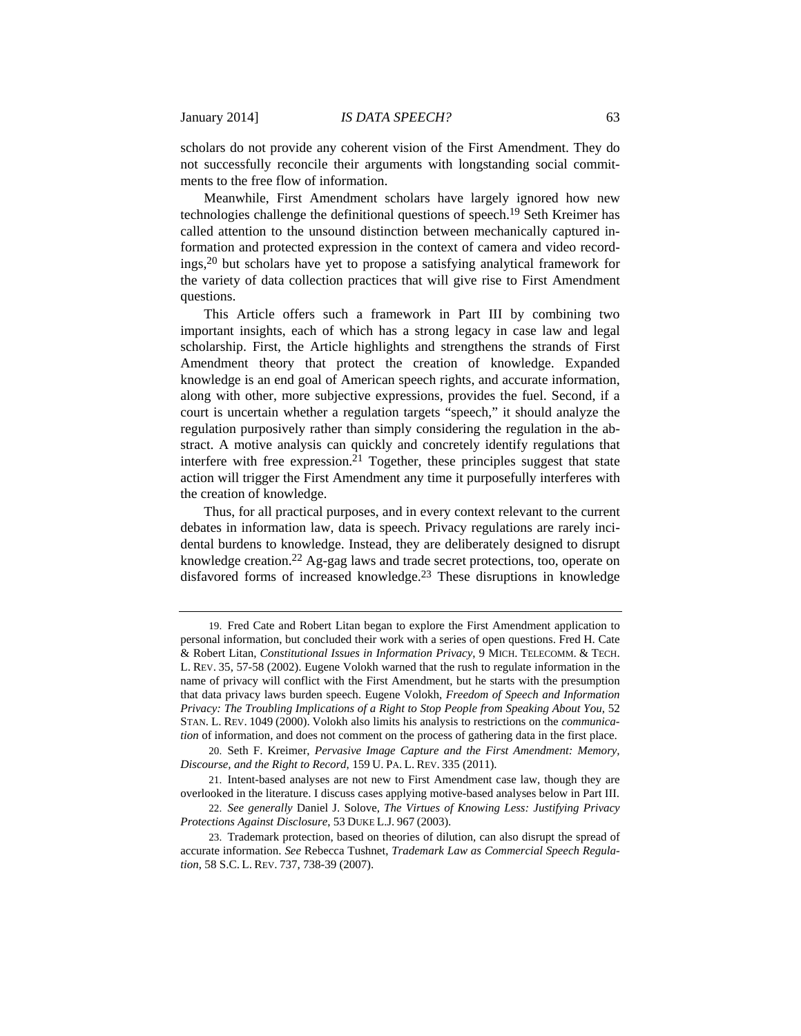scholars do not provide any coherent vision of the First Amendment. They do not successfully reconcile their arguments with longstanding social commitments to the free flow of information.

Meanwhile, First Amendment scholars have largely ignored how new technologies challenge the definitional questions of speech.19 Seth Kreimer has called attention to the unsound distinction between mechanically captured information and protected expression in the context of camera and video recordings,20 but scholars have yet to propose a satisfying analytical framework for the variety of data collection practices that will give rise to First Amendment questions.

This Article offers such a framework in Part III by combining two important insights, each of which has a strong legacy in case law and legal scholarship. First, the Article highlights and strengthens the strands of First Amendment theory that protect the creation of knowledge. Expanded knowledge is an end goal of American speech rights, and accurate information, along with other, more subjective expressions, provides the fuel. Second, if a court is uncertain whether a regulation targets "speech," it should analyze the regulation purposively rather than simply considering the regulation in the abstract. A motive analysis can quickly and concretely identify regulations that interfere with free expression.<sup>21</sup> Together, these principles suggest that state action will trigger the First Amendment any time it purposefully interferes with the creation of knowledge.

Thus, for all practical purposes, and in every context relevant to the current debates in information law, data is speech. Privacy regulations are rarely incidental burdens to knowledge. Instead, they are deliberately designed to disrupt knowledge creation.22 Ag-gag laws and trade secret protections, too, operate on disfavored forms of increased knowledge.<sup>23</sup> These disruptions in knowledge

 <sup>19.</sup> Fred Cate and Robert Litan began to explore the First Amendment application to personal information, but concluded their work with a series of open questions. Fred H. Cate & Robert Litan, *Constitutional Issues in Information Privacy*, 9 MICH. TELECOMM. & TECH. L. REV. 35, 57-58 (2002). Eugene Volokh warned that the rush to regulate information in the name of privacy will conflict with the First Amendment, but he starts with the presumption that data privacy laws burden speech. Eugene Volokh, *Freedom of Speech and Information Privacy: The Troubling Implications of a Right to Stop People from Speaking About You*, 52 STAN. L. REV. 1049 (2000). Volokh also limits his analysis to restrictions on the *communication* of information, and does not comment on the process of gathering data in the first place.

 <sup>20.</sup> Seth F. Kreimer, *Pervasive Image Capture and the First Amendment: Memory, Discourse, and the Right to Record*, 159 U. PA. L. REV. 335 (2011).

 <sup>21.</sup> Intent-based analyses are not new to First Amendment case law, though they are overlooked in the literature. I discuss cases applying motive-based analyses below in Part III.

 <sup>22.</sup> *See generally* Daniel J. Solove, *The Virtues of Knowing Less: Justifying Privacy Protections Against Disclosure*, 53 DUKE L.J. 967 (2003).

 <sup>23.</sup> Trademark protection, based on theories of dilution, can also disrupt the spread of accurate information. *See* Rebecca Tushnet, *Trademark Law as Commercial Speech Regulation*, 58 S.C. L. REV. 737, 738-39 (2007).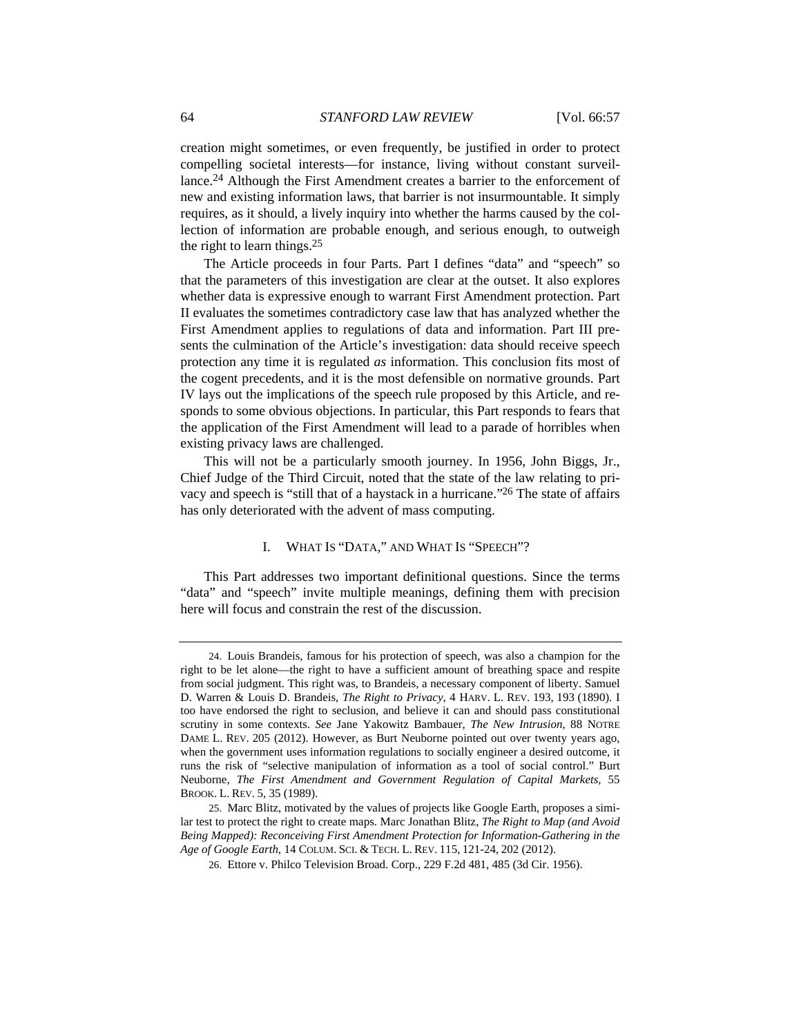creation might sometimes, or even frequently, be justified in order to protect compelling societal interests—for instance, living without constant surveillance.24 Although the First Amendment creates a barrier to the enforcement of new and existing information laws, that barrier is not insurmountable. It simply requires, as it should, a lively inquiry into whether the harms caused by the collection of information are probable enough, and serious enough, to outweigh the right to learn things.25

The Article proceeds in four Parts. Part I defines "data" and "speech" so that the parameters of this investigation are clear at the outset. It also explores whether data is expressive enough to warrant First Amendment protection. Part II evaluates the sometimes contradictory case law that has analyzed whether the First Amendment applies to regulations of data and information. Part III presents the culmination of the Article's investigation: data should receive speech protection any time it is regulated *as* information. This conclusion fits most of the cogent precedents, and it is the most defensible on normative grounds. Part IV lays out the implications of the speech rule proposed by this Article, and responds to some obvious objections. In particular, this Part responds to fears that the application of the First Amendment will lead to a parade of horribles when existing privacy laws are challenged.

This will not be a particularly smooth journey. In 1956, John Biggs, Jr., Chief Judge of the Third Circuit, noted that the state of the law relating to privacy and speech is "still that of a haystack in a hurricane."26 The state of affairs has only deteriorated with the advent of mass computing.

#### I. WHAT IS "DATA," AND WHAT IS "SPEECH"?

This Part addresses two important definitional questions. Since the terms "data" and "speech" invite multiple meanings, defining them with precision here will focus and constrain the rest of the discussion.

 <sup>24.</sup> Louis Brandeis, famous for his protection of speech, was also a champion for the right to be let alone—the right to have a sufficient amount of breathing space and respite from social judgment. This right was, to Brandeis, a necessary component of liberty. Samuel D. Warren & Louis D. Brandeis, *The Right to Privacy*, 4 HARV. L. REV. 193, 193 (1890). I too have endorsed the right to seclusion, and believe it can and should pass constitutional scrutiny in some contexts. *See* Jane Yakowitz Bambauer, *The New Intrusion*, 88 NOTRE DAME L. REV. 205 (2012). However, as Burt Neuborne pointed out over twenty years ago, when the government uses information regulations to socially engineer a desired outcome, it runs the risk of "selective manipulation of information as a tool of social control." Burt Neuborne, *The First Amendment and Government Regulation of Capital Markets*, 55 BROOK. L. REV. 5, 35 (1989).

 <sup>25.</sup> Marc Blitz, motivated by the values of projects like Google Earth, proposes a similar test to protect the right to create maps. Marc Jonathan Blitz, *The Right to Map (and Avoid Being Mapped): Reconceiving First Amendment Protection for Information-Gathering in the Age of Google Earth*, 14 COLUM. SCI. & TECH. L. REV. 115, 121-24, 202 (2012).

 <sup>26.</sup> Ettore v. Philco Television Broad. Corp., 229 F.2d 481, 485 (3d Cir. 1956).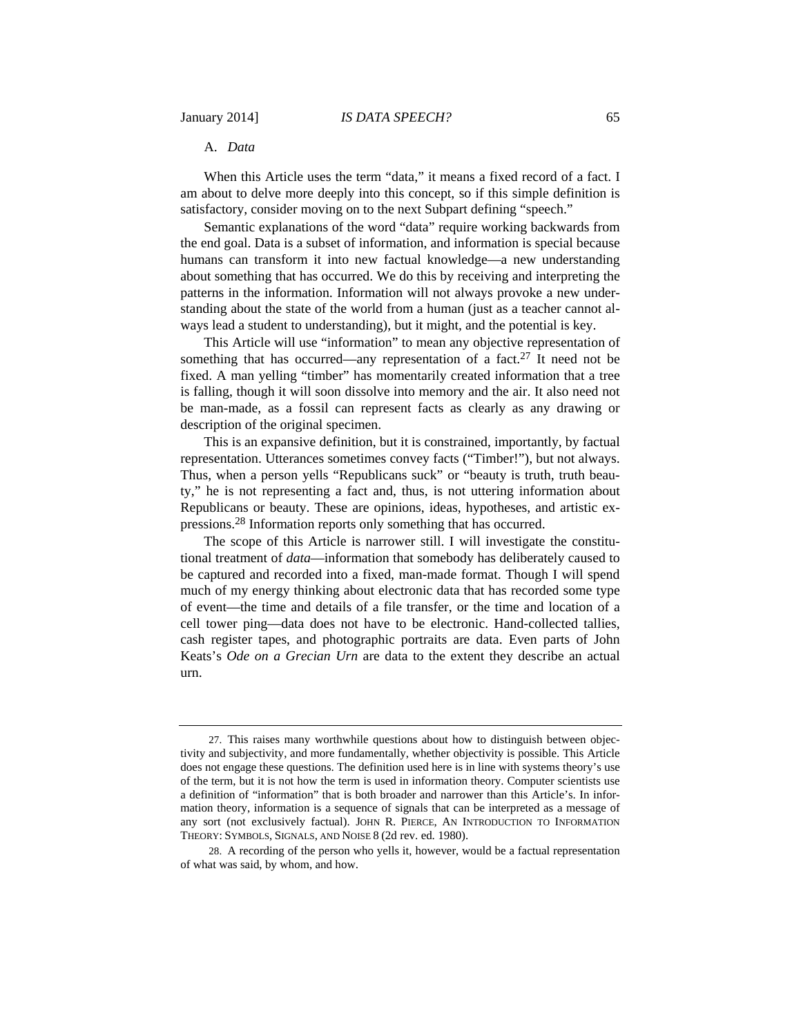# A. *Data*

When this Article uses the term "data," it means a fixed record of a fact. I am about to delve more deeply into this concept, so if this simple definition is satisfactory, consider moving on to the next Subpart defining "speech."

Semantic explanations of the word "data" require working backwards from the end goal. Data is a subset of information, and information is special because humans can transform it into new factual knowledge—a new understanding about something that has occurred. We do this by receiving and interpreting the patterns in the information. Information will not always provoke a new understanding about the state of the world from a human (just as a teacher cannot always lead a student to understanding), but it might, and the potential is key.

This Article will use "information" to mean any objective representation of something that has occurred—any representation of a fact.<sup>27</sup> It need not be fixed. A man yelling "timber" has momentarily created information that a tree is falling, though it will soon dissolve into memory and the air. It also need not be man-made, as a fossil can represent facts as clearly as any drawing or description of the original specimen.

This is an expansive definition, but it is constrained, importantly, by factual representation. Utterances sometimes convey facts ("Timber!"), but not always. Thus, when a person yells "Republicans suck" or "beauty is truth, truth beauty," he is not representing a fact and, thus, is not uttering information about Republicans or beauty. These are opinions, ideas, hypotheses, and artistic expressions.28 Information reports only something that has occurred.

The scope of this Article is narrower still. I will investigate the constitutional treatment of *data*—information that somebody has deliberately caused to be captured and recorded into a fixed, man-made format. Though I will spend much of my energy thinking about electronic data that has recorded some type of event—the time and details of a file transfer, or the time and location of a cell tower ping—data does not have to be electronic. Hand-collected tallies, cash register tapes, and photographic portraits are data. Even parts of John Keats's *Ode on a Grecian Urn* are data to the extent they describe an actual urn.

 <sup>27.</sup> This raises many worthwhile questions about how to distinguish between objectivity and subjectivity, and more fundamentally, whether objectivity is possible. This Article does not engage these questions. The definition used here is in line with systems theory's use of the term, but it is not how the term is used in information theory. Computer scientists use a definition of "information" that is both broader and narrower than this Article's. In information theory, information is a sequence of signals that can be interpreted as a message of any sort (not exclusively factual). JOHN R. PIERCE, AN INTRODUCTION TO INFORMATION THEORY: SYMBOLS, SIGNALS, AND NOISE 8 (2d rev. ed. 1980).

 <sup>28.</sup> A recording of the person who yells it, however, would be a factual representation of what was said, by whom, and how.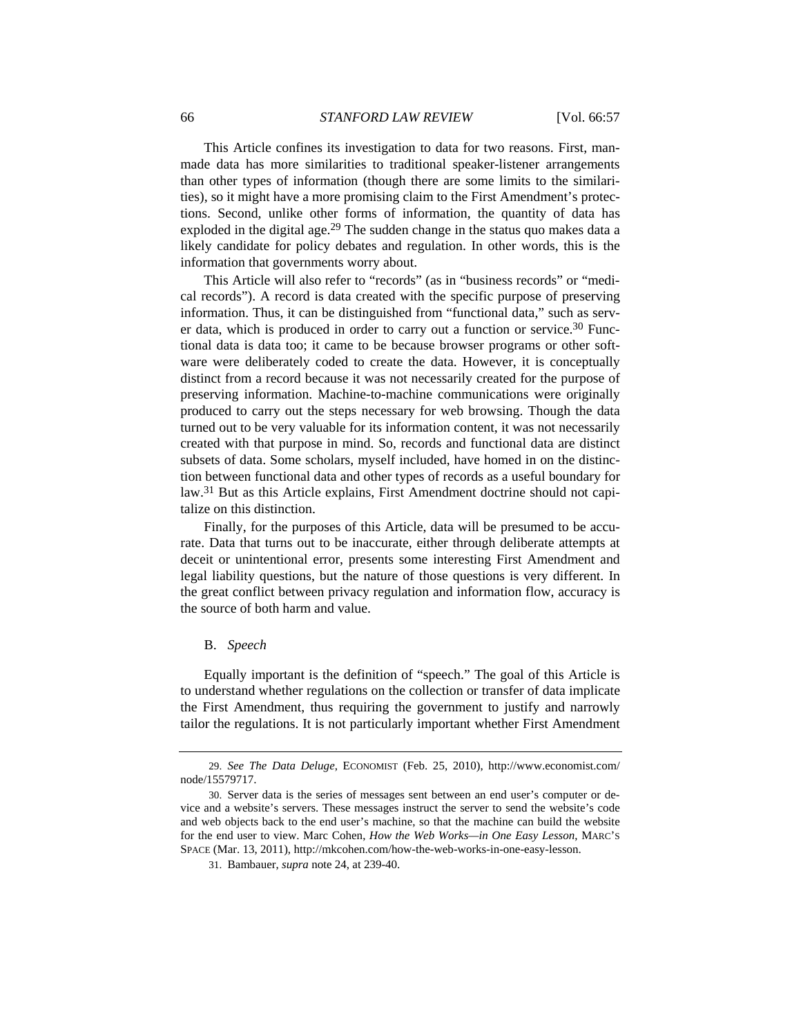This Article confines its investigation to data for two reasons. First, manmade data has more similarities to traditional speaker-listener arrangements than other types of information (though there are some limits to the similarities), so it might have a more promising claim to the First Amendment's protections. Second, unlike other forms of information, the quantity of data has exploded in the digital age.<sup>29</sup> The sudden change in the status quo makes data a likely candidate for policy debates and regulation. In other words, this is the information that governments worry about.

This Article will also refer to "records" (as in "business records" or "medical records"). A record is data created with the specific purpose of preserving information. Thus, it can be distinguished from "functional data," such as server data, which is produced in order to carry out a function or service.<sup>30</sup> Functional data is data too; it came to be because browser programs or other software were deliberately coded to create the data. However, it is conceptually distinct from a record because it was not necessarily created for the purpose of preserving information. Machine-to-machine communications were originally produced to carry out the steps necessary for web browsing. Though the data turned out to be very valuable for its information content, it was not necessarily created with that purpose in mind. So, records and functional data are distinct subsets of data. Some scholars, myself included, have homed in on the distinction between functional data and other types of records as a useful boundary for law.31 But as this Article explains, First Amendment doctrine should not capitalize on this distinction.

Finally, for the purposes of this Article, data will be presumed to be accurate. Data that turns out to be inaccurate, either through deliberate attempts at deceit or unintentional error, presents some interesting First Amendment and legal liability questions, but the nature of those questions is very different. In the great conflict between privacy regulation and information flow, accuracy is the source of both harm and value.

#### B. *Speech*

Equally important is the definition of "speech." The goal of this Article is to understand whether regulations on the collection or transfer of data implicate the First Amendment, thus requiring the government to justify and narrowly tailor the regulations. It is not particularly important whether First Amendment

 <sup>29.</sup> *See The Data Deluge*, ECONOMIST (Feb. 25, 2010), http://www.economist.com/ node/15579717.

 <sup>30.</sup> Server data is the series of messages sent between an end user's computer or device and a website's servers. These messages instruct the server to send the website's code and web objects back to the end user's machine, so that the machine can build the website for the end user to view. Marc Cohen, *How the Web Works—in One Easy Lesson*, MARC'S SPACE (Mar. 13, 2011), http://mkcohen.com/how-the-web-works-in-one-easy-lesson.

 <sup>31.</sup> Bambauer, *supra* note 24, at 239-40.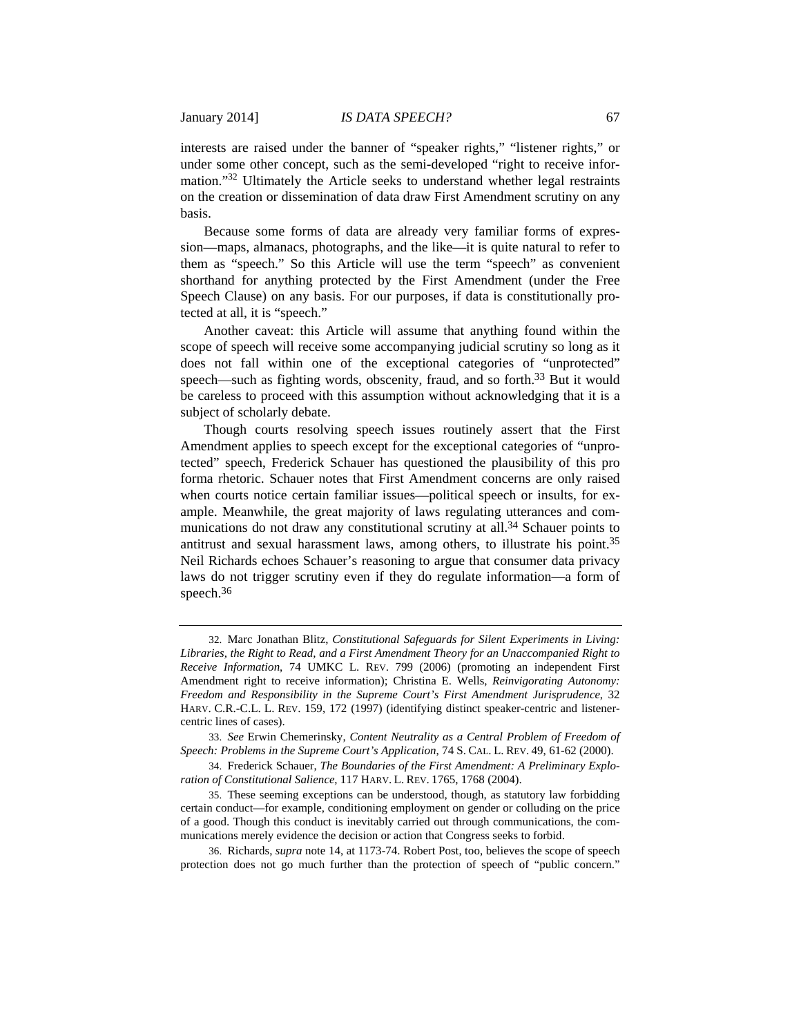interests are raised under the banner of "speaker rights," "listener rights," or under some other concept, such as the semi-developed "right to receive information."32 Ultimately the Article seeks to understand whether legal restraints on the creation or dissemination of data draw First Amendment scrutiny on any basis.

Because some forms of data are already very familiar forms of expression—maps, almanacs, photographs, and the like—it is quite natural to refer to them as "speech." So this Article will use the term "speech" as convenient shorthand for anything protected by the First Amendment (under the Free Speech Clause) on any basis. For our purposes, if data is constitutionally protected at all, it is "speech."

Another caveat: this Article will assume that anything found within the scope of speech will receive some accompanying judicial scrutiny so long as it does not fall within one of the exceptional categories of "unprotected" speech—such as fighting words, obscenity, fraud, and so forth.<sup>33</sup> But it would be careless to proceed with this assumption without acknowledging that it is a subject of scholarly debate.

Though courts resolving speech issues routinely assert that the First Amendment applies to speech except for the exceptional categories of "unprotected" speech, Frederick Schauer has questioned the plausibility of this pro forma rhetoric. Schauer notes that First Amendment concerns are only raised when courts notice certain familiar issues—political speech or insults, for example. Meanwhile, the great majority of laws regulating utterances and communications do not draw any constitutional scrutiny at all.<sup>34</sup> Schauer points to antitrust and sexual harassment laws, among others, to illustrate his point.35 Neil Richards echoes Schauer's reasoning to argue that consumer data privacy laws do not trigger scrutiny even if they do regulate information—a form of speech.<sup>36</sup>

 34. Frederick Schauer, *The Boundaries of the First Amendment: A Preliminary Exploration of Constitutional Salience*, 117 HARV. L. REV. 1765, 1768 (2004).

<sup>32.</sup> Marc Jonathan Blitz, *Constitutional Safeguards for Silent Experiments in Living: Libraries, the Right to Read, and a First Amendment Theory for an Unaccompanied Right to Receive Information*, 74 UMKC L. REV. 799 (2006) (promoting an independent First Amendment right to receive information); Christina E. Wells, *Reinvigorating Autonomy: Freedom and Responsibility in the Supreme Court's First Amendment Jurisprudence*, 32 HARV. C.R.-C.L. L. REV. 159, 172 (1997) (identifying distinct speaker-centric and listenercentric lines of cases).

 <sup>33.</sup> *See* Erwin Chemerinsky, *Content Neutrality as a Central Problem of Freedom of Speech: Problems in the Supreme Court's Application*, 74 S. CAL. L. REV. 49, 61-62 (2000).

 <sup>35.</sup> These seeming exceptions can be understood, though, as statutory law forbidding certain conduct—for example, conditioning employment on gender or colluding on the price of a good. Though this conduct is inevitably carried out through communications, the communications merely evidence the decision or action that Congress seeks to forbid.

 <sup>36.</sup> Richards, *supra* note 14, at 1173-74. Robert Post, too, believes the scope of speech protection does not go much further than the protection of speech of "public concern."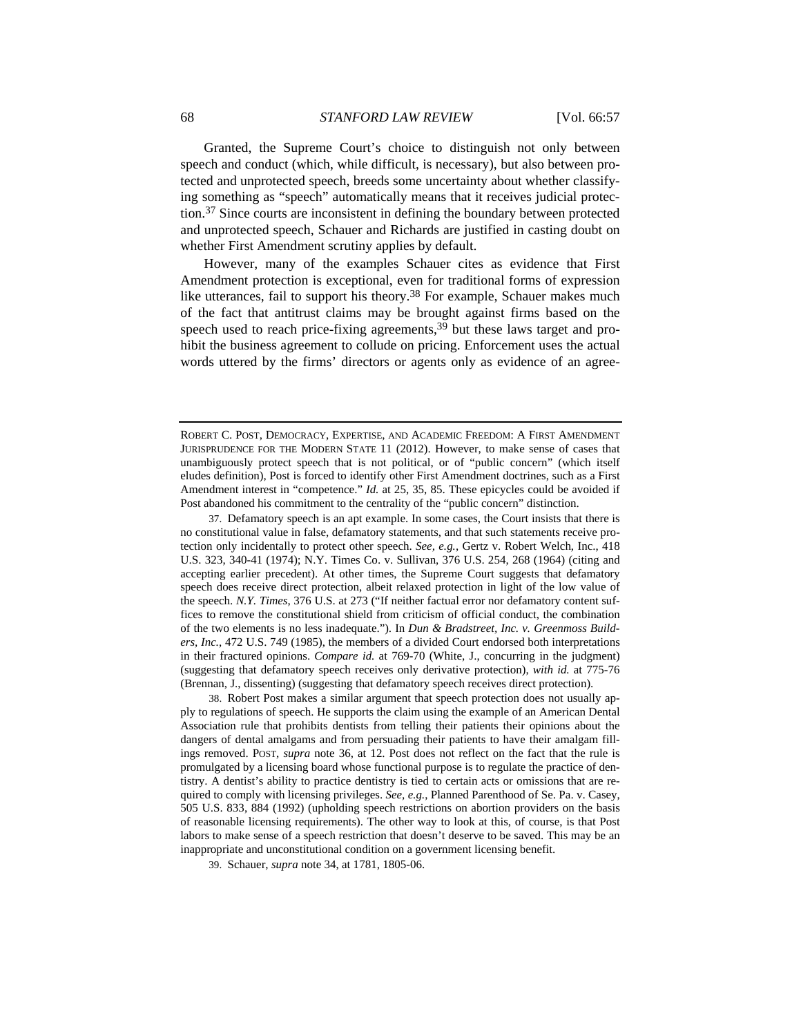Granted, the Supreme Court's choice to distinguish not only between speech and conduct (which, while difficult, is necessary), but also between protected and unprotected speech, breeds some uncertainty about whether classifying something as "speech" automatically means that it receives judicial protection.37 Since courts are inconsistent in defining the boundary between protected and unprotected speech, Schauer and Richards are justified in casting doubt on whether First Amendment scrutiny applies by default.

However, many of the examples Schauer cites as evidence that First Amendment protection is exceptional, even for traditional forms of expression like utterances, fail to support his theory.<sup>38</sup> For example, Schauer makes much of the fact that antitrust claims may be brought against firms based on the speech used to reach price-fixing agreements,<sup>39</sup> but these laws target and prohibit the business agreement to collude on pricing. Enforcement uses the actual words uttered by the firms' directors or agents only as evidence of an agree-

 37. Defamatory speech is an apt example. In some cases, the Court insists that there is no constitutional value in false, defamatory statements, and that such statements receive protection only incidentally to protect other speech. *See, e.g.*, Gertz v. Robert Welch, Inc., 418 U.S. 323, 340-41 (1974); N.Y. Times Co. v. Sullivan, 376 U.S. 254, 268 (1964) (citing and accepting earlier precedent). At other times, the Supreme Court suggests that defamatory speech does receive direct protection, albeit relaxed protection in light of the low value of the speech. *N.Y. Times*, 376 U.S. at 273 ("If neither factual error nor defamatory content suffices to remove the constitutional shield from criticism of official conduct, the combination of the two elements is no less inadequate."). In *Dun & Bradstreet, Inc. v. Greenmoss Builders, Inc.*, 472 U.S. 749 (1985), the members of a divided Court endorsed both interpretations in their fractured opinions. *Compare id.* at 769-70 (White, J., concurring in the judgment) (suggesting that defamatory speech receives only derivative protection), *with id.* at 775-76 (Brennan, J., dissenting) (suggesting that defamatory speech receives direct protection).

 38. Robert Post makes a similar argument that speech protection does not usually apply to regulations of speech. He supports the claim using the example of an American Dental Association rule that prohibits dentists from telling their patients their opinions about the dangers of dental amalgams and from persuading their patients to have their amalgam fillings removed. POST, *supra* note 36, at 12. Post does not reflect on the fact that the rule is promulgated by a licensing board whose functional purpose is to regulate the practice of dentistry. A dentist's ability to practice dentistry is tied to certain acts or omissions that are required to comply with licensing privileges. *See, e.g.*, Planned Parenthood of Se. Pa. v. Casey, 505 U.S. 833, 884 (1992) (upholding speech restrictions on abortion providers on the basis of reasonable licensing requirements). The other way to look at this, of course, is that Post labors to make sense of a speech restriction that doesn't deserve to be saved. This may be an inappropriate and unconstitutional condition on a government licensing benefit.

39. Schauer, *supra* note 34, at 1781, 1805-06.

ROBERT C. POST, DEMOCRACY, EXPERTISE, AND ACADEMIC FREEDOM: A FIRST AMENDMENT JURISPRUDENCE FOR THE MODERN STATE 11 (2012). However, to make sense of cases that unambiguously protect speech that is not political, or of "public concern" (which itself eludes definition), Post is forced to identify other First Amendment doctrines, such as a First Amendment interest in "competence." *Id.* at 25, 35, 85. These epicycles could be avoided if Post abandoned his commitment to the centrality of the "public concern" distinction.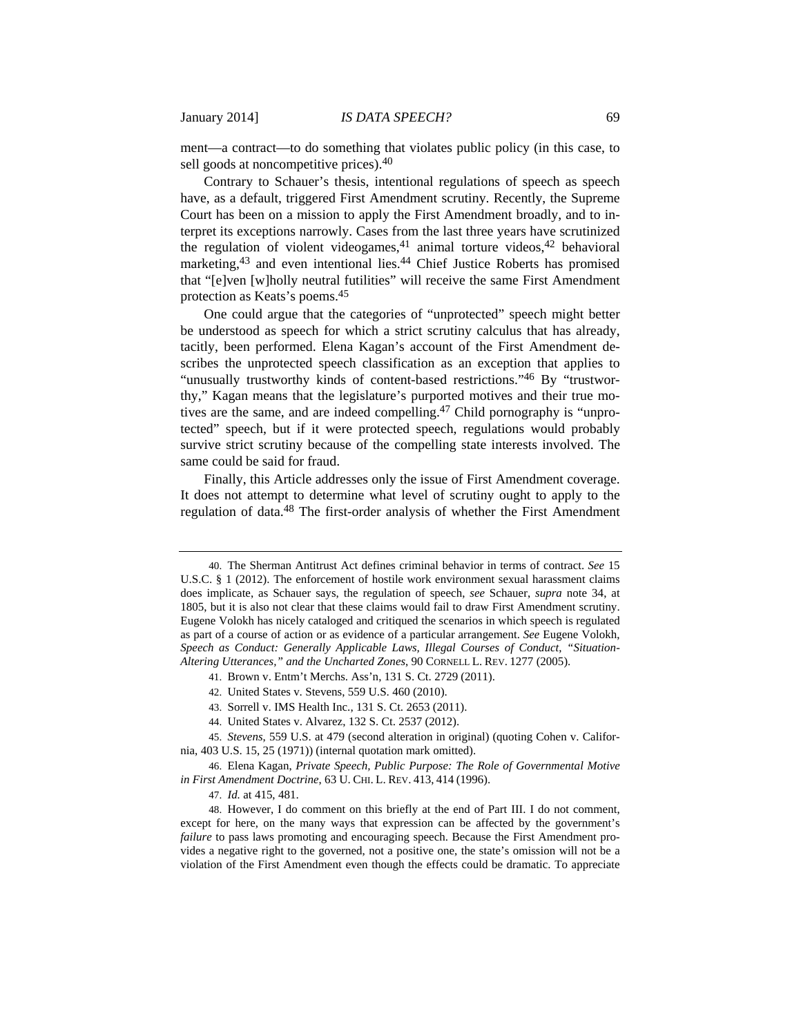ment—a contract—to do something that violates public policy (in this case, to sell goods at noncompetitive prices).40

Contrary to Schauer's thesis, intentional regulations of speech as speech have, as a default, triggered First Amendment scrutiny. Recently, the Supreme Court has been on a mission to apply the First Amendment broadly, and to interpret its exceptions narrowly. Cases from the last three years have scrutinized the regulation of violent videogames,  $41$  animal torture videos,  $42$  behavioral marketing,<sup>43</sup> and even intentional lies.<sup>44</sup> Chief Justice Roberts has promised that "[e]ven [w]holly neutral futilities" will receive the same First Amendment protection as Keats's poems.45

One could argue that the categories of "unprotected" speech might better be understood as speech for which a strict scrutiny calculus that has already, tacitly, been performed. Elena Kagan's account of the First Amendment describes the unprotected speech classification as an exception that applies to "unusually trustworthy kinds of content-based restrictions."46 By "trustworthy," Kagan means that the legislature's purported motives and their true motives are the same, and are indeed compelling.<sup>47</sup> Child pornography is "unprotected" speech, but if it were protected speech, regulations would probably survive strict scrutiny because of the compelling state interests involved. The same could be said for fraud.

Finally, this Article addresses only the issue of First Amendment coverage. It does not attempt to determine what level of scrutiny ought to apply to the regulation of data.48 The first-order analysis of whether the First Amendment

43. Sorrell v. IMS Health Inc., 131 S. Ct. 2653 (2011).

 <sup>40.</sup> The Sherman Antitrust Act defines criminal behavior in terms of contract. *See* 15 U.S.C. § 1 (2012). The enforcement of hostile work environment sexual harassment claims does implicate, as Schauer says, the regulation of speech, *see* Schauer, *supra* note 34, at 1805, but it is also not clear that these claims would fail to draw First Amendment scrutiny. Eugene Volokh has nicely cataloged and critiqued the scenarios in which speech is regulated as part of a course of action or as evidence of a particular arrangement. *See* Eugene Volokh, *Speech as Conduct: Generally Applicable Laws, Illegal Courses of Conduct, "Situation-Altering Utterances," and the Uncharted Zones*, 90 CORNELL L. REV. 1277 (2005).

 <sup>41.</sup> Brown v. Entm't Merchs. Ass'n, 131 S. Ct. 2729 (2011).

 <sup>42.</sup> United States v. Stevens, 559 U.S. 460 (2010).

 <sup>44.</sup> United States v. Alvarez, 132 S. Ct. 2537 (2012).

 <sup>45.</sup> *Stevens*, 559 U.S. at 479 (second alteration in original) (quoting Cohen v. California, 403 U.S. 15, 25 (1971)) (internal quotation mark omitted).

 <sup>46.</sup> Elena Kagan, *Private Speech, Public Purpose: The Role of Governmental Motive in First Amendment Doctrine*, 63 U. CHI. L. REV. 413, 414 (1996).

 <sup>47.</sup> *Id.* at 415, 481.

 <sup>48.</sup> However, I do comment on this briefly at the end of Part III. I do not comment, except for here, on the many ways that expression can be affected by the government's *failure* to pass laws promoting and encouraging speech. Because the First Amendment provides a negative right to the governed, not a positive one, the state's omission will not be a violation of the First Amendment even though the effects could be dramatic. To appreciate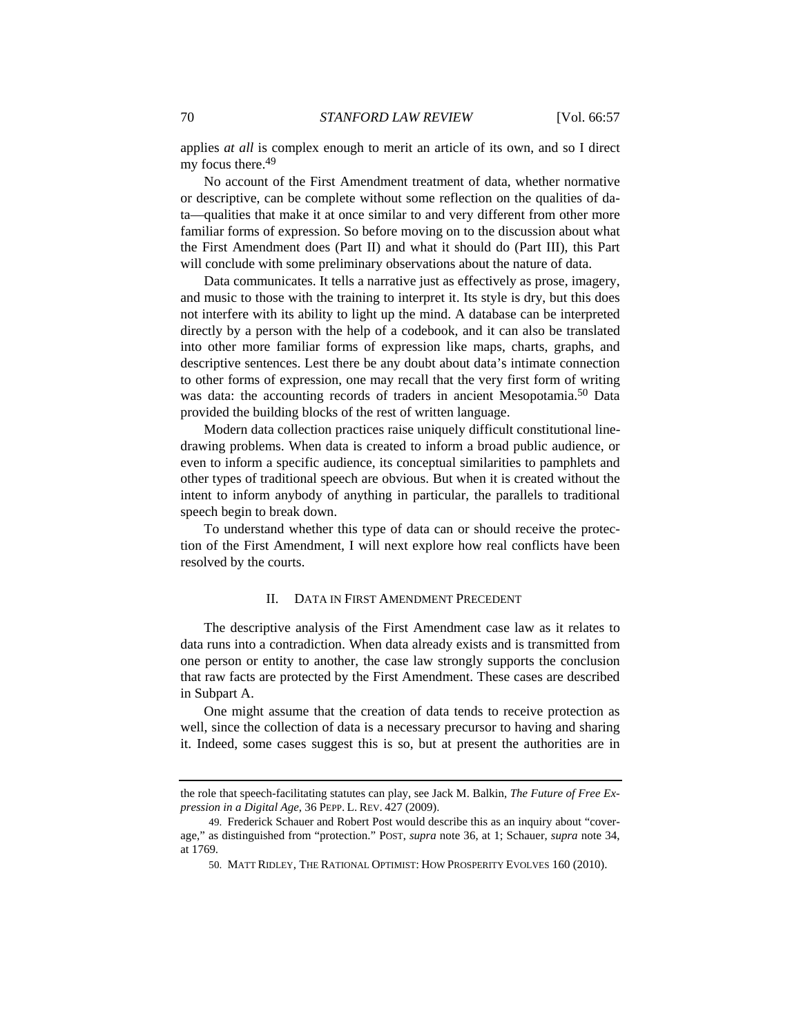applies *at all* is complex enough to merit an article of its own, and so I direct my focus there.49

No account of the First Amendment treatment of data, whether normative or descriptive, can be complete without some reflection on the qualities of data—qualities that make it at once similar to and very different from other more familiar forms of expression. So before moving on to the discussion about what the First Amendment does (Part II) and what it should do (Part III), this Part will conclude with some preliminary observations about the nature of data.

Data communicates. It tells a narrative just as effectively as prose, imagery, and music to those with the training to interpret it. Its style is dry, but this does not interfere with its ability to light up the mind. A database can be interpreted directly by a person with the help of a codebook, and it can also be translated into other more familiar forms of expression like maps, charts, graphs, and descriptive sentences. Lest there be any doubt about data's intimate connection to other forms of expression, one may recall that the very first form of writing was data: the accounting records of traders in ancient Mesopotamia.<sup>50</sup> Data provided the building blocks of the rest of written language.

Modern data collection practices raise uniquely difficult constitutional linedrawing problems. When data is created to inform a broad public audience, or even to inform a specific audience, its conceptual similarities to pamphlets and other types of traditional speech are obvious. But when it is created without the intent to inform anybody of anything in particular, the parallels to traditional speech begin to break down.

To understand whether this type of data can or should receive the protection of the First Amendment, I will next explore how real conflicts have been resolved by the courts.

# II. DATA IN FIRST AMENDMENT PRECEDENT

The descriptive analysis of the First Amendment case law as it relates to data runs into a contradiction. When data already exists and is transmitted from one person or entity to another, the case law strongly supports the conclusion that raw facts are protected by the First Amendment. These cases are described in Subpart A.

One might assume that the creation of data tends to receive protection as well, since the collection of data is a necessary precursor to having and sharing it. Indeed, some cases suggest this is so, but at present the authorities are in

the role that speech-facilitating statutes can play, see Jack M. Balkin, *The Future of Free Expression in a Digital Age*, 36 PEPP. L. REV. 427 (2009).

<sup>49.</sup> Frederick Schauer and Robert Post would describe this as an inquiry about "coverage," as distinguished from "protection." POST, *supra* note 36, at 1; Schauer, *supra* note 34, at 1769.

<sup>50.</sup> MATT RIDLEY, THE RATIONAL OPTIMIST: HOW PROSPERITY EVOLVES 160 (2010).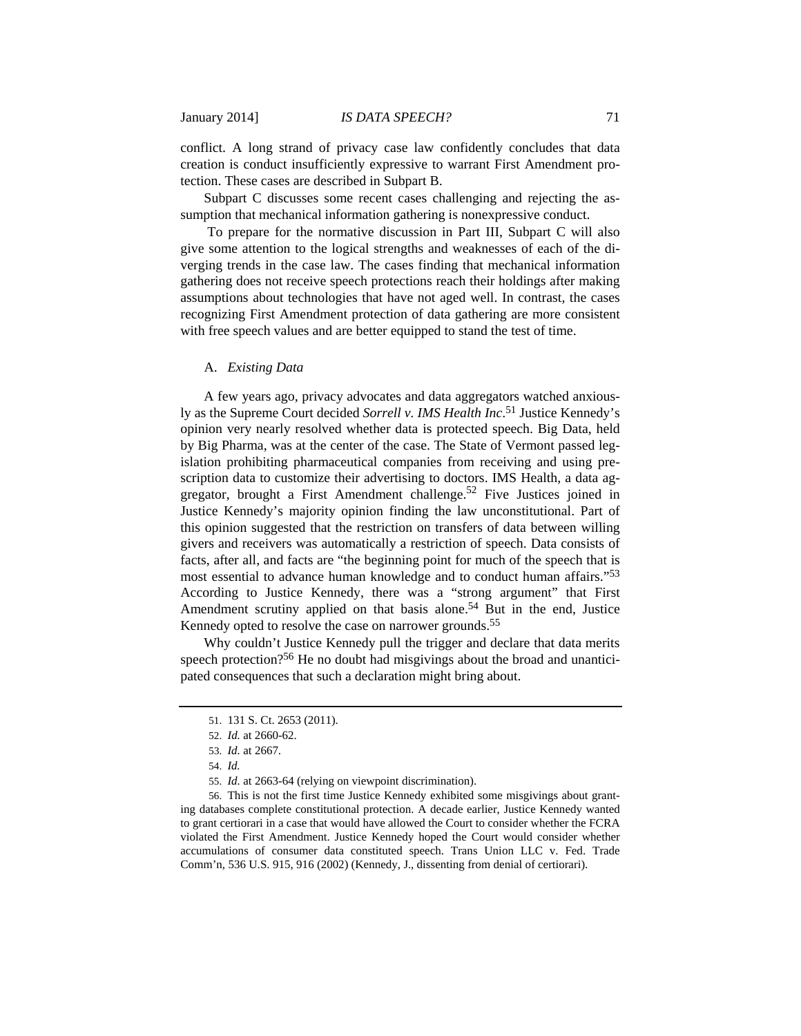conflict. A long strand of privacy case law confidently concludes that data creation is conduct insufficiently expressive to warrant First Amendment protection. These cases are described in Subpart B.

Subpart C discusses some recent cases challenging and rejecting the assumption that mechanical information gathering is nonexpressive conduct.

 To prepare for the normative discussion in Part III, Subpart C will also give some attention to the logical strengths and weaknesses of each of the diverging trends in the case law. The cases finding that mechanical information gathering does not receive speech protections reach their holdings after making assumptions about technologies that have not aged well. In contrast, the cases recognizing First Amendment protection of data gathering are more consistent with free speech values and are better equipped to stand the test of time.

#### A. *Existing Data*

 A few years ago, privacy advocates and data aggregators watched anxiously as the Supreme Court decided *Sorrell v. IMS Health Inc*. 51 Justice Kennedy's opinion very nearly resolved whether data is protected speech. Big Data, held by Big Pharma, was at the center of the case. The State of Vermont passed legislation prohibiting pharmaceutical companies from receiving and using prescription data to customize their advertising to doctors. IMS Health, a data aggregator, brought a First Amendment challenge.<sup>52</sup> Five Justices joined in Justice Kennedy's majority opinion finding the law unconstitutional. Part of this opinion suggested that the restriction on transfers of data between willing givers and receivers was automatically a restriction of speech. Data consists of facts, after all, and facts are "the beginning point for much of the speech that is most essential to advance human knowledge and to conduct human affairs."53 According to Justice Kennedy, there was a "strong argument" that First Amendment scrutiny applied on that basis alone.<sup>54</sup> But in the end, Justice Kennedy opted to resolve the case on narrower grounds.<sup>55</sup>

Why couldn't Justice Kennedy pull the trigger and declare that data merits speech protection?56 He no doubt had misgivings about the broad and unanticipated consequences that such a declaration might bring about.

 56. This is not the first time Justice Kennedy exhibited some misgivings about granting databases complete constitutional protection. A decade earlier, Justice Kennedy wanted to grant certiorari in a case that would have allowed the Court to consider whether the FCRA violated the First Amendment. Justice Kennedy hoped the Court would consider whether accumulations of consumer data constituted speech. Trans Union LLC v. Fed. Trade Comm'n, 536 U.S. 915, 916 (2002) (Kennedy, J., dissenting from denial of certiorari).

 <sup>51. 131</sup> S. Ct. 2653 (2011).

 <sup>52.</sup> *Id.* at 2660-62.

<sup>53.</sup> *Id.* at 2667.

 <sup>54.</sup> *Id.* 

 <sup>55.</sup> *Id.* at 2663-64 (relying on viewpoint discrimination).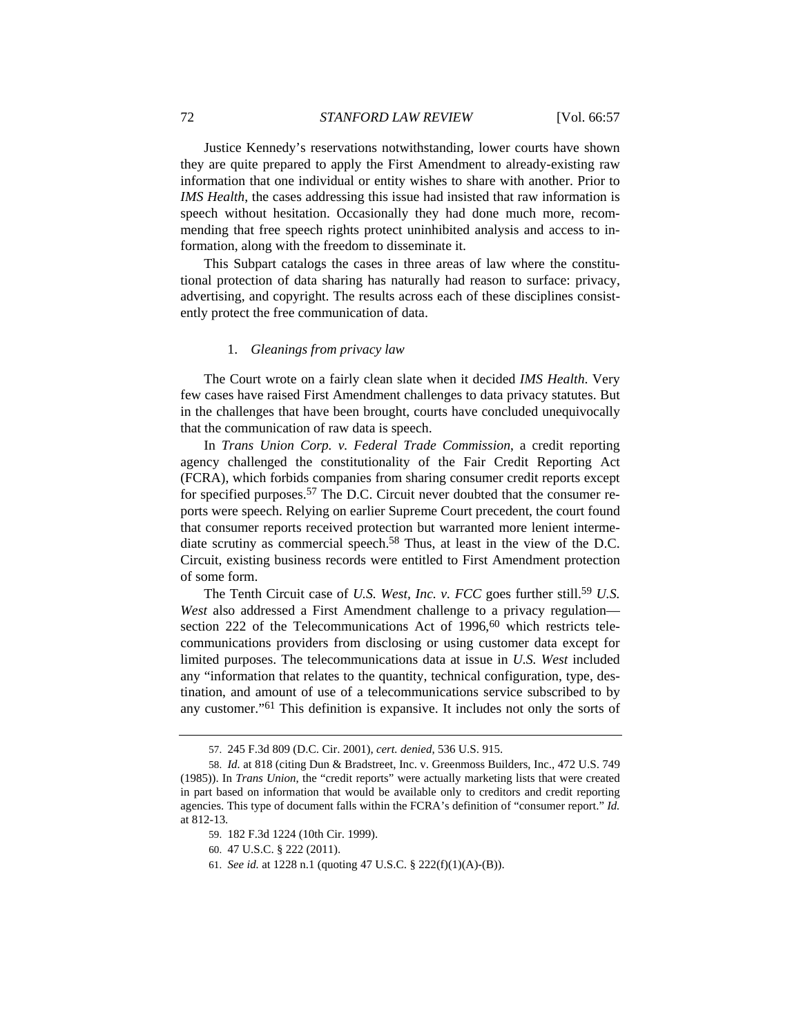Justice Kennedy's reservations notwithstanding, lower courts have shown they are quite prepared to apply the First Amendment to already-existing raw information that one individual or entity wishes to share with another. Prior to *IMS Health*, the cases addressing this issue had insisted that raw information is speech without hesitation. Occasionally they had done much more, recommending that free speech rights protect uninhibited analysis and access to information, along with the freedom to disseminate it.

This Subpart catalogs the cases in three areas of law where the constitutional protection of data sharing has naturally had reason to surface: privacy, advertising, and copyright. The results across each of these disciplines consistently protect the free communication of data.

#### 1. *Gleanings from privacy law*

The Court wrote on a fairly clean slate when it decided *IMS Health*. Very few cases have raised First Amendment challenges to data privacy statutes. But in the challenges that have been brought, courts have concluded unequivocally that the communication of raw data is speech.

In *Trans Union Corp. v. Federal Trade Commission*, a credit reporting agency challenged the constitutionality of the Fair Credit Reporting Act (FCRA), which forbids companies from sharing consumer credit reports except for specified purposes.<sup>57</sup> The D.C. Circuit never doubted that the consumer reports were speech. Relying on earlier Supreme Court precedent, the court found that consumer reports received protection but warranted more lenient intermediate scrutiny as commercial speech.58 Thus, at least in the view of the D.C. Circuit, existing business records were entitled to First Amendment protection of some form.

The Tenth Circuit case of *U.S. West, Inc. v. FCC* goes further still.<sup>59</sup> *U.S. West* also addressed a First Amendment challenge to a privacy regulation section 222 of the Telecommunications Act of 1996,<sup>60</sup> which restricts telecommunications providers from disclosing or using customer data except for limited purposes. The telecommunications data at issue in *U.S. West* included any "information that relates to the quantity, technical configuration, type, destination, and amount of use of a telecommunications service subscribed to by any customer."61 This definition is expansive. It includes not only the sorts of

- 60. 47 U.S.C. § 222 (2011).
- 61. *See id.* at 1228 n.1 (quoting 47 U.S.C. § 222(f)(1)(A)-(B)).

 <sup>57. 245</sup> F.3d 809 (D.C. Cir. 2001), *cert. denied*, 536 U.S. 915.

 <sup>58.</sup> *Id.* at 818 (citing Dun & Bradstreet, Inc. v. Greenmoss Builders, Inc., 472 U.S. 749 (1985)). In *Trans Union*, the "credit reports" were actually marketing lists that were created in part based on information that would be available only to creditors and credit reporting agencies. This type of document falls within the FCRA's definition of "consumer report." *Id.*  at 812-13.

 <sup>59. 182</sup> F.3d 1224 (10th Cir. 1999).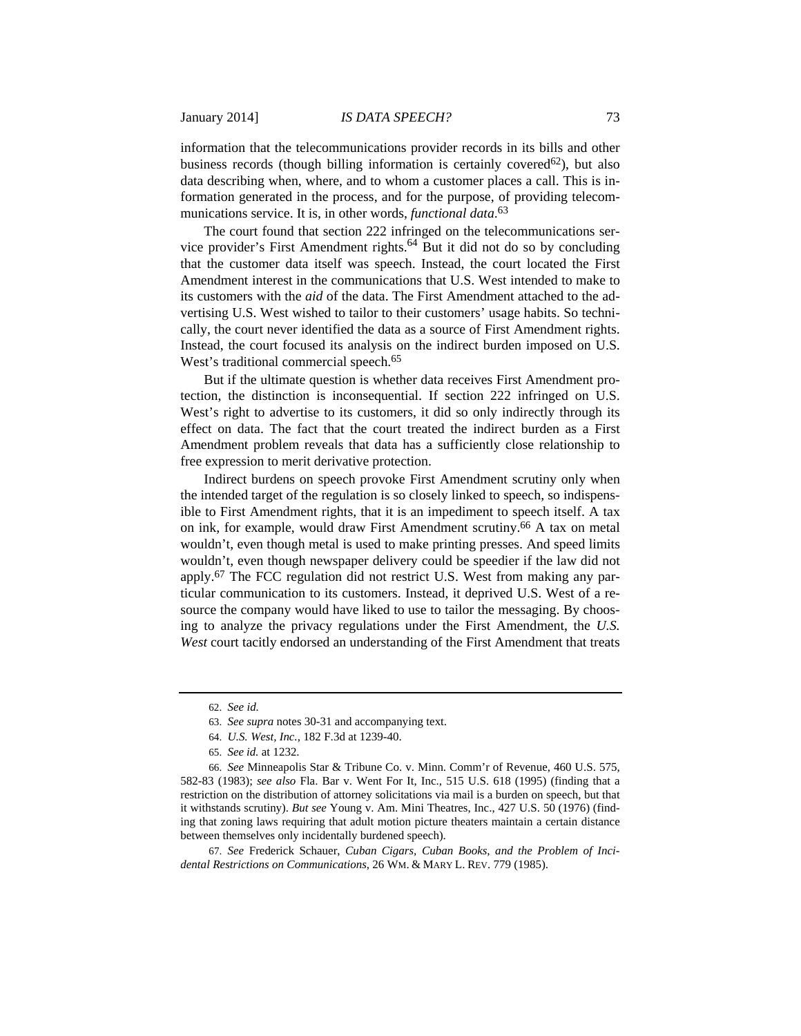information that the telecommunications provider records in its bills and other business records (though billing information is certainly covered<sup>62</sup>), but also data describing when, where, and to whom a customer places a call. This is information generated in the process, and for the purpose, of providing telecommunications service. It is, in other words, *functional data*. 63

The court found that section 222 infringed on the telecommunications service provider's First Amendment rights.<sup>64</sup> But it did not do so by concluding that the customer data itself was speech. Instead, the court located the First Amendment interest in the communications that U.S. West intended to make to its customers with the *aid* of the data. The First Amendment attached to the advertising U.S. West wished to tailor to their customers' usage habits. So technically, the court never identified the data as a source of First Amendment rights. Instead, the court focused its analysis on the indirect burden imposed on U.S. West's traditional commercial speech.<sup>65</sup>

But if the ultimate question is whether data receives First Amendment protection, the distinction is inconsequential. If section 222 infringed on U.S. West's right to advertise to its customers, it did so only indirectly through its effect on data. The fact that the court treated the indirect burden as a First Amendment problem reveals that data has a sufficiently close relationship to free expression to merit derivative protection.

Indirect burdens on speech provoke First Amendment scrutiny only when the intended target of the regulation is so closely linked to speech, so indispensible to First Amendment rights, that it is an impediment to speech itself. A tax on ink, for example, would draw First Amendment scrutiny.66 A tax on metal wouldn't, even though metal is used to make printing presses. And speed limits wouldn't, even though newspaper delivery could be speedier if the law did not apply.67 The FCC regulation did not restrict U.S. West from making any particular communication to its customers. Instead, it deprived U.S. West of a resource the company would have liked to use to tailor the messaging. By choosing to analyze the privacy regulations under the First Amendment, the *U.S. West* court tacitly endorsed an understanding of the First Amendment that treats

67. *See* Frederick Schauer, *Cuban Cigars, Cuban Books, and the Problem of Incidental Restrictions on Communications*, 26 WM. & MARY L. REV. 779 (1985).

 <sup>62.</sup> *See id.*

 <sup>63.</sup> *See supra* notes 30-31 and accompanying text.

 <sup>64.</sup> *U.S. West, Inc.*, 182 F.3d at 1239-40.

 <sup>65.</sup> *See id.* at 1232.

 <sup>66.</sup> *See* Minneapolis Star & Tribune Co. v. Minn. Comm'r of Revenue, 460 U.S. 575, 582-83 (1983); *see also* Fla. Bar v. Went For It, Inc., 515 U.S. 618 (1995) (finding that a restriction on the distribution of attorney solicitations via mail is a burden on speech, but that it withstands scrutiny). *But see* Young v. Am. Mini Theatres, Inc., 427 U.S. 50 (1976) (finding that zoning laws requiring that adult motion picture theaters maintain a certain distance between themselves only incidentally burdened speech).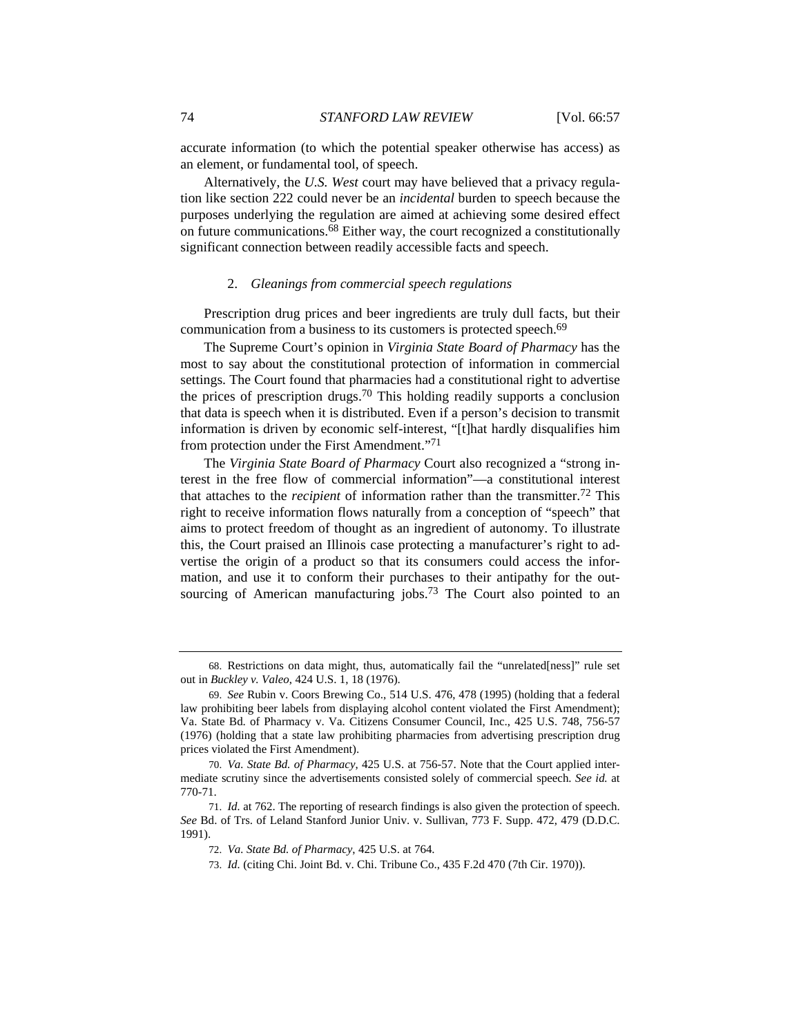accurate information (to which the potential speaker otherwise has access) as an element, or fundamental tool, of speech.

Alternatively, the *U.S. West* court may have believed that a privacy regulation like section 222 could never be an *incidental* burden to speech because the purposes underlying the regulation are aimed at achieving some desired effect on future communications.68 Either way, the court recognized a constitutionally significant connection between readily accessible facts and speech.

#### 2. *Gleanings from commercial speech regulations*

Prescription drug prices and beer ingredients are truly dull facts, but their communication from a business to its customers is protected speech.<sup>69</sup>

The Supreme Court's opinion in *Virginia State Board of Pharmacy* has the most to say about the constitutional protection of information in commercial settings. The Court found that pharmacies had a constitutional right to advertise the prices of prescription drugs.70 This holding readily supports a conclusion that data is speech when it is distributed. Even if a person's decision to transmit information is driven by economic self-interest, "[t]hat hardly disqualifies him from protection under the First Amendment."71

The *Virginia State Board of Pharmacy* Court also recognized a "strong interest in the free flow of commercial information"—a constitutional interest that attaches to the *recipient* of information rather than the transmitter.72 This right to receive information flows naturally from a conception of "speech" that aims to protect freedom of thought as an ingredient of autonomy. To illustrate this, the Court praised an Illinois case protecting a manufacturer's right to advertise the origin of a product so that its consumers could access the information, and use it to conform their purchases to their antipathy for the outsourcing of American manufacturing jobs.<sup>73</sup> The Court also pointed to an

 <sup>68.</sup> Restrictions on data might, thus, automatically fail the "unrelated[ness]" rule set out in *Buckley v. Valeo*, 424 U.S. 1, 18 (1976).

 <sup>69.</sup> *See* Rubin v. Coors Brewing Co., 514 U.S. 476, 478 (1995) (holding that a federal law prohibiting beer labels from displaying alcohol content violated the First Amendment); Va. State Bd. of Pharmacy v. Va. Citizens Consumer Council, Inc., 425 U.S. 748, 756-57 (1976) (holding that a state law prohibiting pharmacies from advertising prescription drug prices violated the First Amendment).

 <sup>70.</sup> *Va. State Bd. of Pharmacy*, 425 U.S. at 756-57. Note that the Court applied intermediate scrutiny since the advertisements consisted solely of commercial speech. *See id.* at 770-71.

 <sup>71.</sup> *Id.* at 762. The reporting of research findings is also given the protection of speech. *See* Bd. of Trs. of Leland Stanford Junior Univ. v. Sullivan, 773 F. Supp. 472, 479 (D.D.C. 1991).

 <sup>72.</sup> *Va. State Bd. of Pharmacy*, 425 U.S. at 764.

 <sup>73.</sup> *Id.* (citing Chi. Joint Bd. v. Chi. Tribune Co., 435 F.2d 470 (7th Cir. 1970)).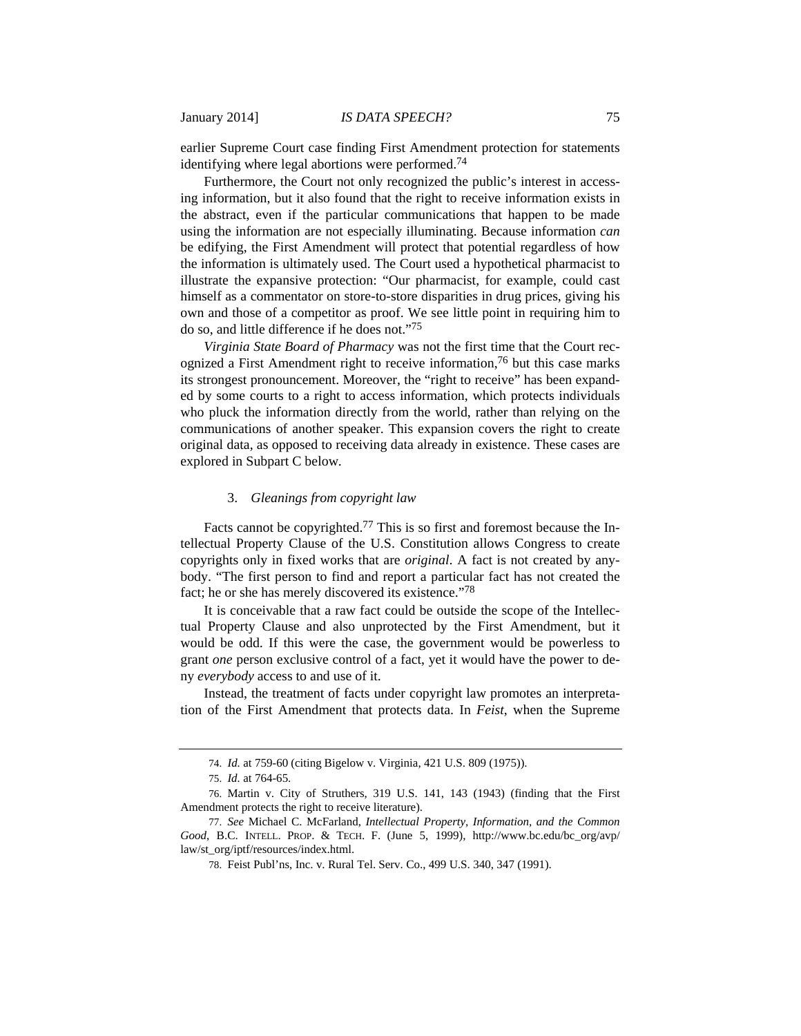earlier Supreme Court case finding First Amendment protection for statements identifying where legal abortions were performed.74

Furthermore, the Court not only recognized the public's interest in accessing information, but it also found that the right to receive information exists in the abstract, even if the particular communications that happen to be made using the information are not especially illuminating. Because information *can*  be edifying, the First Amendment will protect that potential regardless of how the information is ultimately used. The Court used a hypothetical pharmacist to illustrate the expansive protection: "Our pharmacist, for example, could cast himself as a commentator on store-to-store disparities in drug prices, giving his own and those of a competitor as proof. We see little point in requiring him to do so, and little difference if he does not."75

*Virginia State Board of Pharmacy* was not the first time that the Court recognized a First Amendment right to receive information,<sup>76</sup> but this case marks its strongest pronouncement. Moreover, the "right to receive" has been expanded by some courts to a right to access information, which protects individuals who pluck the information directly from the world, rather than relying on the communications of another speaker. This expansion covers the right to create original data, as opposed to receiving data already in existence. These cases are explored in Subpart C below.

# 3. *Gleanings from copyright law*

Facts cannot be copyrighted.<sup>77</sup> This is so first and foremost because the Intellectual Property Clause of the U.S. Constitution allows Congress to create copyrights only in fixed works that are *original*. A fact is not created by anybody. "The first person to find and report a particular fact has not created the fact; he or she has merely discovered its existence."78

It is conceivable that a raw fact could be outside the scope of the Intellectual Property Clause and also unprotected by the First Amendment, but it would be odd. If this were the case, the government would be powerless to grant *one* person exclusive control of a fact, yet it would have the power to deny *everybody* access to and use of it.

Instead, the treatment of facts under copyright law promotes an interpretation of the First Amendment that protects data. In *Feist*, when the Supreme

 <sup>74.</sup> *Id.* at 759-60 (citing Bigelow v. Virginia, 421 U.S. 809 (1975)).

 <sup>75.</sup> *Id.* at 764-65.

 <sup>76.</sup> Martin v. City of Struthers, 319 U.S. 141, 143 (1943) (finding that the First Amendment protects the right to receive literature).

 <sup>77.</sup> *See* Michael C. McFarland, *Intellectual Property, Information, and the Common Good*, B.C. INTELL. PROP. & TECH. F. (June 5, 1999), http://www.bc.edu/bc\_org/avp/ law/st\_org/iptf/resources/index.html.

 <sup>78.</sup> Feist Publ'ns, Inc. v. Rural Tel. Serv. Co., 499 U.S. 340, 347 (1991).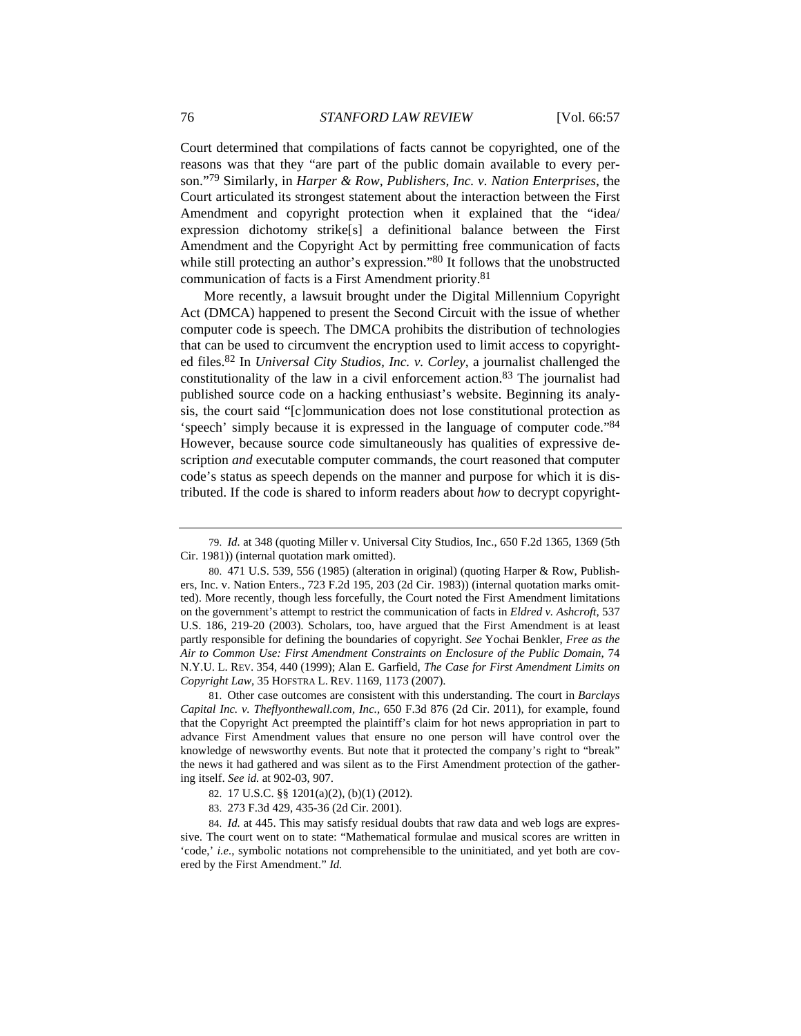Court determined that compilations of facts cannot be copyrighted, one of the reasons was that they "are part of the public domain available to every person."79 Similarly, in *Harper & Row, Publishers, Inc. v. Nation Enterprises*, the Court articulated its strongest statement about the interaction between the First Amendment and copyright protection when it explained that the "idea/ expression dichotomy strike[s] a definitional balance between the First Amendment and the Copyright Act by permitting free communication of facts while still protecting an author's expression."<sup>80</sup> It follows that the unobstructed communication of facts is a First Amendment priority.81

More recently, a lawsuit brought under the Digital Millennium Copyright Act (DMCA) happened to present the Second Circuit with the issue of whether computer code is speech. The DMCA prohibits the distribution of technologies that can be used to circumvent the encryption used to limit access to copyrighted files.82 In *Universal City Studios, Inc. v. Corley*, a journalist challenged the constitutionality of the law in a civil enforcement action.83 The journalist had published source code on a hacking enthusiast's website. Beginning its analysis, the court said "[c]ommunication does not lose constitutional protection as 'speech' simply because it is expressed in the language of computer code."84 However, because source code simultaneously has qualities of expressive description *and* executable computer commands, the court reasoned that computer code's status as speech depends on the manner and purpose for which it is distributed. If the code is shared to inform readers about *how* to decrypt copyright-

 81. Other case outcomes are consistent with this understanding. The court in *Barclays Capital Inc. v. Theflyonthewall.com, Inc.,* 650 F.3d 876 (2d Cir. 2011), for example, found that the Copyright Act preempted the plaintiff's claim for hot news appropriation in part to advance First Amendment values that ensure no one person will have control over the knowledge of newsworthy events. But note that it protected the company's right to "break" the news it had gathered and was silent as to the First Amendment protection of the gathering itself. *See id.* at 902-03, 907.

83. 273 F.3d 429, 435-36 (2d Cir. 2001).

 <sup>79.</sup> *Id.* at 348 (quoting Miller v. Universal City Studios, Inc., 650 F.2d 1365, 1369 (5th Cir. 1981)) (internal quotation mark omitted).

 <sup>80. 471</sup> U.S. 539, 556 (1985) (alteration in original) (quoting Harper & Row, Publishers, Inc. v. Nation Enters., 723 F.2d 195, 203 (2d Cir. 1983)) (internal quotation marks omitted). More recently, though less forcefully, the Court noted the First Amendment limitations on the government's attempt to restrict the communication of facts in *Eldred v. Ashcroft*, 537 U.S. 186, 219-20 (2003). Scholars, too, have argued that the First Amendment is at least partly responsible for defining the boundaries of copyright. *See* Yochai Benkler, *Free as the Air to Common Use: First Amendment Constraints on Enclosure of the Public Domain*, 74 N.Y.U. L. REV. 354, 440 (1999); Alan E. Garfield, *The Case for First Amendment Limits on Copyright Law*, 35 HOFSTRA L. REV. 1169, 1173 (2007).

 <sup>82. 17</sup> U.S.C. §§ 1201(a)(2), (b)(1) (2012).

 <sup>84.</sup> *Id.* at 445. This may satisfy residual doubts that raw data and web logs are expressive. The court went on to state: "Mathematical formulae and musical scores are written in 'code,' *i.e.*, symbolic notations not comprehensible to the uninitiated, and yet both are covered by the First Amendment." *Id.*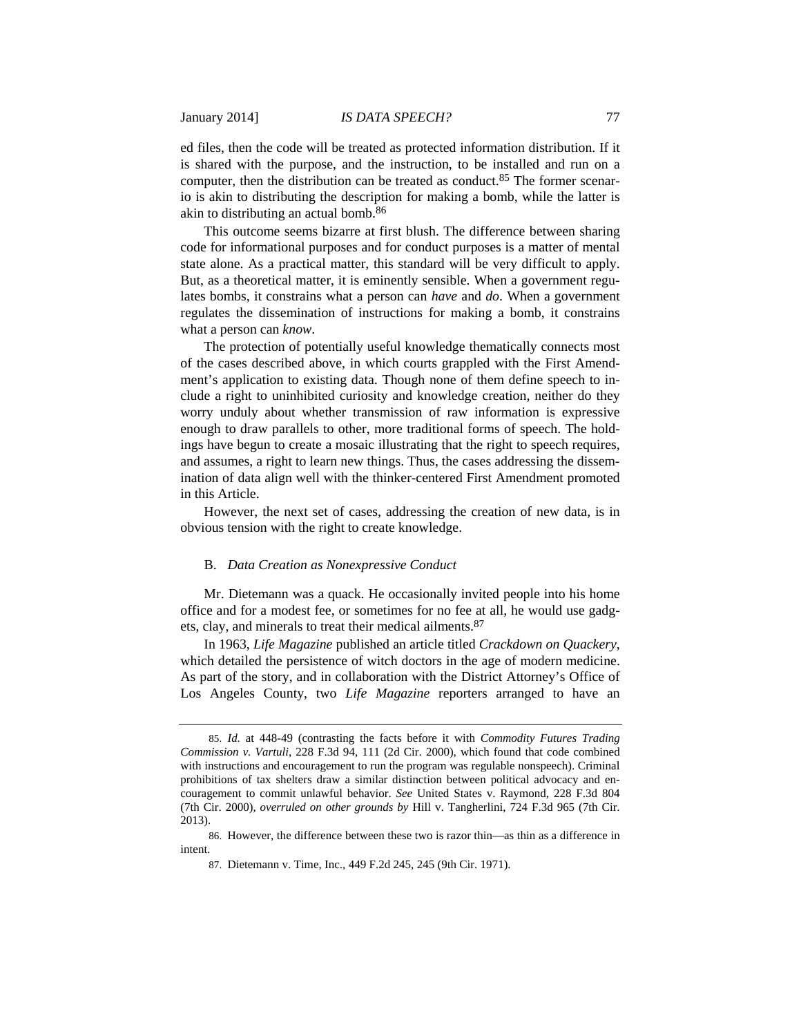ed files, then the code will be treated as protected information distribution. If it is shared with the purpose, and the instruction, to be installed and run on a computer, then the distribution can be treated as conduct.<sup>85</sup> The former scenario is akin to distributing the description for making a bomb, while the latter is akin to distributing an actual bomb.86

This outcome seems bizarre at first blush. The difference between sharing code for informational purposes and for conduct purposes is a matter of mental state alone. As a practical matter, this standard will be very difficult to apply. But, as a theoretical matter, it is eminently sensible. When a government regulates bombs, it constrains what a person can *have* and *do*. When a government regulates the dissemination of instructions for making a bomb, it constrains what a person can *know*.

The protection of potentially useful knowledge thematically connects most of the cases described above, in which courts grappled with the First Amendment's application to existing data. Though none of them define speech to include a right to uninhibited curiosity and knowledge creation, neither do they worry unduly about whether transmission of raw information is expressive enough to draw parallels to other, more traditional forms of speech. The holdings have begun to create a mosaic illustrating that the right to speech requires, and assumes, a right to learn new things. Thus, the cases addressing the dissemination of data align well with the thinker-centered First Amendment promoted in this Article.

However, the next set of cases, addressing the creation of new data, is in obvious tension with the right to create knowledge.

#### B. *Data Creation as Nonexpressive Conduct*

Mr. Dietemann was a quack. He occasionally invited people into his home office and for a modest fee, or sometimes for no fee at all, he would use gadgets, clay, and minerals to treat their medical ailments.87

In 1963, *Life Magazine* published an article titled *Crackdown on Quackery*, which detailed the persistence of witch doctors in the age of modern medicine. As part of the story, and in collaboration with the District Attorney's Office of Los Angeles County, two *Life Magazine* reporters arranged to have an

 <sup>85.</sup> *Id.* at 448-49 (contrasting the facts before it with *Commodity Futures Trading Commission v. Vartuli*, 228 F.3d 94, 111 (2d Cir. 2000), which found that code combined with instructions and encouragement to run the program was regulable nonspeech). Criminal prohibitions of tax shelters draw a similar distinction between political advocacy and encouragement to commit unlawful behavior. *See* United States v. Raymond, 228 F.3d 804 (7th Cir. 2000), *overruled on other grounds by* Hill v. Tangherlini, 724 F.3d 965 (7th Cir. 2013).

 <sup>86.</sup> However, the difference between these two is razor thin—as thin as a difference in intent.

 <sup>87.</sup> Dietemann v. Time, Inc., 449 F.2d 245, 245 (9th Cir. 1971).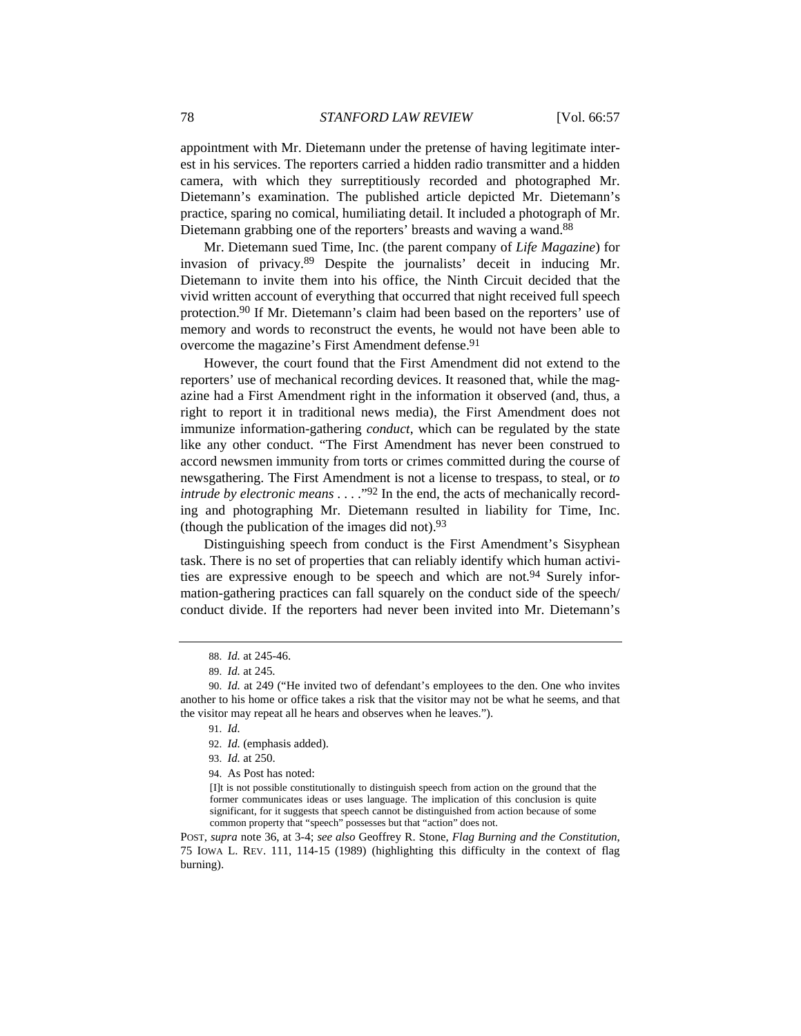appointment with Mr. Dietemann under the pretense of having legitimate interest in his services. The reporters carried a hidden radio transmitter and a hidden camera, with which they surreptitiously recorded and photographed Mr. Dietemann's examination. The published article depicted Mr. Dietemann's practice, sparing no comical, humiliating detail. It included a photograph of Mr. Dietemann grabbing one of the reporters' breasts and waving a wand.<sup>88</sup>

Mr. Dietemann sued Time, Inc. (the parent company of *Life Magazine*) for invasion of privacy.89 Despite the journalists' deceit in inducing Mr. Dietemann to invite them into his office, the Ninth Circuit decided that the vivid written account of everything that occurred that night received full speech protection.90 If Mr. Dietemann's claim had been based on the reporters' use of memory and words to reconstruct the events, he would not have been able to overcome the magazine's First Amendment defense.<sup>91</sup>

However, the court found that the First Amendment did not extend to the reporters' use of mechanical recording devices. It reasoned that, while the magazine had a First Amendment right in the information it observed (and, thus, a right to report it in traditional news media), the First Amendment does not immunize information-gathering *conduct*, which can be regulated by the state like any other conduct. "The First Amendment has never been construed to accord newsmen immunity from torts or crimes committed during the course of newsgathering. The First Amendment is not a license to trespass, to steal, or *to intrude by electronic means* . . . .<sup>"92</sup> In the end, the acts of mechanically recording and photographing Mr. Dietemann resulted in liability for Time, Inc. (though the publication of the images did not).  $93$ 

Distinguishing speech from conduct is the First Amendment's Sisyphean task. There is no set of properties that can reliably identify which human activities are expressive enough to be speech and which are not.<sup>94</sup> Surely information-gathering practices can fall squarely on the conduct side of the speech/ conduct divide. If the reporters had never been invited into Mr. Dietemann's

93. *Id.* at 250.

94. As Post has noted:

POST, *supra* note 36, at 3-4; *see also* Geoffrey R. Stone, *Flag Burning and the Constitution*, 75 IOWA L. REV. 111, 114-15 (1989) (highlighting this difficulty in the context of flag burning).

 <sup>88.</sup> *Id.* at 245-46.

 <sup>89.</sup> *Id.* at 245.

 <sup>90.</sup> *Id.* at 249 ("He invited two of defendant's employees to the den. One who invites another to his home or office takes a risk that the visitor may not be what he seems, and that the visitor may repeat all he hears and observes when he leaves.").

 <sup>91.</sup> *Id.*

 <sup>92.</sup> *Id.* (emphasis added).

<sup>[</sup>I]t is not possible constitutionally to distinguish speech from action on the ground that the former communicates ideas or uses language. The implication of this conclusion is quite significant, for it suggests that speech cannot be distinguished from action because of some common property that "speech" possesses but that "action" does not.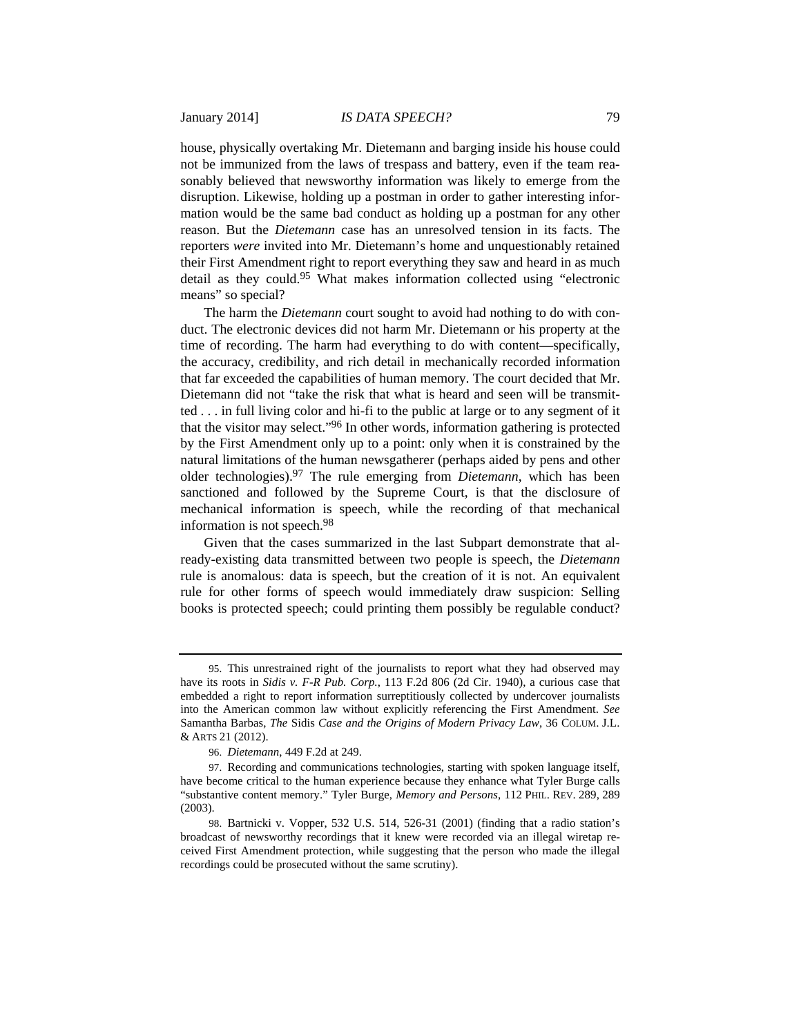house, physically overtaking Mr. Dietemann and barging inside his house could not be immunized from the laws of trespass and battery, even if the team reasonably believed that newsworthy information was likely to emerge from the disruption. Likewise, holding up a postman in order to gather interesting information would be the same bad conduct as holding up a postman for any other reason. But the *Dietemann* case has an unresolved tension in its facts. The reporters *were* invited into Mr. Dietemann's home and unquestionably retained their First Amendment right to report everything they saw and heard in as much detail as they could.95 What makes information collected using "electronic means" so special?

The harm the *Dietemann* court sought to avoid had nothing to do with conduct. The electronic devices did not harm Mr. Dietemann or his property at the time of recording. The harm had everything to do with content—specifically, the accuracy, credibility, and rich detail in mechanically recorded information that far exceeded the capabilities of human memory. The court decided that Mr. Dietemann did not "take the risk that what is heard and seen will be transmitted . . . in full living color and hi-fi to the public at large or to any segment of it that the visitor may select."96 In other words, information gathering is protected by the First Amendment only up to a point: only when it is constrained by the natural limitations of the human newsgatherer (perhaps aided by pens and other older technologies).97 The rule emerging from *Dietemann*, which has been sanctioned and followed by the Supreme Court, is that the disclosure of mechanical information is speech, while the recording of that mechanical information is not speech.98

Given that the cases summarized in the last Subpart demonstrate that already-existing data transmitted between two people is speech, the *Dietemann*  rule is anomalous: data is speech, but the creation of it is not. An equivalent rule for other forms of speech would immediately draw suspicion: Selling books is protected speech; could printing them possibly be regulable conduct?

 <sup>95.</sup> This unrestrained right of the journalists to report what they had observed may have its roots in *Sidis v. F-R Pub. Corp.*, 113 F.2d 806 (2d Cir. 1940), a curious case that embedded a right to report information surreptitiously collected by undercover journalists into the American common law without explicitly referencing the First Amendment. *See*  Samantha Barbas, *The* Sidis *Case and the Origins of Modern Privacy Law*, 36 COLUM. J.L. & ARTS 21 (2012).

 <sup>96.</sup> *Dietemann*, 449 F.2d at 249.

 <sup>97.</sup> Recording and communications technologies, starting with spoken language itself, have become critical to the human experience because they enhance what Tyler Burge calls "substantive content memory." Tyler Burge, *Memory and Persons*, 112 PHIL. REV. 289, 289 (2003).

 <sup>98.</sup> Bartnicki v. Vopper, 532 U.S. 514, 526-31 (2001) (finding that a radio station's broadcast of newsworthy recordings that it knew were recorded via an illegal wiretap received First Amendment protection, while suggesting that the person who made the illegal recordings could be prosecuted without the same scrutiny).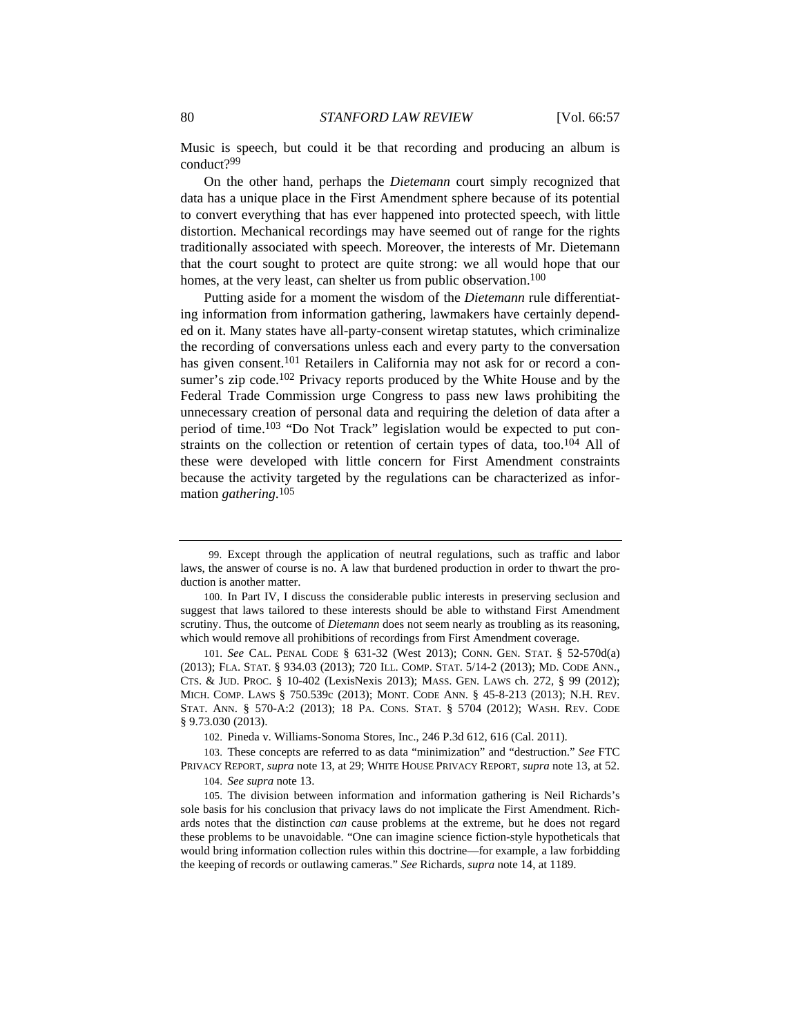Music is speech, but could it be that recording and producing an album is conduct?99

On the other hand, perhaps the *Dietemann* court simply recognized that data has a unique place in the First Amendment sphere because of its potential to convert everything that has ever happened into protected speech, with little distortion. Mechanical recordings may have seemed out of range for the rights traditionally associated with speech. Moreover, the interests of Mr. Dietemann that the court sought to protect are quite strong: we all would hope that our homes, at the very least, can shelter us from public observation.<sup>100</sup>

Putting aside for a moment the wisdom of the *Dietemann* rule differentiating information from information gathering, lawmakers have certainly depended on it. Many states have all-party-consent wiretap statutes, which criminalize the recording of conversations unless each and every party to the conversation has given consent.<sup>101</sup> Retailers in California may not ask for or record a consumer's zip code.<sup>102</sup> Privacy reports produced by the White House and by the Federal Trade Commission urge Congress to pass new laws prohibiting the unnecessary creation of personal data and requiring the deletion of data after a period of time.103 "Do Not Track" legislation would be expected to put constraints on the collection or retention of certain types of data, too.<sup>104</sup> All of these were developed with little concern for First Amendment constraints because the activity targeted by the regulations can be characterized as information *gathering*. 105

101. *See* CAL. PENAL CODE § 631-32 (West 2013); CONN. GEN. STAT. § 52-570d(a) (2013); FLA. STAT. § 934.03 (2013); 720 ILL. COMP. STAT. 5/14-2 (2013); MD. CODE ANN., CTS. & JUD. PROC. § 10-402 (LexisNexis 2013); MASS. GEN. LAWS ch. 272, § 99 (2012); MICH. COMP. LAWS § 750.539c (2013); MONT. CODE ANN. § 45-8-213 (2013); N.H. REV. STAT. ANN. § 570-A:2 (2013); 18 PA. CONS. STAT. § 5704 (2012); WASH. REV. CODE § 9.73.030 (2013).

102. Pineda v. Williams-Sonoma Stores, Inc., 246 P.3d 612, 616 (Cal. 2011).

103. These concepts are referred to as data "minimization" and "destruction." *See* FTC PRIVACY REPORT, *supra* note 13, at 29; WHITE HOUSE PRIVACY REPORT, *supra* note 13, at 52.

104. *See supra* note 13.

 <sup>99.</sup> Except through the application of neutral regulations, such as traffic and labor laws, the answer of course is no. A law that burdened production in order to thwart the production is another matter.

<sup>100.</sup> In Part IV, I discuss the considerable public interests in preserving seclusion and suggest that laws tailored to these interests should be able to withstand First Amendment scrutiny. Thus, the outcome of *Dietemann* does not seem nearly as troubling as its reasoning, which would remove all prohibitions of recordings from First Amendment coverage.

<sup>105.</sup> The division between information and information gathering is Neil Richards's sole basis for his conclusion that privacy laws do not implicate the First Amendment. Richards notes that the distinction *can* cause problems at the extreme, but he does not regard these problems to be unavoidable. "One can imagine science fiction-style hypotheticals that would bring information collection rules within this doctrine—for example, a law forbidding the keeping of records or outlawing cameras." *See* Richards, *supra* note 14, at 1189.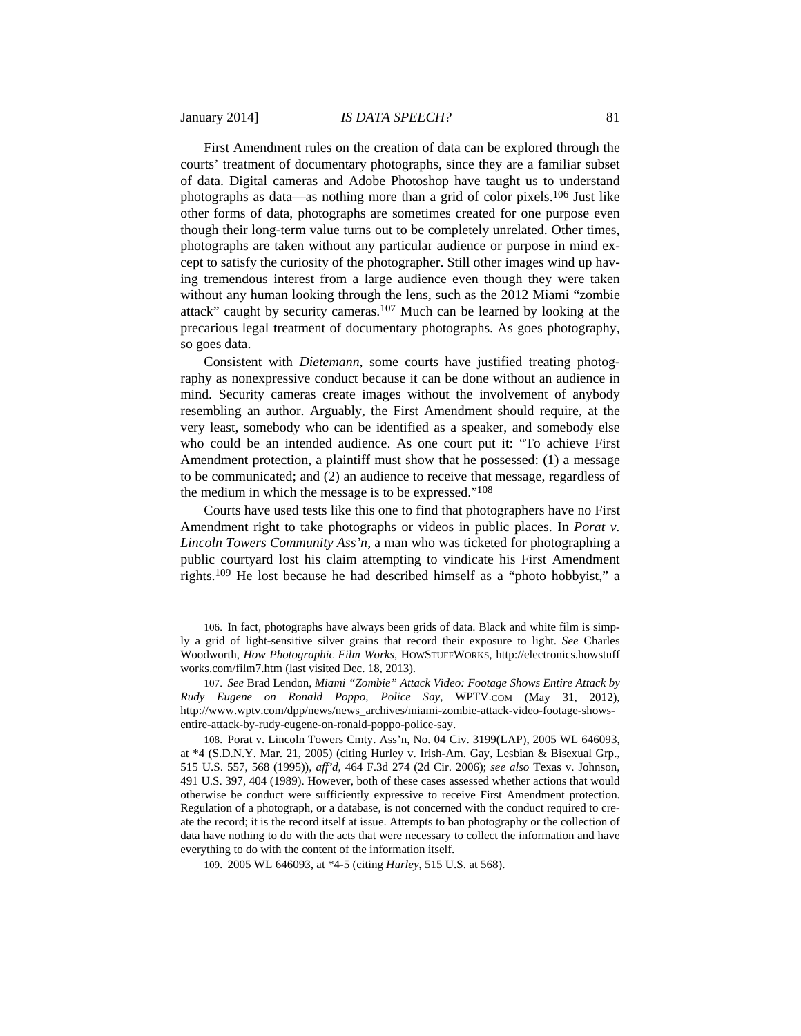First Amendment rules on the creation of data can be explored through the courts' treatment of documentary photographs, since they are a familiar subset of data. Digital cameras and Adobe Photoshop have taught us to understand photographs as data—as nothing more than a grid of color pixels.106 Just like other forms of data, photographs are sometimes created for one purpose even though their long-term value turns out to be completely unrelated. Other times, photographs are taken without any particular audience or purpose in mind except to satisfy the curiosity of the photographer. Still other images wind up having tremendous interest from a large audience even though they were taken without any human looking through the lens, such as the 2012 Miami "zombie attack" caught by security cameras.107 Much can be learned by looking at the precarious legal treatment of documentary photographs. As goes photography, so goes data.

Consistent with *Dietemann*, some courts have justified treating photography as nonexpressive conduct because it can be done without an audience in mind. Security cameras create images without the involvement of anybody resembling an author. Arguably, the First Amendment should require, at the very least, somebody who can be identified as a speaker, and somebody else who could be an intended audience. As one court put it: "To achieve First Amendment protection, a plaintiff must show that he possessed: (1) a message to be communicated; and (2) an audience to receive that message, regardless of the medium in which the message is to be expressed."108

Courts have used tests like this one to find that photographers have no First Amendment right to take photographs or videos in public places. In *Porat v. Lincoln Towers Community Ass'n*, a man who was ticketed for photographing a public courtyard lost his claim attempting to vindicate his First Amendment rights.109 He lost because he had described himself as a "photo hobbyist," a

109. 2005 WL 646093, at \*4-5 (citing *Hurley*, 515 U.S. at 568).

<sup>106.</sup> In fact, photographs have always been grids of data. Black and white film is simply a grid of light-sensitive silver grains that record their exposure to light. *See* Charles Woodworth, *How Photographic Film Works*, HOWSTUFFWORKS, http://electronics.howstuff works.com/film7.htm (last visited Dec. 18, 2013).

<sup>107.</sup> *See* Brad Lendon, *Miami "Zombie" Attack Video: Footage Shows Entire Attack by Rudy Eugene on Ronald Poppo, Police Say*, WPTV.COM (May 31, 2012), http://www.wptv.com/dpp/news/news\_archives/miami-zombie-attack-video-footage-showsentire-attack-by-rudy-eugene-on-ronald-poppo-police-say.

<sup>108.</sup> Porat v. Lincoln Towers Cmty. Ass'n, No. 04 Civ. 3199(LAP), 2005 WL 646093, at \*4 (S.D.N.Y. Mar. 21, 2005) (citing Hurley v. Irish-Am. Gay, Lesbian & Bisexual Grp., 515 U.S. 557, 568 (1995)), *aff'd*, 464 F.3d 274 (2d Cir. 2006); *see also* Texas v. Johnson, 491 U.S. 397, 404 (1989). However, both of these cases assessed whether actions that would otherwise be conduct were sufficiently expressive to receive First Amendment protection. Regulation of a photograph, or a database, is not concerned with the conduct required to create the record; it is the record itself at issue. Attempts to ban photography or the collection of data have nothing to do with the acts that were necessary to collect the information and have everything to do with the content of the information itself.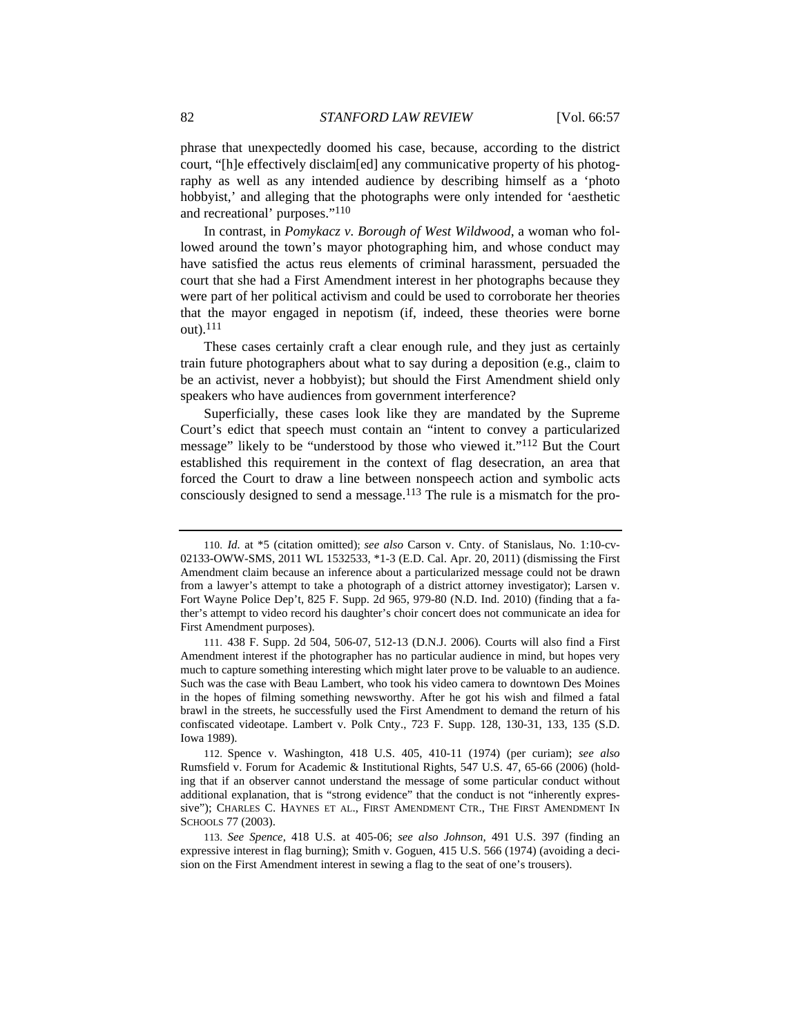phrase that unexpectedly doomed his case, because, according to the district court, "[h]e effectively disclaim[ed] any communicative property of his photography as well as any intended audience by describing himself as a 'photo hobbyist,' and alleging that the photographs were only intended for 'aesthetic and recreational' purposes."110

In contrast, in *Pomykacz v. Borough of West Wildwood*, a woman who followed around the town's mayor photographing him, and whose conduct may have satisfied the actus reus elements of criminal harassment, persuaded the court that she had a First Amendment interest in her photographs because they were part of her political activism and could be used to corroborate her theories that the mayor engaged in nepotism (if, indeed, these theories were borne out).111

These cases certainly craft a clear enough rule, and they just as certainly train future photographers about what to say during a deposition (e.g., claim to be an activist, never a hobbyist); but should the First Amendment shield only speakers who have audiences from government interference?

Superficially, these cases look like they are mandated by the Supreme Court's edict that speech must contain an "intent to convey a particularized message" likely to be "understood by those who viewed it."112 But the Court established this requirement in the context of flag desecration, an area that forced the Court to draw a line between nonspeech action and symbolic acts consciously designed to send a message.113 The rule is a mismatch for the pro-

112. Spence v. Washington, 418 U.S. 405, 410-11 (1974) (per curiam); *see also*  Rumsfield v. Forum for Academic & Institutional Rights, 547 U.S. 47, 65-66 (2006) (holding that if an observer cannot understand the message of some particular conduct without additional explanation, that is "strong evidence" that the conduct is not "inherently expressive"); CHARLES C. HAYNES ET AL., FIRST AMENDMENT CTR., THE FIRST AMENDMENT IN SCHOOLS 77 (2003).

113. *See Spence*, 418 U.S. at 405-06; *see also Johnson*, 491 U.S. 397 (finding an expressive interest in flag burning); Smith v. Goguen, 415 U.S. 566 (1974) (avoiding a decision on the First Amendment interest in sewing a flag to the seat of one's trousers).

<sup>110.</sup> *Id.* at \*5 (citation omitted); *see also* Carson v. Cnty. of Stanislaus, No. 1:10-cv-02133-OWW-SMS, 2011 WL 1532533, \*1-3 (E.D. Cal. Apr. 20, 2011) (dismissing the First Amendment claim because an inference about a particularized message could not be drawn from a lawyer's attempt to take a photograph of a district attorney investigator); Larsen v. Fort Wayne Police Dep't, 825 F. Supp. 2d 965, 979-80 (N.D. Ind. 2010) (finding that a father's attempt to video record his daughter's choir concert does not communicate an idea for First Amendment purposes).

<sup>111. 438</sup> F. Supp. 2d 504, 506-07, 512-13 (D.N.J. 2006). Courts will also find a First Amendment interest if the photographer has no particular audience in mind, but hopes very much to capture something interesting which might later prove to be valuable to an audience. Such was the case with Beau Lambert, who took his video camera to downtown Des Moines in the hopes of filming something newsworthy. After he got his wish and filmed a fatal brawl in the streets, he successfully used the First Amendment to demand the return of his confiscated videotape. Lambert v. Polk Cnty., 723 F. Supp. 128, 130-31, 133, 135 (S.D. Iowa 1989).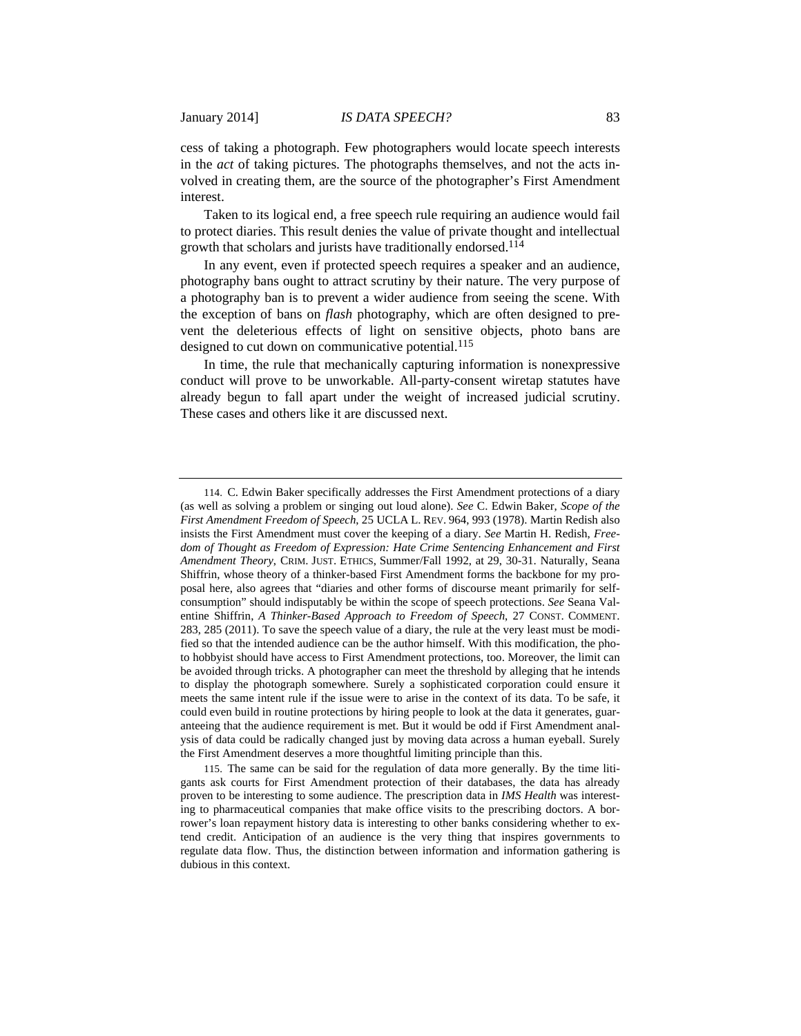cess of taking a photograph. Few photographers would locate speech interests in the *act* of taking pictures. The photographs themselves, and not the acts involved in creating them, are the source of the photographer's First Amendment interest.

Taken to its logical end, a free speech rule requiring an audience would fail to protect diaries. This result denies the value of private thought and intellectual growth that scholars and jurists have traditionally endorsed.114

In any event, even if protected speech requires a speaker and an audience, photography bans ought to attract scrutiny by their nature. The very purpose of a photography ban is to prevent a wider audience from seeing the scene. With the exception of bans on *flash* photography, which are often designed to prevent the deleterious effects of light on sensitive objects, photo bans are designed to cut down on communicative potential.<sup>115</sup>

In time, the rule that mechanically capturing information is nonexpressive conduct will prove to be unworkable. All-party-consent wiretap statutes have already begun to fall apart under the weight of increased judicial scrutiny. These cases and others like it are discussed next.

<sup>114.</sup> C. Edwin Baker specifically addresses the First Amendment protections of a diary (as well as solving a problem or singing out loud alone). *See* C. Edwin Baker, *Scope of the First Amendment Freedom of Speech*, 25 UCLA L. REV. 964, 993 (1978). Martin Redish also insists the First Amendment must cover the keeping of a diary. *See* Martin H. Redish, *Freedom of Thought as Freedom of Expression: Hate Crime Sentencing Enhancement and First Amendment Theory*, CRIM. JUST. ETHICS, Summer/Fall 1992, at 29, 30-31. Naturally, Seana Shiffrin, whose theory of a thinker-based First Amendment forms the backbone for my proposal here, also agrees that "diaries and other forms of discourse meant primarily for selfconsumption" should indisputably be within the scope of speech protections. *See* Seana Valentine Shiffrin, *A Thinker-Based Approach to Freedom of Speech*, 27 CONST. COMMENT. 283, 285 (2011). To save the speech value of a diary, the rule at the very least must be modified so that the intended audience can be the author himself. With this modification, the photo hobbyist should have access to First Amendment protections, too. Moreover, the limit can be avoided through tricks. A photographer can meet the threshold by alleging that he intends to display the photograph somewhere. Surely a sophisticated corporation could ensure it meets the same intent rule if the issue were to arise in the context of its data. To be safe, it could even build in routine protections by hiring people to look at the data it generates, guaranteeing that the audience requirement is met. But it would be odd if First Amendment analysis of data could be radically changed just by moving data across a human eyeball. Surely the First Amendment deserves a more thoughtful limiting principle than this.

<sup>115.</sup> The same can be said for the regulation of data more generally. By the time litigants ask courts for First Amendment protection of their databases, the data has already proven to be interesting to some audience. The prescription data in *IMS Health* was interesting to pharmaceutical companies that make office visits to the prescribing doctors. A borrower's loan repayment history data is interesting to other banks considering whether to extend credit. Anticipation of an audience is the very thing that inspires governments to regulate data flow. Thus, the distinction between information and information gathering is dubious in this context.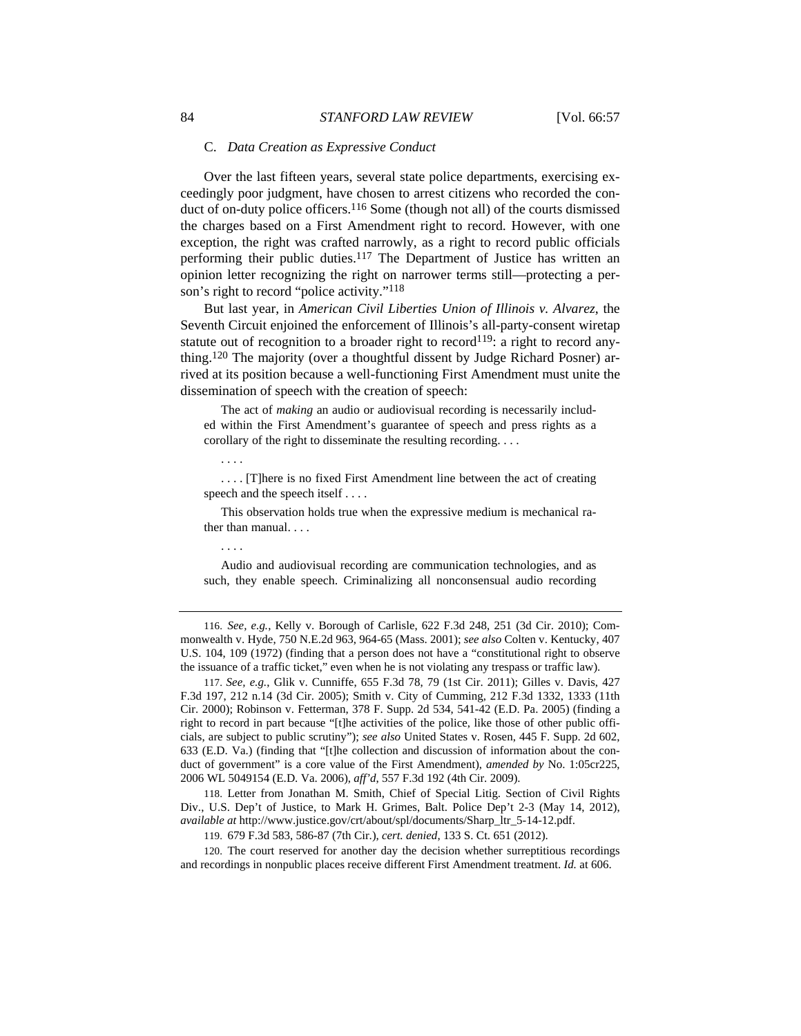#### C. *Data Creation as Expressive Conduct*

Over the last fifteen years, several state police departments, exercising exceedingly poor judgment, have chosen to arrest citizens who recorded the conduct of on-duty police officers.<sup>116</sup> Some (though not all) of the courts dismissed the charges based on a First Amendment right to record. However, with one exception, the right was crafted narrowly, as a right to record public officials performing their public duties.117 The Department of Justice has written an opinion letter recognizing the right on narrower terms still—protecting a person's right to record "police activity."<sup>118</sup>

But last year, in *American Civil Liberties Union of Illinois v. Alvarez*, the Seventh Circuit enjoined the enforcement of Illinois's all-party-consent wiretap statute out of recognition to a broader right to record<sup>119</sup>: a right to record anything.120 The majority (over a thoughtful dissent by Judge Richard Posner) arrived at its position because a well-functioning First Amendment must unite the dissemination of speech with the creation of speech:

 The act of *making* an audio or audiovisual recording is necessarily included within the First Amendment's guarantee of speech and press rights as a corollary of the right to disseminate the resulting recording. . . .

 . . . . [T]here is no fixed First Amendment line between the act of creating speech and the speech itself . . . .

 This observation holds true when the expressive medium is mechanical rather than manual. . . .

. . . .

. . . .

 Audio and audiovisual recording are communication technologies, and as such, they enable speech. Criminalizing all nonconsensual audio recording

116. *See, e.g.*, Kelly v. Borough of Carlisle, 622 F.3d 248, 251 (3d Cir. 2010); Commonwealth v. Hyde, 750 N.E.2d 963, 964-65 (Mass. 2001); *see also* Colten v. Kentucky, 407 U.S. 104, 109 (1972) (finding that a person does not have a "constitutional right to observe the issuance of a traffic ticket," even when he is not violating any trespass or traffic law).

117. *See, e.g.*, Glik v. Cunniffe, 655 F.3d 78, 79 (1st Cir. 2011); Gilles v. Davis, 427 F.3d 197, 212 n.14 (3d Cir. 2005); Smith v. City of Cumming, 212 F.3d 1332, 1333 (11th Cir. 2000); Robinson v. Fetterman, 378 F. Supp. 2d 534, 541-42 (E.D. Pa. 2005) (finding a right to record in part because "[t]he activities of the police, like those of other public officials, are subject to public scrutiny"); *see also* United States v. Rosen, 445 F. Supp. 2d 602, 633 (E.D. Va.) (finding that "[t]he collection and discussion of information about the conduct of government" is a core value of the First Amendment), *amended by* No. 1:05cr225, 2006 WL 5049154 (E.D. Va. 2006), *aff'd*, 557 F.3d 192 (4th Cir. 2009).

118. Letter from Jonathan M. Smith, Chief of Special Litig. Section of Civil Rights Div., U.S. Dep't of Justice, to Mark H. Grimes, Balt. Police Dep't 2-3 (May 14, 2012), *available at* http://www.justice.gov/crt/about/spl/documents/Sharp\_ltr\_5-14-12.pdf.

119. 679 F.3d 583, 586-87 (7th Cir.), *cert. denied*, 133 S. Ct. 651 (2012).

120. The court reserved for another day the decision whether surreptitious recordings and recordings in nonpublic places receive different First Amendment treatment. *Id.* at 606.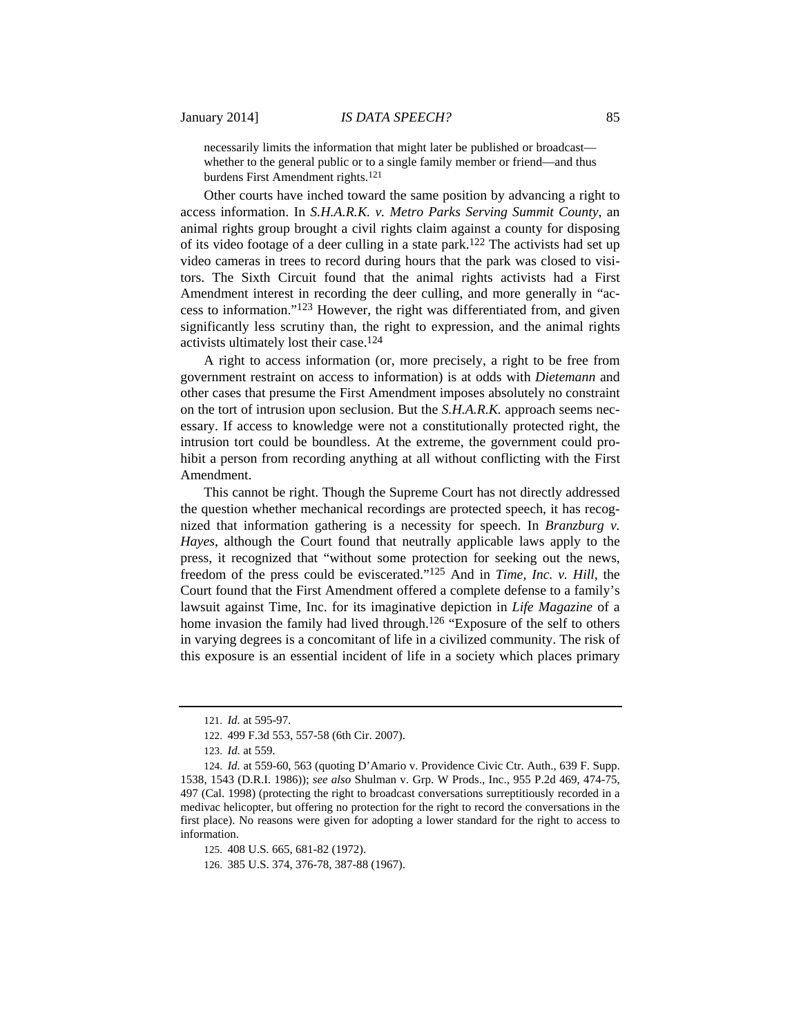necessarily limits the information that might later be published or broadcast whether to the general public or to a single family member or friend—and thus burdens First Amendment rights.<sup>121</sup>

Other courts have inched toward the same position by advancing a right to access information. In *S.H.A.R.K. v. Metro Parks Serving Summit County*, an animal rights group brought a civil rights claim against a county for disposing of its video footage of a deer culling in a state park.122 The activists had set up video cameras in trees to record during hours that the park was closed to visitors. The Sixth Circuit found that the animal rights activists had a First Amendment interest in recording the deer culling, and more generally in "access to information."123 However, the right was differentiated from, and given significantly less scrutiny than, the right to expression, and the animal rights activists ultimately lost their case.124

A right to access information (or, more precisely, a right to be free from government restraint on access to information) is at odds with *Dietemann* and other cases that presume the First Amendment imposes absolutely no constraint on the tort of intrusion upon seclusion. But the *S.H.A.R.K.* approach seems necessary. If access to knowledge were not a constitutionally protected right, the intrusion tort could be boundless. At the extreme, the government could prohibit a person from recording anything at all without conflicting with the First Amendment.

This cannot be right. Though the Supreme Court has not directly addressed the question whether mechanical recordings are protected speech, it has recognized that information gathering is a necessity for speech. In *Branzburg v. Hayes*, although the Court found that neutrally applicable laws apply to the press, it recognized that "without some protection for seeking out the news, freedom of the press could be eviscerated."125 And in *Time, Inc. v. Hill*, the Court found that the First Amendment offered a complete defense to a family's lawsuit against Time, Inc. for its imaginative depiction in *Life Magazine* of a home invasion the family had lived through.<sup>126</sup> "Exposure of the self to others in varying degrees is a concomitant of life in a civilized community. The risk of this exposure is an essential incident of life in a society which places primary

125. 408 U.S. 665, 681-82 (1972).

126. 385 U.S. 374, 376-78, 387-88 (1967).

<sup>121.</sup> *Id.* at 595-97.

<sup>122. 499</sup> F.3d 553, 557-58 (6th Cir. 2007).

<sup>123.</sup> *Id.* at 559.

<sup>124.</sup> *Id.* at 559-60, 563 (quoting D'Amario v. Providence Civic Ctr. Auth., 639 F. Supp. 1538, 1543 (D.R.I. 1986)); *see also* Shulman v. Grp. W Prods., Inc., 955 P.2d 469, 474-75, 497 (Cal. 1998) (protecting the right to broadcast conversations surreptitiously recorded in a medivac helicopter, but offering no protection for the right to record the conversations in the first place). No reasons were given for adopting a lower standard for the right to access to information.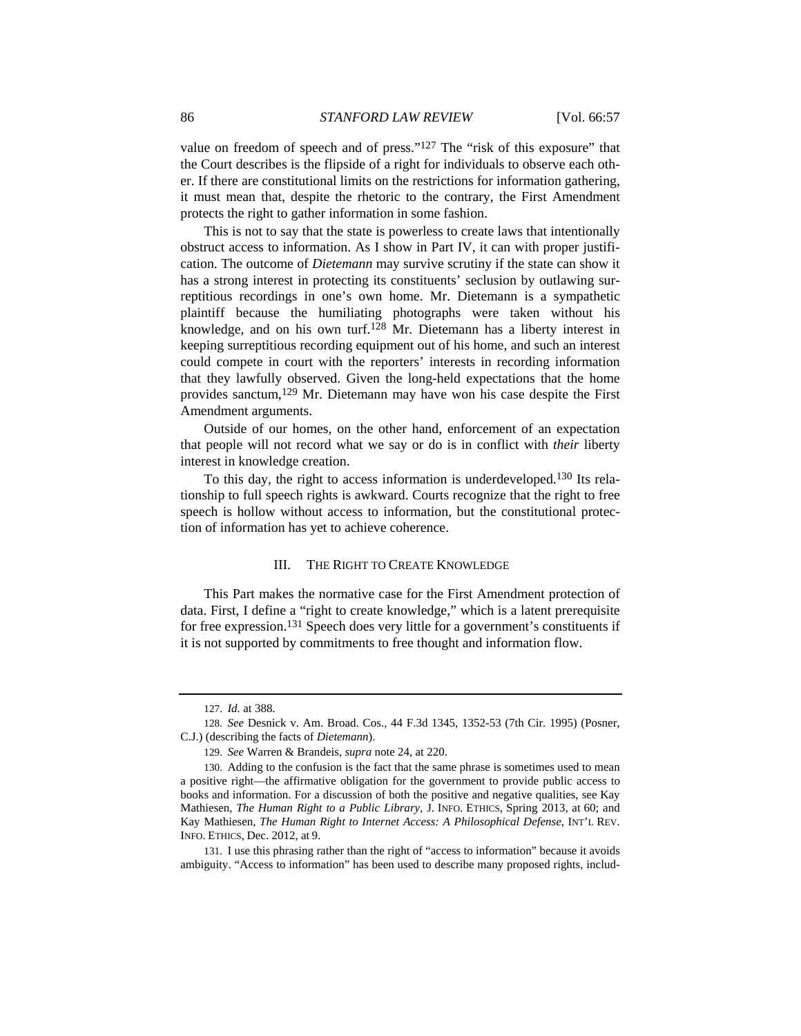value on freedom of speech and of press." $127$  The "risk of this exposure" that the Court describes is the flipside of a right for individuals to observe each other. If there are constitutional limits on the restrictions for information gathering, it must mean that, despite the rhetoric to the contrary, the First Amendment protects the right to gather information in some fashion.

This is not to say that the state is powerless to create laws that intentionally obstruct access to information. As I show in Part IV, it can with proper justification. The outcome of *Dietemann* may survive scrutiny if the state can show it has a strong interest in protecting its constituents' seclusion by outlawing surreptitious recordings in one's own home. Mr. Dietemann is a sympathetic plaintiff because the humiliating photographs were taken without his knowledge, and on his own turf.<sup>128</sup> Mr. Dietemann has a liberty interest in keeping surreptitious recording equipment out of his home, and such an interest could compete in court with the reporters' interests in recording information that they lawfully observed. Given the long-held expectations that the home provides sanctum,129 Mr. Dietemann may have won his case despite the First Amendment arguments.

Outside of our homes, on the other hand, enforcement of an expectation that people will not record what we say or do is in conflict with *their* liberty interest in knowledge creation.

To this day, the right to access information is underdeveloped.130 Its relationship to full speech rights is awkward. Courts recognize that the right to free speech is hollow without access to information, but the constitutional protection of information has yet to achieve coherence.

# III. THE RIGHT TO CREATE KNOWLEDGE

This Part makes the normative case for the First Amendment protection of data. First, I define a "right to create knowledge," which is a latent prerequisite for free expression.131 Speech does very little for a government's constituents if it is not supported by commitments to free thought and information flow.

131. I use this phrasing rather than the right of "access to information" because it avoids ambiguity. "Access to information" has been used to describe many proposed rights, includ-

<sup>127.</sup> *Id.* at 388.

<sup>128.</sup> *See* Desnick v. Am. Broad. Cos., 44 F.3d 1345, 1352-53 (7th Cir. 1995) (Posner, C.J.) (describing the facts of *Dietemann*).

<sup>129.</sup> *See* Warren & Brandeis, *supra* note 24, at 220.

<sup>130.</sup> Adding to the confusion is the fact that the same phrase is sometimes used to mean a positive right—the affirmative obligation for the government to provide public access to books and information. For a discussion of both the positive and negative qualities, see Kay Mathiesen, *The Human Right to a Public Library*, J. INFO. ETHICS, Spring 2013, at 60; and Kay Mathiesen*, The Human Right to Internet Access: A Philosophical Defense*, INT'L REV. INFO. ETHICS, Dec. 2012, at 9.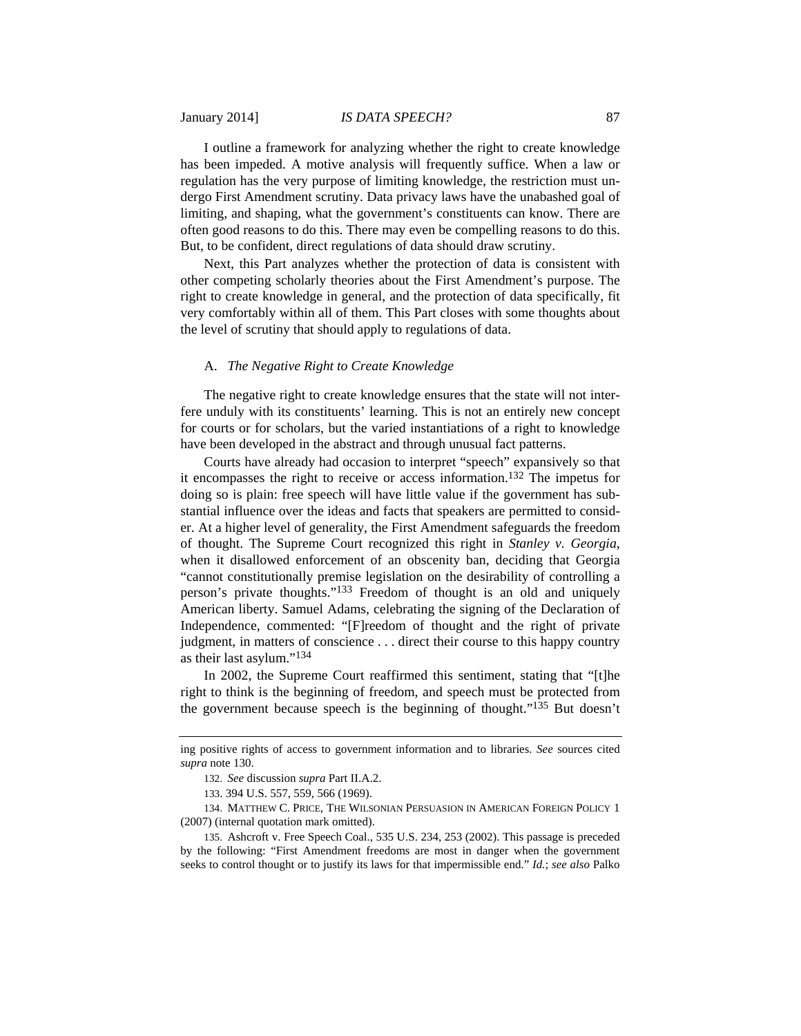## January 2014] *IS DATA SPEECH?* 87

I outline a framework for analyzing whether the right to create knowledge has been impeded. A motive analysis will frequently suffice. When a law or regulation has the very purpose of limiting knowledge, the restriction must undergo First Amendment scrutiny. Data privacy laws have the unabashed goal of limiting, and shaping, what the government's constituents can know. There are often good reasons to do this. There may even be compelling reasons to do this. But, to be confident, direct regulations of data should draw scrutiny.

Next, this Part analyzes whether the protection of data is consistent with other competing scholarly theories about the First Amendment's purpose. The right to create knowledge in general, and the protection of data specifically, fit very comfortably within all of them. This Part closes with some thoughts about the level of scrutiny that should apply to regulations of data.

# A. *The Negative Right to Create Knowledge*

The negative right to create knowledge ensures that the state will not interfere unduly with its constituents' learning. This is not an entirely new concept for courts or for scholars, but the varied instantiations of a right to knowledge have been developed in the abstract and through unusual fact patterns.

Courts have already had occasion to interpret "speech" expansively so that it encompasses the right to receive or access information.132 The impetus for doing so is plain: free speech will have little value if the government has substantial influence over the ideas and facts that speakers are permitted to consider. At a higher level of generality, the First Amendment safeguards the freedom of thought. The Supreme Court recognized this right in *Stanley v. Georgia*, when it disallowed enforcement of an obscenity ban, deciding that Georgia "cannot constitutionally premise legislation on the desirability of controlling a person's private thoughts."133 Freedom of thought is an old and uniquely American liberty. Samuel Adams, celebrating the signing of the Declaration of Independence, commented: "[F]reedom of thought and the right of private judgment, in matters of conscience . . . direct their course to this happy country as their last asylum."134

In 2002, the Supreme Court reaffirmed this sentiment, stating that "[t]he right to think is the beginning of freedom, and speech must be protected from the government because speech is the beginning of thought."135 But doesn't

ing positive rights of access to government information and to libraries. *See* sources cited *supra* note 130.

<sup>132.</sup> *See* discussion *supra* Part II.A.2.

<sup>133. 394</sup> U.S. 557, 559, 566 (1969).

<sup>134.</sup> MATTHEW C. PRICE, THE WILSONIAN PERSUASION IN AMERICAN FOREIGN POLICY 1 (2007) (internal quotation mark omitted).

<sup>135.</sup> Ashcroft v. Free Speech Coal., 535 U.S. 234, 253 (2002). This passage is preceded by the following: "First Amendment freedoms are most in danger when the government seeks to control thought or to justify its laws for that impermissible end." *Id.*; *see also* Palko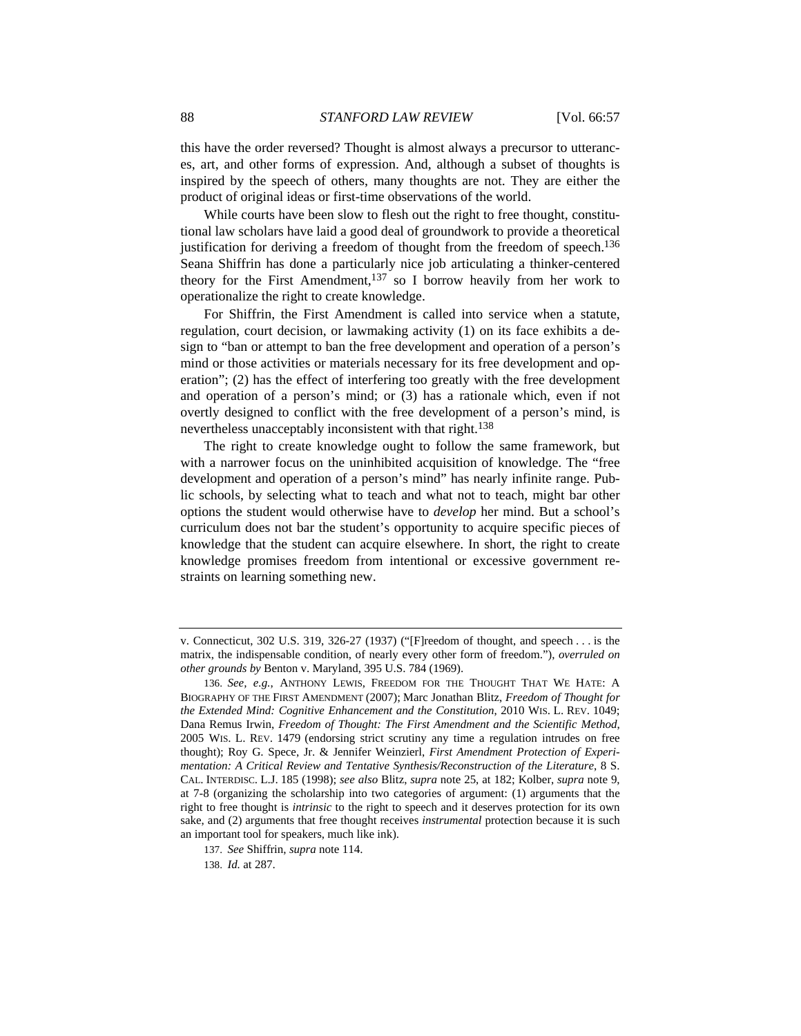this have the order reversed? Thought is almost always a precursor to utterances, art, and other forms of expression. And, although a subset of thoughts is inspired by the speech of others, many thoughts are not. They are either the product of original ideas or first-time observations of the world.

While courts have been slow to flesh out the right to free thought, constitutional law scholars have laid a good deal of groundwork to provide a theoretical justification for deriving a freedom of thought from the freedom of speech.<sup>136</sup> Seana Shiffrin has done a particularly nice job articulating a thinker-centered theory for the First Amendment, $137$  so I borrow heavily from her work to operationalize the right to create knowledge.

For Shiffrin, the First Amendment is called into service when a statute, regulation, court decision, or lawmaking activity (1) on its face exhibits a design to "ban or attempt to ban the free development and operation of a person's mind or those activities or materials necessary for its free development and operation"; (2) has the effect of interfering too greatly with the free development and operation of a person's mind; or (3) has a rationale which, even if not overtly designed to conflict with the free development of a person's mind, is nevertheless unacceptably inconsistent with that right.<sup>138</sup>

The right to create knowledge ought to follow the same framework, but with a narrower focus on the uninhibited acquisition of knowledge. The "free development and operation of a person's mind" has nearly infinite range. Public schools, by selecting what to teach and what not to teach, might bar other options the student would otherwise have to *develop* her mind. But a school's curriculum does not bar the student's opportunity to acquire specific pieces of knowledge that the student can acquire elsewhere. In short, the right to create knowledge promises freedom from intentional or excessive government restraints on learning something new.

137. *See* Shiffrin, *supra* note 114.

138. *Id.* at 287.

v. Connecticut, 302 U.S. 319, 326-27 (1937) ("[F]reedom of thought, and speech . . . is the matrix, the indispensable condition, of nearly every other form of freedom."), *overruled on other grounds by* Benton v. Maryland, 395 U.S. 784 (1969).

<sup>136.</sup> *See, e.g.*, ANTHONY LEWIS, FREEDOM FOR THE THOUGHT THAT WE HATE: A BIOGRAPHY OF THE FIRST AMENDMENT (2007); Marc Jonathan Blitz, *Freedom of Thought for the Extended Mind: Cognitive Enhancement and the Constitution*, 2010 WIS. L. REV. 1049; Dana Remus Irwin, *Freedom of Thought: The First Amendment and the Scientific Method*, 2005 WIS. L. REV. 1479 (endorsing strict scrutiny any time a regulation intrudes on free thought); Roy G. Spece, Jr. & Jennifer Weinzierl, *First Amendment Protection of Experimentation: A Critical Review and Tentative Synthesis/Reconstruction of the Literature*, 8 S. CAL. INTERDISC. L.J. 185 (1998); *see also* Blitz, *supra* note 25, at 182; Kolber, *supra* note 9, at 7-8 (organizing the scholarship into two categories of argument: (1) arguments that the right to free thought is *intrinsic* to the right to speech and it deserves protection for its own sake, and (2) arguments that free thought receives *instrumental* protection because it is such an important tool for speakers, much like ink).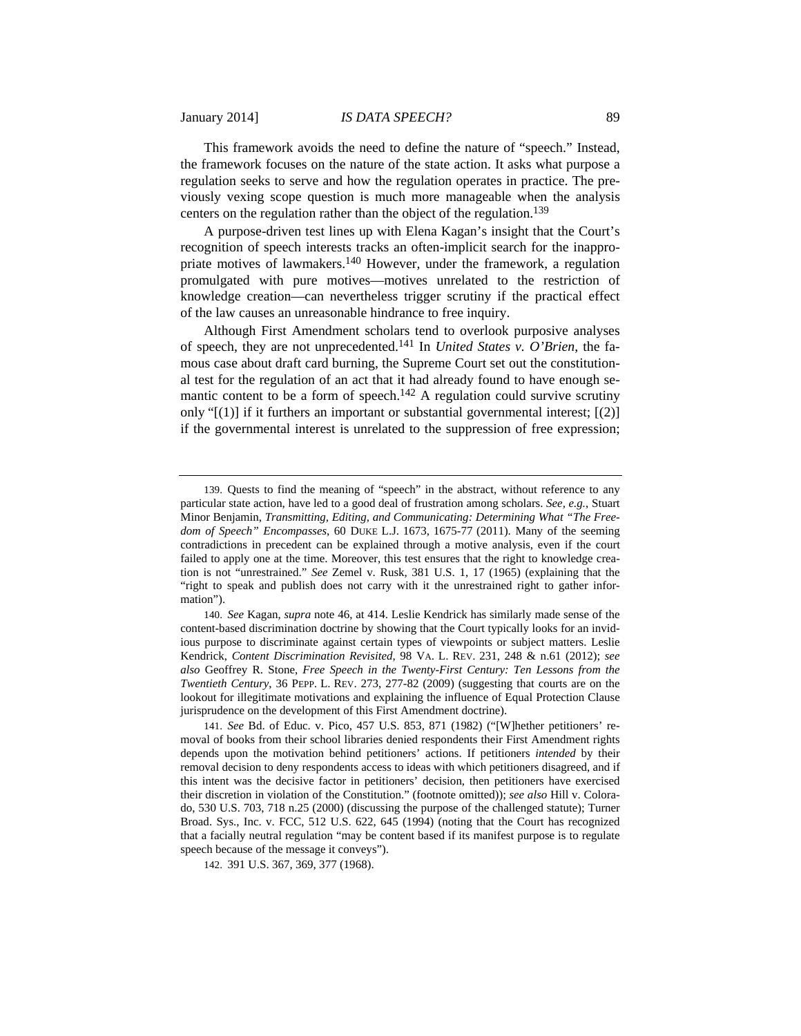## January 2014] *IS DATA SPEECH?* 89

This framework avoids the need to define the nature of "speech." Instead, the framework focuses on the nature of the state action. It asks what purpose a regulation seeks to serve and how the regulation operates in practice. The previously vexing scope question is much more manageable when the analysis centers on the regulation rather than the object of the regulation.139

A purpose-driven test lines up with Elena Kagan's insight that the Court's recognition of speech interests tracks an often-implicit search for the inappropriate motives of lawmakers.140 However, under the framework, a regulation promulgated with pure motives—motives unrelated to the restriction of knowledge creation—can nevertheless trigger scrutiny if the practical effect of the law causes an unreasonable hindrance to free inquiry.

Although First Amendment scholars tend to overlook purposive analyses of speech, they are not unprecedented.141 In *United States v. O'Brien*, the famous case about draft card burning, the Supreme Court set out the constitutional test for the regulation of an act that it had already found to have enough semantic content to be a form of speech.<sup>142</sup> A regulation could survive scrutiny only " $[(1)]$  if it furthers an important or substantial governmental interest;  $[(2)]$ if the governmental interest is unrelated to the suppression of free expression;

<sup>139.</sup> Quests to find the meaning of "speech" in the abstract, without reference to any particular state action, have led to a good deal of frustration among scholars. *See, e.g.*, Stuart Minor Benjamin, *Transmitting, Editing, and Communicating: Determining What "The Freedom of Speech" Encompasses*, 60 DUKE L.J. 1673, 1675-77 (2011). Many of the seeming contradictions in precedent can be explained through a motive analysis, even if the court failed to apply one at the time. Moreover, this test ensures that the right to knowledge creation is not "unrestrained." *See* Zemel v. Rusk, 381 U.S. 1, 17 (1965) (explaining that the "right to speak and publish does not carry with it the unrestrained right to gather information").

<sup>140.</sup> *See* Kagan, *supra* note 46, at 414. Leslie Kendrick has similarly made sense of the content-based discrimination doctrine by showing that the Court typically looks for an invidious purpose to discriminate against certain types of viewpoints or subject matters. Leslie Kendrick, *Content Discrimination Revisited*, 98 VA. L. REV. 231, 248 & n.61 (2012); *see also* Geoffrey R. Stone, *Free Speech in the Twenty-First Century: Ten Lessons from the Twentieth Century*, 36 PEPP. L. REV. 273, 277-82 (2009) (suggesting that courts are on the lookout for illegitimate motivations and explaining the influence of Equal Protection Clause jurisprudence on the development of this First Amendment doctrine).

<sup>141.</sup> *See* Bd. of Educ. v. Pico, 457 U.S. 853, 871 (1982) ("[W]hether petitioners' removal of books from their school libraries denied respondents their First Amendment rights depends upon the motivation behind petitioners' actions. If petitioners *intended* by their removal decision to deny respondents access to ideas with which petitioners disagreed, and if this intent was the decisive factor in petitioners' decision, then petitioners have exercised their discretion in violation of the Constitution." (footnote omitted)); *see also* Hill v. Colorado, 530 U.S. 703, 718 n.25 (2000) (discussing the purpose of the challenged statute); Turner Broad. Sys., Inc. v. FCC, 512 U.S. 622, 645 (1994) (noting that the Court has recognized that a facially neutral regulation "may be content based if its manifest purpose is to regulate speech because of the message it conveys").

<sup>142. 391</sup> U.S. 367, 369, 377 (1968).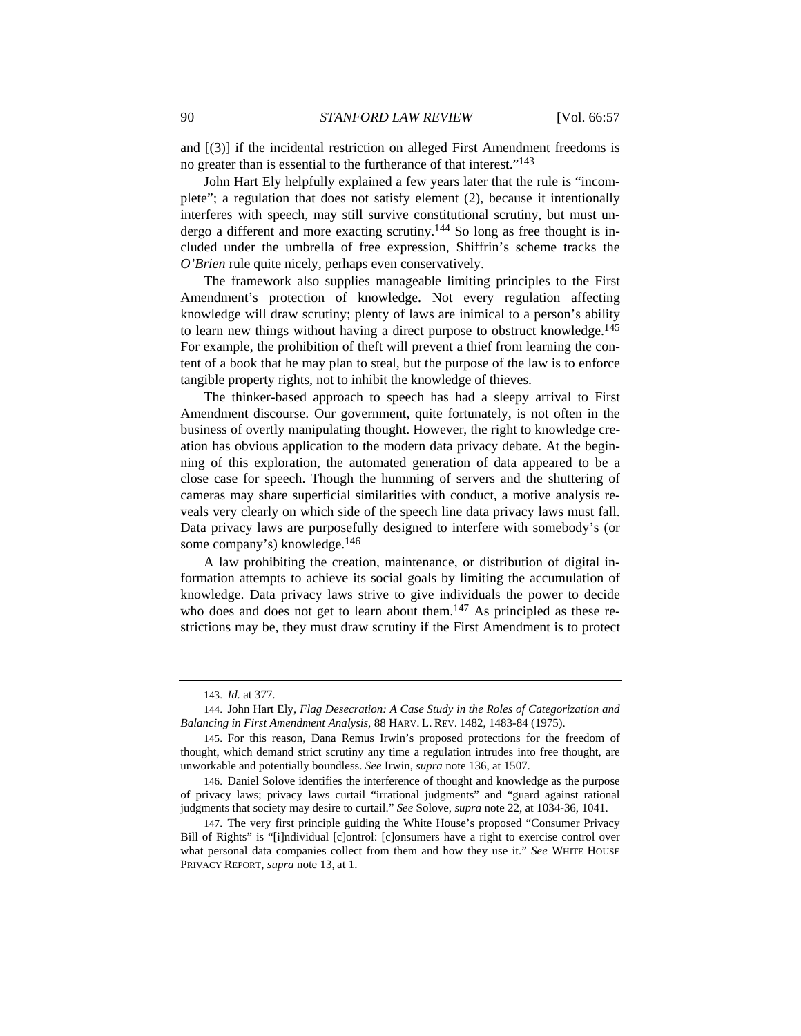and [(3)] if the incidental restriction on alleged First Amendment freedoms is no greater than is essential to the furtherance of that interest."143

John Hart Ely helpfully explained a few years later that the rule is "incomplete"; a regulation that does not satisfy element (2), because it intentionally interferes with speech, may still survive constitutional scrutiny, but must undergo a different and more exacting scrutiny.<sup>144</sup> So long as free thought is included under the umbrella of free expression, Shiffrin's scheme tracks the *O'Brien* rule quite nicely, perhaps even conservatively.

The framework also supplies manageable limiting principles to the First Amendment's protection of knowledge. Not every regulation affecting knowledge will draw scrutiny; plenty of laws are inimical to a person's ability to learn new things without having a direct purpose to obstruct knowledge.145 For example, the prohibition of theft will prevent a thief from learning the content of a book that he may plan to steal, but the purpose of the law is to enforce tangible property rights, not to inhibit the knowledge of thieves.

The thinker-based approach to speech has had a sleepy arrival to First Amendment discourse. Our government, quite fortunately, is not often in the business of overtly manipulating thought. However, the right to knowledge creation has obvious application to the modern data privacy debate. At the beginning of this exploration, the automated generation of data appeared to be a close case for speech. Though the humming of servers and the shuttering of cameras may share superficial similarities with conduct, a motive analysis reveals very clearly on which side of the speech line data privacy laws must fall. Data privacy laws are purposefully designed to interfere with somebody's (or some company's) knowledge.<sup>146</sup>

A law prohibiting the creation, maintenance, or distribution of digital information attempts to achieve its social goals by limiting the accumulation of knowledge. Data privacy laws strive to give individuals the power to decide who does and does not get to learn about them.<sup>147</sup> As principled as these restrictions may be, they must draw scrutiny if the First Amendment is to protect

<sup>143.</sup> *Id.* at 377.

<sup>144.</sup> John Hart Ely, *Flag Desecration: A Case Study in the Roles of Categorization and Balancing in First Amendment Analysis*, 88 HARV. L. REV. 1482, 1483-84 (1975).

<sup>145.</sup> For this reason, Dana Remus Irwin's proposed protections for the freedom of thought, which demand strict scrutiny any time a regulation intrudes into free thought, are unworkable and potentially boundless. *See* Irwin, *supra* note 136, at 1507.

<sup>146.</sup> Daniel Solove identifies the interference of thought and knowledge as the purpose of privacy laws; privacy laws curtail "irrational judgments" and "guard against rational judgments that society may desire to curtail." *See* Solove, *supra* note 22, at 1034-36, 1041.

<sup>147.</sup> The very first principle guiding the White House's proposed "Consumer Privacy Bill of Rights" is "[i]ndividual [c]ontrol: [c]onsumers have a right to exercise control over what personal data companies collect from them and how they use it." *See* WHITE HOUSE PRIVACY REPORT, *supra* note 13, at 1.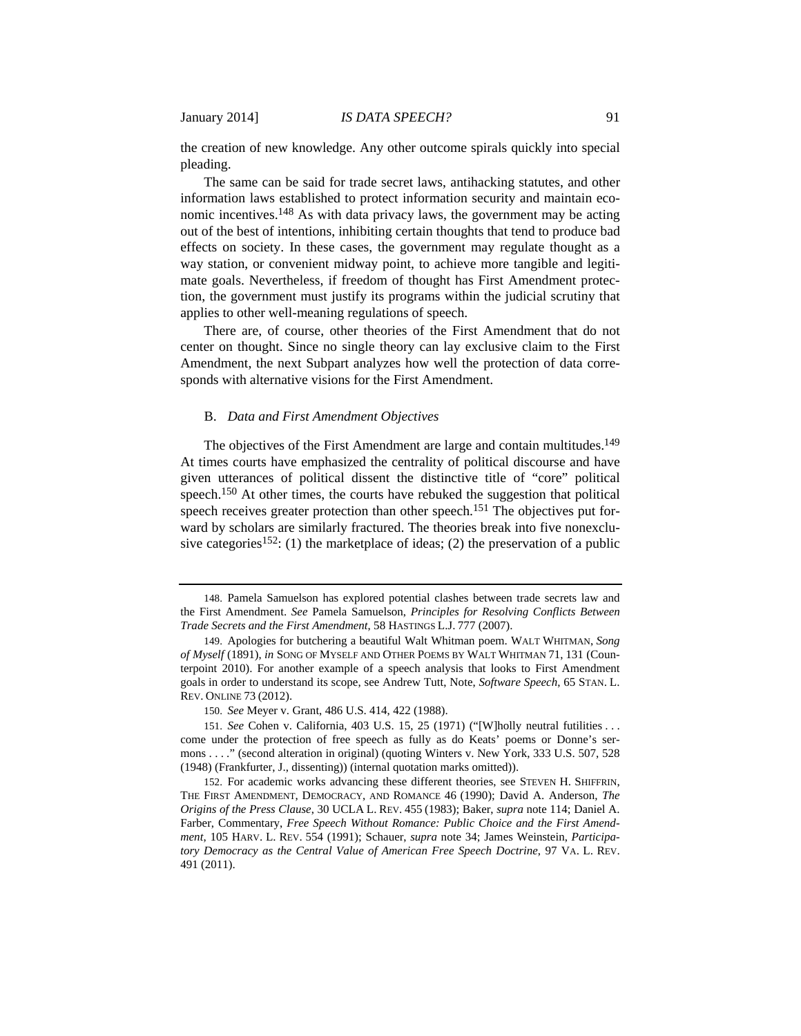the creation of new knowledge. Any other outcome spirals quickly into special pleading.

The same can be said for trade secret laws, antihacking statutes, and other information laws established to protect information security and maintain economic incentives.148 As with data privacy laws, the government may be acting out of the best of intentions, inhibiting certain thoughts that tend to produce bad effects on society. In these cases, the government may regulate thought as a way station, or convenient midway point, to achieve more tangible and legitimate goals. Nevertheless, if freedom of thought has First Amendment protection, the government must justify its programs within the judicial scrutiny that applies to other well-meaning regulations of speech.

There are, of course, other theories of the First Amendment that do not center on thought. Since no single theory can lay exclusive claim to the First Amendment, the next Subpart analyzes how well the protection of data corresponds with alternative visions for the First Amendment.

# B. *Data and First Amendment Objectives*

The objectives of the First Amendment are large and contain multitudes.<sup>149</sup> At times courts have emphasized the centrality of political discourse and have given utterances of political dissent the distinctive title of "core" political speech.<sup>150</sup> At other times, the courts have rebuked the suggestion that political speech receives greater protection than other speech.<sup>151</sup> The objectives put forward by scholars are similarly fractured. The theories break into five nonexclusive categories<sup>152</sup>: (1) the marketplace of ideas; (2) the preservation of a public

<sup>148.</sup> Pamela Samuelson has explored potential clashes between trade secrets law and the First Amendment. *See* Pamela Samuelson, *Principles for Resolving Conflicts Between Trade Secrets and the First Amendment*, 58 HASTINGS L.J. 777 (2007).

<sup>149.</sup> Apologies for butchering a beautiful Walt Whitman poem. WALT WHITMAN, *Song of Myself* (1891), *in* SONG OF MYSELF AND OTHER POEMS BY WALT WHITMAN 71, 131 (Counterpoint 2010). For another example of a speech analysis that looks to First Amendment goals in order to understand its scope, see Andrew Tutt, Note, *Software Speech*, 65 STAN. L. REV. ONLINE 73 (2012).

<sup>150.</sup> *See* Meyer v. Grant, 486 U.S. 414, 422 (1988).

<sup>151.</sup> *See* Cohen v. California, 403 U.S. 15, 25 (1971) ("[W]holly neutral futilities . . . come under the protection of free speech as fully as do Keats' poems or Donne's sermons . . . ." (second alteration in original) (quoting Winters v. New York, 333 U.S. 507, 528 (1948) (Frankfurter, J., dissenting)) (internal quotation marks omitted)).

<sup>152.</sup> For academic works advancing these different theories, see STEVEN H. SHIFFRIN, THE FIRST AMENDMENT, DEMOCRACY, AND ROMANCE 46 (1990); David A. Anderson, *The Origins of the Press Clause*, 30 UCLA L. REV. 455 (1983); Baker, *supra* note 114; Daniel A. Farber, Commentary, *Free Speech Without Romance: Public Choice and the First Amendment*, 105 HARV. L. REV. 554 (1991); Schauer, *supra* note 34; James Weinstein, *Participatory Democracy as the Central Value of American Free Speech Doctrine*, 97 VA. L. REV. 491 (2011).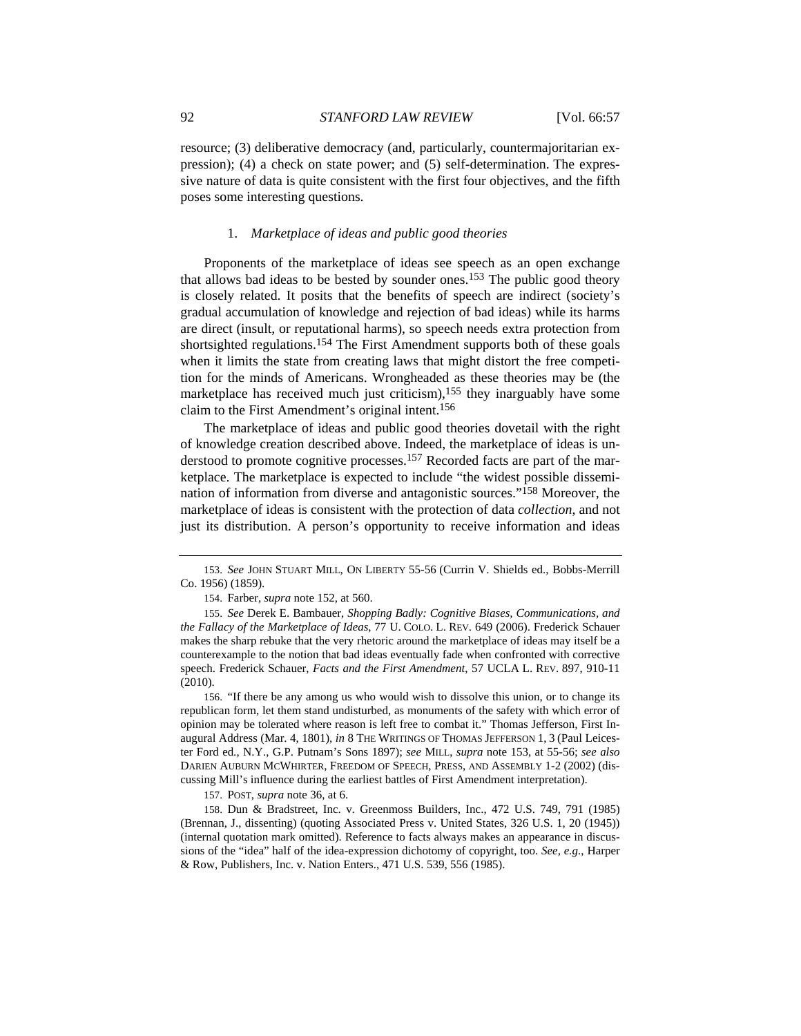resource; (3) deliberative democracy (and, particularly, countermajoritarian expression); (4) a check on state power; and (5) self-determination. The expressive nature of data is quite consistent with the first four objectives, and the fifth poses some interesting questions.

# 1. *Marketplace of ideas and public good theories*

Proponents of the marketplace of ideas see speech as an open exchange that allows bad ideas to be bested by sounder ones.153 The public good theory is closely related. It posits that the benefits of speech are indirect (society's gradual accumulation of knowledge and rejection of bad ideas) while its harms are direct (insult, or reputational harms), so speech needs extra protection from shortsighted regulations.154 The First Amendment supports both of these goals when it limits the state from creating laws that might distort the free competition for the minds of Americans. Wrongheaded as these theories may be (the marketplace has received much just criticism), $155$  they inarguably have some claim to the First Amendment's original intent.156

The marketplace of ideas and public good theories dovetail with the right of knowledge creation described above. Indeed, the marketplace of ideas is understood to promote cognitive processes.<sup>157</sup> Recorded facts are part of the marketplace. The marketplace is expected to include "the widest possible dissemination of information from diverse and antagonistic sources."158 Moreover, the marketplace of ideas is consistent with the protection of data *collection*, and not just its distribution. A person's opportunity to receive information and ideas

153. *See* JOHN STUART MILL, ON LIBERTY 55-56 (Currin V. Shields ed., Bobbs-Merrill Co. 1956) (1859).

154. Farber, *supra* note 152, at 560.

155. *See* Derek E. Bambauer, *Shopping Badly: Cognitive Biases, Communications, and the Fallacy of the Marketplace of Ideas*, 77 U. COLO. L. REV. 649 (2006). Frederick Schauer makes the sharp rebuke that the very rhetoric around the marketplace of ideas may itself be a counterexample to the notion that bad ideas eventually fade when confronted with corrective speech. Frederick Schauer, *Facts and the First Amendment*, 57 UCLA L. REV. 897, 910-11 (2010).

156. "If there be any among us who would wish to dissolve this union, or to change its republican form, let them stand undisturbed, as monuments of the safety with which error of opinion may be tolerated where reason is left free to combat it." Thomas Jefferson, First Inaugural Address (Mar. 4, 1801), *in* 8 THE WRITINGS OF THOMAS JEFFERSON 1, 3 (Paul Leicester Ford ed., N.Y., G.P. Putnam's Sons 1897); *see* MILL, *supra* note 153, at 55-56; *see also*  DARIEN AUBURN MCWHIRTER, FREEDOM OF SPEECH, PRESS, AND ASSEMBLY 1-2 (2002) (discussing Mill's influence during the earliest battles of First Amendment interpretation).

157. POST, *supra* note 36, at 6.

158. Dun & Bradstreet, Inc. v. Greenmoss Builders, Inc., 472 U.S. 749, 791 (1985) (Brennan, J., dissenting) (quoting Associated Press v. United States, 326 U.S. 1, 20 (1945)) (internal quotation mark omitted). Reference to facts always makes an appearance in discussions of the "idea" half of the idea-expression dichotomy of copyright, too. *See, e.g.*, Harper & Row, Publishers, Inc. v. Nation Enters., 471 U.S. 539, 556 (1985).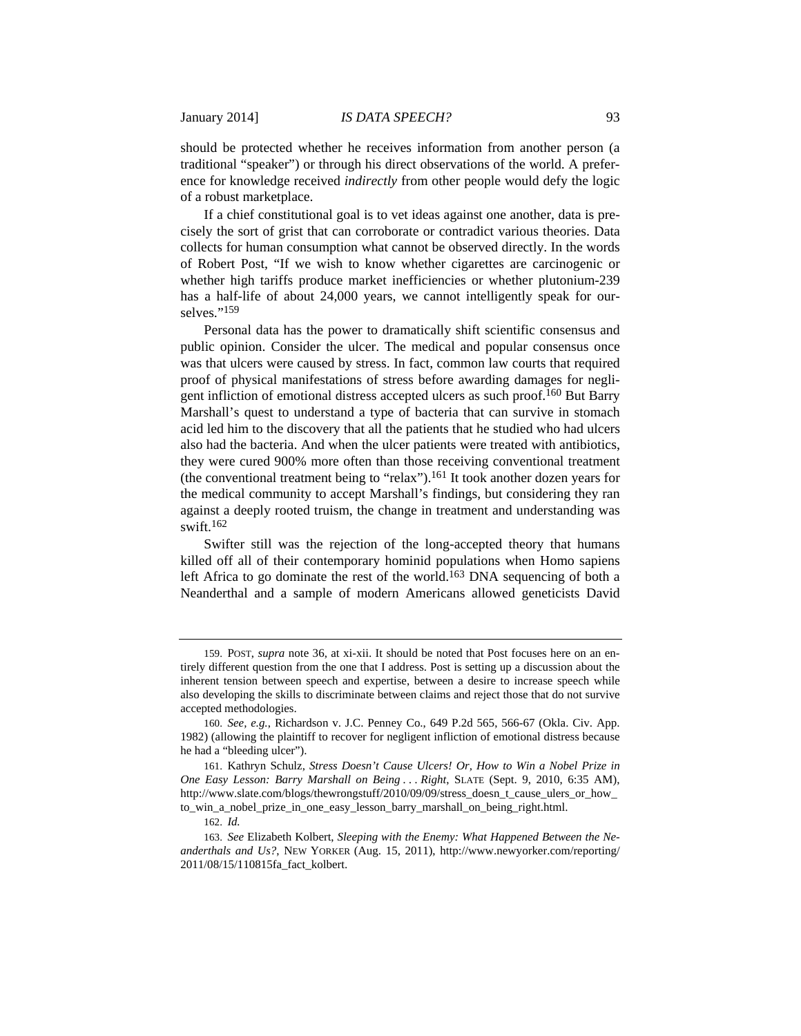should be protected whether he receives information from another person (a traditional "speaker") or through his direct observations of the world. A preference for knowledge received *indirectly* from other people would defy the logic of a robust marketplace.

If a chief constitutional goal is to vet ideas against one another, data is precisely the sort of grist that can corroborate or contradict various theories. Data collects for human consumption what cannot be observed directly. In the words of Robert Post, "If we wish to know whether cigarettes are carcinogenic or whether high tariffs produce market inefficiencies or whether plutonium-239 has a half-life of about 24,000 years, we cannot intelligently speak for ourselves."<sup>159</sup>

Personal data has the power to dramatically shift scientific consensus and public opinion. Consider the ulcer. The medical and popular consensus once was that ulcers were caused by stress. In fact, common law courts that required proof of physical manifestations of stress before awarding damages for negligent infliction of emotional distress accepted ulcers as such proof.160 But Barry Marshall's quest to understand a type of bacteria that can survive in stomach acid led him to the discovery that all the patients that he studied who had ulcers also had the bacteria. And when the ulcer patients were treated with antibiotics, they were cured 900% more often than those receiving conventional treatment (the conventional treatment being to "relax").<sup>161</sup> It took another dozen years for the medical community to accept Marshall's findings, but considering they ran against a deeply rooted truism, the change in treatment and understanding was swift.162

Swifter still was the rejection of the long-accepted theory that humans killed off all of their contemporary hominid populations when Homo sapiens left Africa to go dominate the rest of the world.<sup>163</sup> DNA sequencing of both a Neanderthal and a sample of modern Americans allowed geneticists David

161. Kathryn Schulz, *Stress Doesn't Cause Ulcers! Or, How to Win a Nobel Prize in One Easy Lesson: Barry Marshall on Being . . . Right*, SLATE (Sept. 9, 2010, 6:35 AM), http://www.slate.com/blogs/thewrongstuff/2010/09/09/stress\_doesn\_t\_cause\_ulers\_or\_how\_ to\_win\_a\_nobel\_prize\_in\_one\_easy\_lesson\_barry\_marshall\_on\_being\_right.html.

<sup>159.</sup> POST, *supra* note 36, at xi-xii. It should be noted that Post focuses here on an entirely different question from the one that I address. Post is setting up a discussion about the inherent tension between speech and expertise, between a desire to increase speech while also developing the skills to discriminate between claims and reject those that do not survive accepted methodologies.

<sup>160.</sup> *See, e.g.*, Richardson v. J.C. Penney Co., 649 P.2d 565, 566-67 (Okla. Civ. App. 1982) (allowing the plaintiff to recover for negligent infliction of emotional distress because he had a "bleeding ulcer").

<sup>162.</sup> *Id.* 

<sup>163.</sup> *See* Elizabeth Kolbert, *Sleeping with the Enemy: What Happened Between the Neanderthals and Us?*, NEW YORKER (Aug. 15, 2011), http://www.newyorker.com/reporting/ 2011/08/15/110815fa\_fact\_kolbert.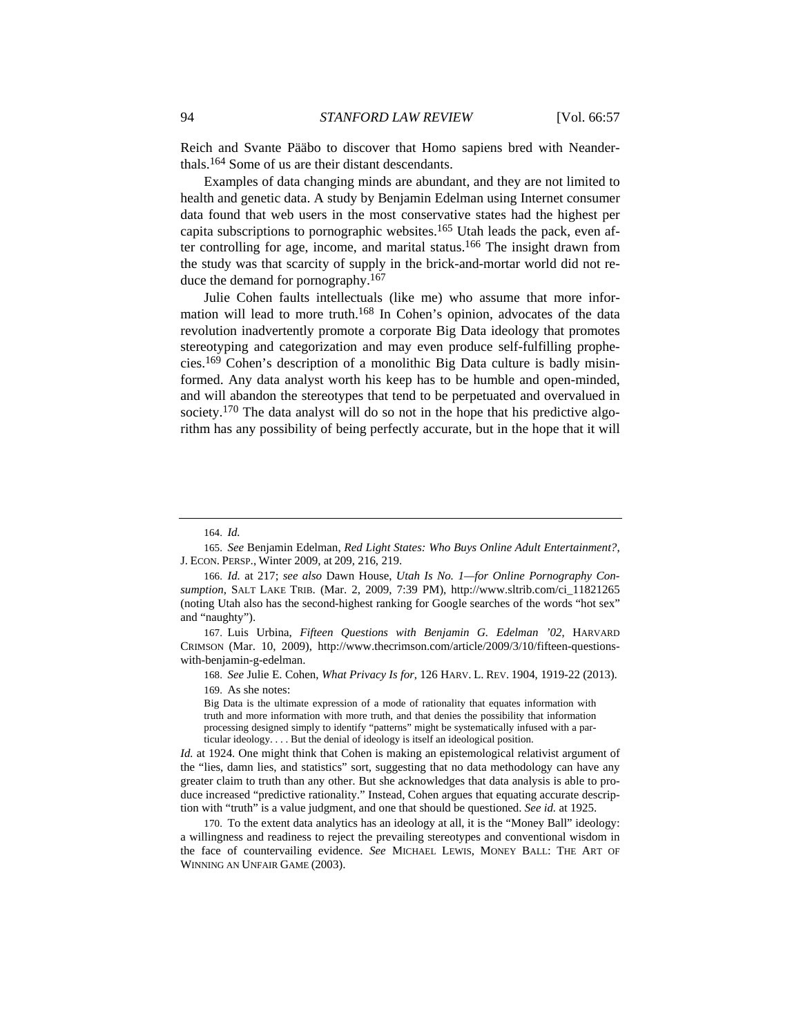Reich and Svante Pääbo to discover that Homo sapiens bred with Neanderthals.164 Some of us are their distant descendants.

Examples of data changing minds are abundant, and they are not limited to health and genetic data. A study by Benjamin Edelman using Internet consumer data found that web users in the most conservative states had the highest per capita subscriptions to pornographic websites.165 Utah leads the pack, even after controlling for age, income, and marital status.<sup>166</sup> The insight drawn from the study was that scarcity of supply in the brick-and-mortar world did not reduce the demand for pornography.167

Julie Cohen faults intellectuals (like me) who assume that more information will lead to more truth.<sup>168</sup> In Cohen's opinion, advocates of the data revolution inadvertently promote a corporate Big Data ideology that promotes stereotyping and categorization and may even produce self-fulfilling prophecies.169 Cohen's description of a monolithic Big Data culture is badly misinformed. Any data analyst worth his keep has to be humble and open-minded, and will abandon the stereotypes that tend to be perpetuated and overvalued in society.<sup>170</sup> The data analyst will do so not in the hope that his predictive algorithm has any possibility of being perfectly accurate, but in the hope that it will

167. Luis Urbina, *Fifteen Questions with Benjamin G. Edelman '02*, HARVARD CRIMSON (Mar. 10, 2009), http://www.thecrimson.com/article/2009/3/10/fifteen-questionswith-benjamin-g-edelman.

168. *See* Julie E. Cohen, *What Privacy Is for*, 126 HARV. L. REV. 1904, 1919-22 (2013). 169. As she notes:

Big Data is the ultimate expression of a mode of rationality that equates information with truth and more information with more truth, and that denies the possibility that information processing designed simply to identify "patterns" might be systematically infused with a particular ideology. . . . But the denial of ideology is itself an ideological position.

*Id.* at 1924. One might think that Cohen is making an epistemological relativist argument of the "lies, damn lies, and statistics" sort, suggesting that no data methodology can have any greater claim to truth than any other. But she acknowledges that data analysis is able to produce increased "predictive rationality." Instead, Cohen argues that equating accurate description with "truth" is a value judgment, and one that should be questioned. *See id.* at 1925.

170. To the extent data analytics has an ideology at all, it is the "Money Ball" ideology: a willingness and readiness to reject the prevailing stereotypes and conventional wisdom in the face of countervailing evidence. *See* MICHAEL LEWIS, MONEY BALL: THE ART OF WINNING AN UNFAIR GAME (2003).

<sup>164.</sup> *Id.* 

<sup>165.</sup> *See* Benjamin Edelman, *Red Light States: Who Buys Online Adult Entertainment?*, J. ECON. PERSP., Winter 2009, at 209, 216, 219.

<sup>166.</sup> *Id.* at 217; *see also* Dawn House, *Utah Is No. 1—for Online Pornography Consumption*, SALT LAKE TRIB. (Mar. 2, 2009, 7:39 PM), http://www.sltrib.com/ci\_11821265 (noting Utah also has the second-highest ranking for Google searches of the words "hot sex" and "naughty").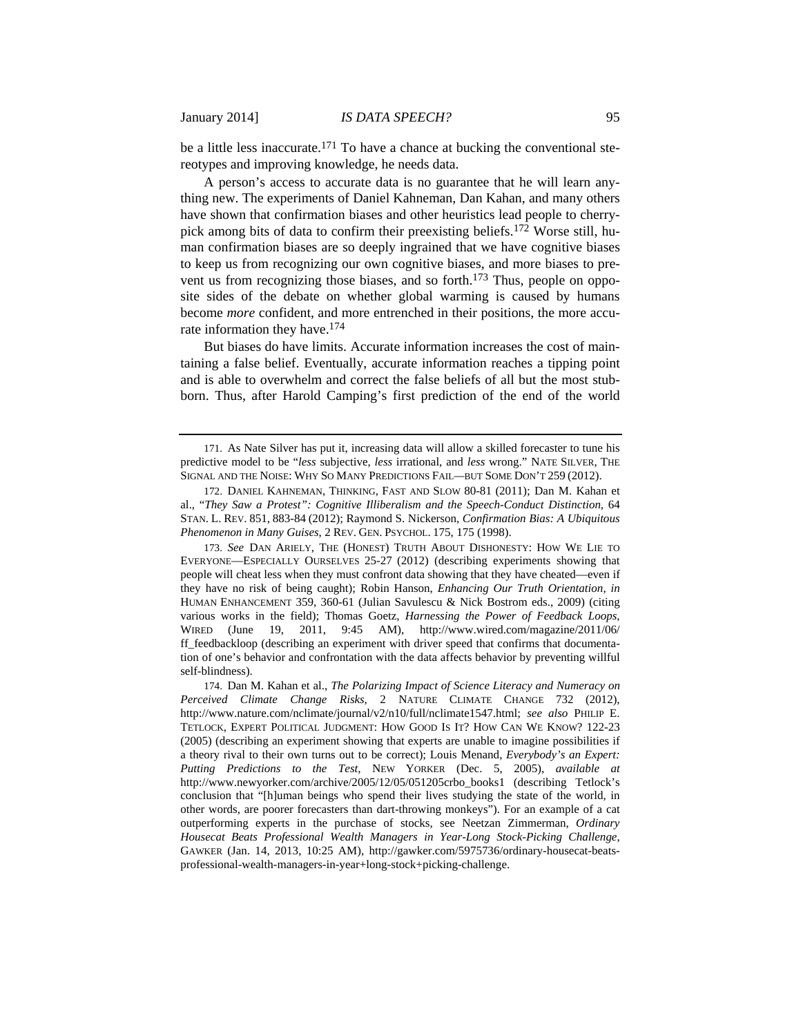be a little less inaccurate.<sup>171</sup> To have a chance at bucking the conventional stereotypes and improving knowledge, he needs data.

A person's access to accurate data is no guarantee that he will learn anything new. The experiments of Daniel Kahneman, Dan Kahan, and many others have shown that confirmation biases and other heuristics lead people to cherrypick among bits of data to confirm their preexisting beliefs.172 Worse still, human confirmation biases are so deeply ingrained that we have cognitive biases to keep us from recognizing our own cognitive biases, and more biases to prevent us from recognizing those biases, and so forth.<sup>173</sup> Thus, people on opposite sides of the debate on whether global warming is caused by humans become *more* confident, and more entrenched in their positions, the more accurate information they have.174

But biases do have limits. Accurate information increases the cost of maintaining a false belief. Eventually, accurate information reaches a tipping point and is able to overwhelm and correct the false beliefs of all but the most stubborn. Thus, after Harold Camping's first prediction of the end of the world

<sup>171.</sup> As Nate Silver has put it, increasing data will allow a skilled forecaster to tune his predictive model to be "*less* subjective, *less* irrational, and *less* wrong." NATE SILVER, THE SIGNAL AND THE NOISE: WHY SO MANY PREDICTIONS FAIL*—*BUT SOME DON'T 259 (2012).

<sup>172.</sup> DANIEL KAHNEMAN, THINKING, FAST AND SLOW 80-81 (2011); Dan M. Kahan et al., "*They Saw a Protest": Cognitive Illiberalism and the Speech-Conduct Distinction*, 64 STAN. L. REV. 851, 883-84 (2012); Raymond S. Nickerson, *Confirmation Bias: A Ubiquitous Phenomenon in Many Guises*, 2 REV. GEN. PSYCHOL. 175, 175 (1998).

<sup>173.</sup> *See* DAN ARIELY, THE (HONEST) TRUTH ABOUT DISHONESTY: HOW WE LIE TO EVERYONE—ESPECIALLY OURSELVES 25-27 (2012) (describing experiments showing that people will cheat less when they must confront data showing that they have cheated—even if they have no risk of being caught); Robin Hanson, *Enhancing Our Truth Orientation*, *in* HUMAN ENHANCEMENT 359, 360-61 (Julian Savulescu & Nick Bostrom eds., 2009) (citing various works in the field); Thomas Goetz, *Harnessing the Power of Feedback Loops*, WIRED (June 19, 2011, 9:45 AM), http://www.wired.com/magazine/2011/06/ ff\_feedbackloop (describing an experiment with driver speed that confirms that documentation of one's behavior and confrontation with the data affects behavior by preventing willful self-blindness).

<sup>174.</sup> Dan M. Kahan et al., *The Polarizing Impact of Science Literacy and Numeracy on Perceived Climate Change Risks*, 2 NATURE CLIMATE CHANGE 732 (2012), http://www.nature.com/nclimate/journal/v2/n10/full/nclimate1547.html; *see also* PHILIP E. TETLOCK, EXPERT POLITICAL JUDGMENT: HOW GOOD IS IT? HOW CAN WE KNOW? 122-23 (2005) (describing an experiment showing that experts are unable to imagine possibilities if a theory rival to their own turns out to be correct); Louis Menand, *Everybody's an Expert: Putting Predictions to the Test*, NEW YORKER (Dec. 5, 2005), *available at*  http://www.newyorker.com/archive/2005/12/05/051205crbo\_books1 (describing Tetlock's conclusion that "[h]uman beings who spend their lives studying the state of the world, in other words, are poorer forecasters than dart-throwing monkeys"). For an example of a cat outperforming experts in the purchase of stocks, see Neetzan Zimmerman, *Ordinary Housecat Beats Professional Wealth Managers in Year-Long Stock-Picking Challenge*, GAWKER (Jan. 14, 2013, 10:25 AM), http://gawker.com/5975736/ordinary-housecat-beatsprofessional-wealth-managers-in-year+long-stock+picking-challenge.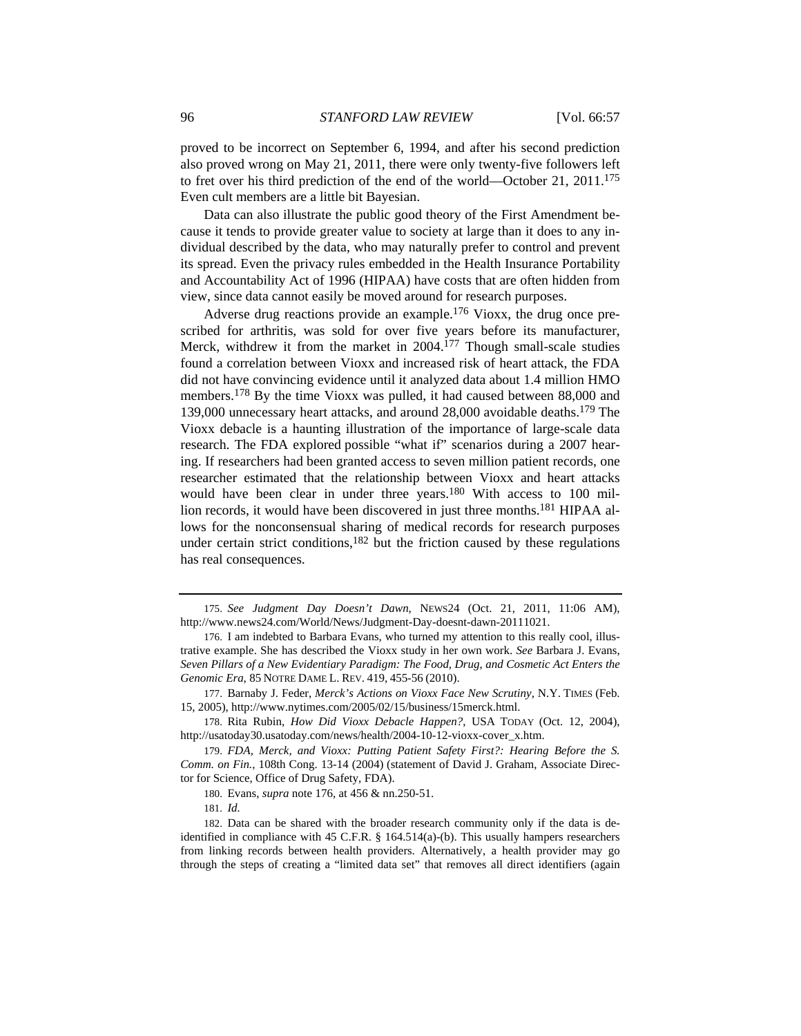proved to be incorrect on September 6, 1994, and after his second prediction also proved wrong on May 21, 2011, there were only twenty-five followers left to fret over his third prediction of the end of the world—October 21, 2011.175 Even cult members are a little bit Bayesian.

Data can also illustrate the public good theory of the First Amendment because it tends to provide greater value to society at large than it does to any individual described by the data, who may naturally prefer to control and prevent its spread. Even the privacy rules embedded in the Health Insurance Portability and Accountability Act of 1996 (HIPAA) have costs that are often hidden from view, since data cannot easily be moved around for research purposes.

Adverse drug reactions provide an example.<sup>176</sup> Vioxx, the drug once prescribed for arthritis, was sold for over five years before its manufacturer, Merck, withdrew it from the market in 2004.177 Though small-scale studies found a correlation between Vioxx and increased risk of heart attack, the FDA did not have convincing evidence until it analyzed data about 1.4 million HMO members.178 By the time Vioxx was pulled, it had caused between 88,000 and 139,000 unnecessary heart attacks, and around 28,000 avoidable deaths.179 The Vioxx debacle is a haunting illustration of the importance of large-scale data research. The FDA explored possible "what if" scenarios during a 2007 hearing. If researchers had been granted access to seven million patient records, one researcher estimated that the relationship between Vioxx and heart attacks would have been clear in under three years.180 With access to 100 million records, it would have been discovered in just three months.<sup>181</sup> HIPAA allows for the nonconsensual sharing of medical records for research purposes under certain strict conditions, $182$  but the friction caused by these regulations has real consequences.

181. *Id.*

<sup>175.</sup> *See Judgment Day Doesn't Dawn*, NEWS24 (Oct. 21, 2011, 11:06 AM), http://www.news24.com/World/News/Judgment-Day-doesnt-dawn-20111021.

<sup>176.</sup> I am indebted to Barbara Evans, who turned my attention to this really cool, illustrative example. She has described the Vioxx study in her own work. *See* Barbara J. Evans, *Seven Pillars of a New Evidentiary Paradigm: The Food, Drug, and Cosmetic Act Enters the Genomic Era*, 85 NOTRE DAME L. REV. 419, 455-56 (2010).

<sup>177.</sup> Barnaby J. Feder, *Merck's Actions on Vioxx Face New Scrutiny*, N.Y. TIMES (Feb. 15, 2005), http://www.nytimes.com/2005/02/15/business/15merck.html.

<sup>178.</sup> Rita Rubin, *How Did Vioxx Debacle Happen?*, USA TODAY (Oct. 12, 2004), http://usatoday30.usatoday.com/news/health/2004-10-12-vioxx-cover\_x.htm.

<sup>179.</sup> *FDA, Merck, and Vioxx: Putting Patient Safety First?: Hearing Before the S. Comm. on Fin.*, 108th Cong. 13-14 (2004) (statement of David J. Graham, Associate Director for Science, Office of Drug Safety, FDA).

<sup>180.</sup> Evans, *supra* note 176, at 456 & nn.250-51.

<sup>182.</sup> Data can be shared with the broader research community only if the data is deidentified in compliance with 45 C.F.R. § 164.514(a)-(b). This usually hampers researchers from linking records between health providers. Alternatively, a health provider may go through the steps of creating a "limited data set" that removes all direct identifiers (again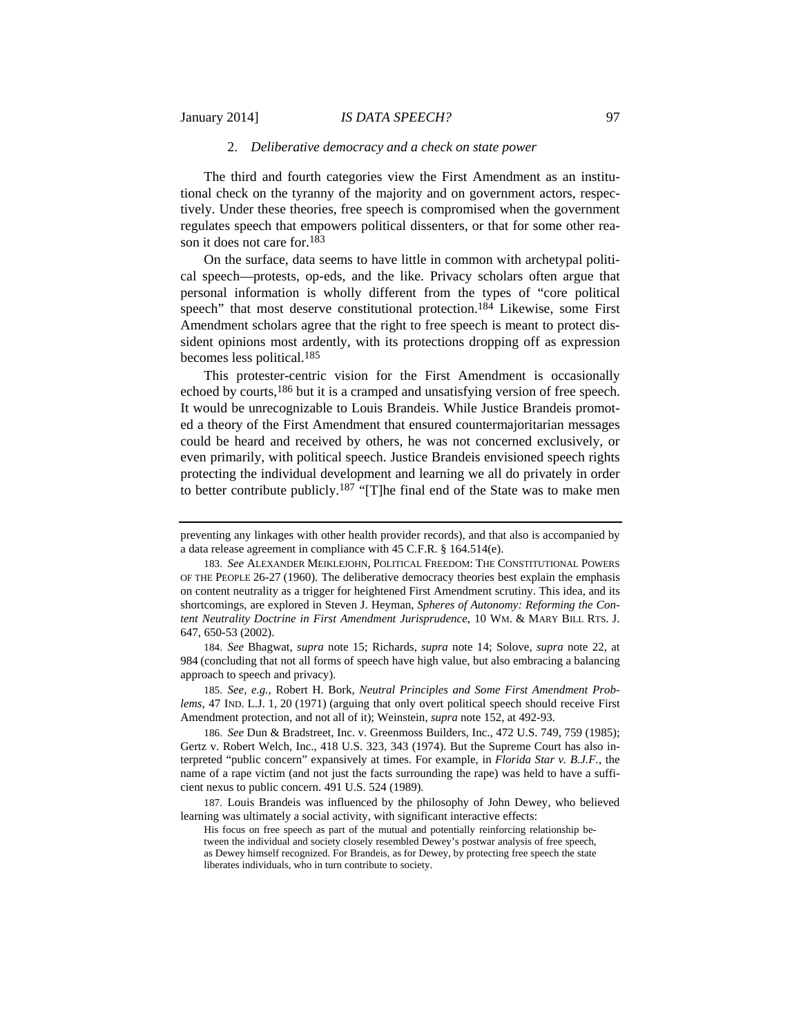# 2. *Deliberative democracy and a check on state power*

The third and fourth categories view the First Amendment as an institutional check on the tyranny of the majority and on government actors, respectively. Under these theories, free speech is compromised when the government regulates speech that empowers political dissenters, or that for some other reason it does not care for.183

On the surface, data seems to have little in common with archetypal political speech—protests, op-eds, and the like. Privacy scholars often argue that personal information is wholly different from the types of "core political speech" that most deserve constitutional protection.<sup>184</sup> Likewise, some First Amendment scholars agree that the right to free speech is meant to protect dissident opinions most ardently, with its protections dropping off as expression becomes less political.185

This protester-centric vision for the First Amendment is occasionally echoed by courts,<sup>186</sup> but it is a cramped and unsatisfying version of free speech. It would be unrecognizable to Louis Brandeis. While Justice Brandeis promoted a theory of the First Amendment that ensured countermajoritarian messages could be heard and received by others, he was not concerned exclusively, or even primarily, with political speech. Justice Brandeis envisioned speech rights protecting the individual development and learning we all do privately in order to better contribute publicly.187 "[T]he final end of the State was to make men

184. *See* Bhagwat, *supra* note 15; Richards, *supra* note 14; Solove, *supra* note 22, at 984 (concluding that not all forms of speech have high value, but also embracing a balancing approach to speech and privacy).

185. *See, e.g.*, Robert H. Bork, *Neutral Principles and Some First Amendment Problems*, 47 IND. L.J. 1, 20 (1971) (arguing that only overt political speech should receive First Amendment protection, and not all of it); Weinstein, *supra* note 152, at 492-93.

186. *See* Dun & Bradstreet, Inc. v. Greenmoss Builders, Inc., 472 U.S. 749, 759 (1985); Gertz v. Robert Welch, Inc., 418 U.S. 323, 343 (1974). But the Supreme Court has also interpreted "public concern" expansively at times. For example, in *Florida Star v. B.J.F.*, the name of a rape victim (and not just the facts surrounding the rape) was held to have a sufficient nexus to public concern. 491 U.S. 524 (1989).

187. Louis Brandeis was influenced by the philosophy of John Dewey, who believed learning was ultimately a social activity, with significant interactive effects:

His focus on free speech as part of the mutual and potentially reinforcing relationship between the individual and society closely resembled Dewey's postwar analysis of free speech, as Dewey himself recognized. For Brandeis, as for Dewey, by protecting free speech the state liberates individuals, who in turn contribute to society.

preventing any linkages with other health provider records), and that also is accompanied by a data release agreement in compliance with 45 C.F.R. § 164.514(e).

<sup>183.</sup> *See* ALEXANDER MEIKLEJOHN, POLITICAL FREEDOM: THE CONSTITUTIONAL POWERS OF THE PEOPLE 26-27 (1960). The deliberative democracy theories best explain the emphasis on content neutrality as a trigger for heightened First Amendment scrutiny. This idea, and its shortcomings, are explored in Steven J. Heyman, *Spheres of Autonomy: Reforming the Content Neutrality Doctrine in First Amendment Jurisprudence*, 10 WM. & MARY BILL RTS. J. 647, 650-53 (2002).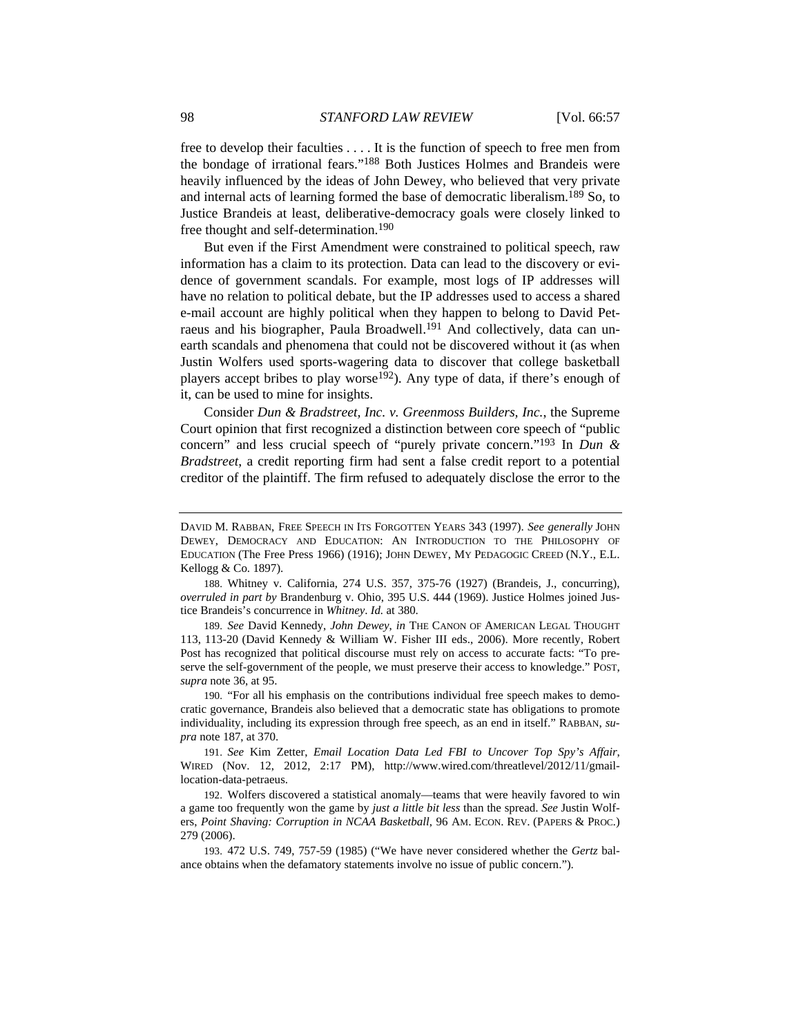free to develop their faculties . . . . It is the function of speech to free men from the bondage of irrational fears."188 Both Justices Holmes and Brandeis were heavily influenced by the ideas of John Dewey, who believed that very private and internal acts of learning formed the base of democratic liberalism.189 So, to Justice Brandeis at least, deliberative-democracy goals were closely linked to free thought and self-determination.190

But even if the First Amendment were constrained to political speech, raw information has a claim to its protection. Data can lead to the discovery or evidence of government scandals. For example, most logs of IP addresses will have no relation to political debate, but the IP addresses used to access a shared e-mail account are highly political when they happen to belong to David Petraeus and his biographer, Paula Broadwell.<sup>191</sup> And collectively, data can unearth scandals and phenomena that could not be discovered without it (as when Justin Wolfers used sports-wagering data to discover that college basketball players accept bribes to play worse<sup>192</sup>). Any type of data, if there's enough of it, can be used to mine for insights.

Consider *Dun & Bradstreet, Inc. v. Greenmoss Builders, Inc.*, the Supreme Court opinion that first recognized a distinction between core speech of "public concern" and less crucial speech of "purely private concern."193 In *Dun & Bradstreet*, a credit reporting firm had sent a false credit report to a potential creditor of the plaintiff. The firm refused to adequately disclose the error to the

189. *See* David Kennedy, *John Dewey*, *in* THE CANON OF AMERICAN LEGAL THOUGHT 113, 113-20 (David Kennedy & William W. Fisher III eds., 2006). More recently, Robert Post has recognized that political discourse must rely on access to accurate facts: "To preserve the self-government of the people, we must preserve their access to knowledge." POST, *supra* note 36, at 95.

190. "For all his emphasis on the contributions individual free speech makes to democratic governance, Brandeis also believed that a democratic state has obligations to promote individuality, including its expression through free speech, as an end in itself." RABBAN, *supra* note 187, at 370.

191. *See* Kim Zetter, *Email Location Data Led FBI to Uncover Top Spy's Affair*, WIRED (Nov. 12, 2012, 2:17 PM), http://www.wired.com/threatlevel/2012/11/gmaillocation-data-petraeus.

192. Wolfers discovered a statistical anomaly—teams that were heavily favored to win a game too frequently won the game by *just a little bit less* than the spread. *See* Justin Wolfers, *Point Shaving: Corruption in NCAA Basketball*, 96 AM. ECON. REV. (PAPERS & PROC.) 279 (2006).

193. 472 U.S. 749, 757-59 (1985) ("We have never considered whether the *Gertz* balance obtains when the defamatory statements involve no issue of public concern.").

DAVID M. RABBAN, FREE SPEECH IN ITS FORGOTTEN YEARS 343 (1997). *See generally* JOHN DEWEY, DEMOCRACY AND EDUCATION: AN INTRODUCTION TO THE PHILOSOPHY OF EDUCATION (The Free Press 1966) (1916); JOHN DEWEY, MY PEDAGOGIC CREED (N.Y., E.L. Kellogg & Co. 1897).

<sup>188.</sup> Whitney v. California, 274 U.S. 357, 375-76 (1927) (Brandeis, J., concurring), *overruled in part by* Brandenburg v. Ohio, 395 U.S. 444 (1969). Justice Holmes joined Justice Brandeis's concurrence in *Whitney*. *Id.* at 380.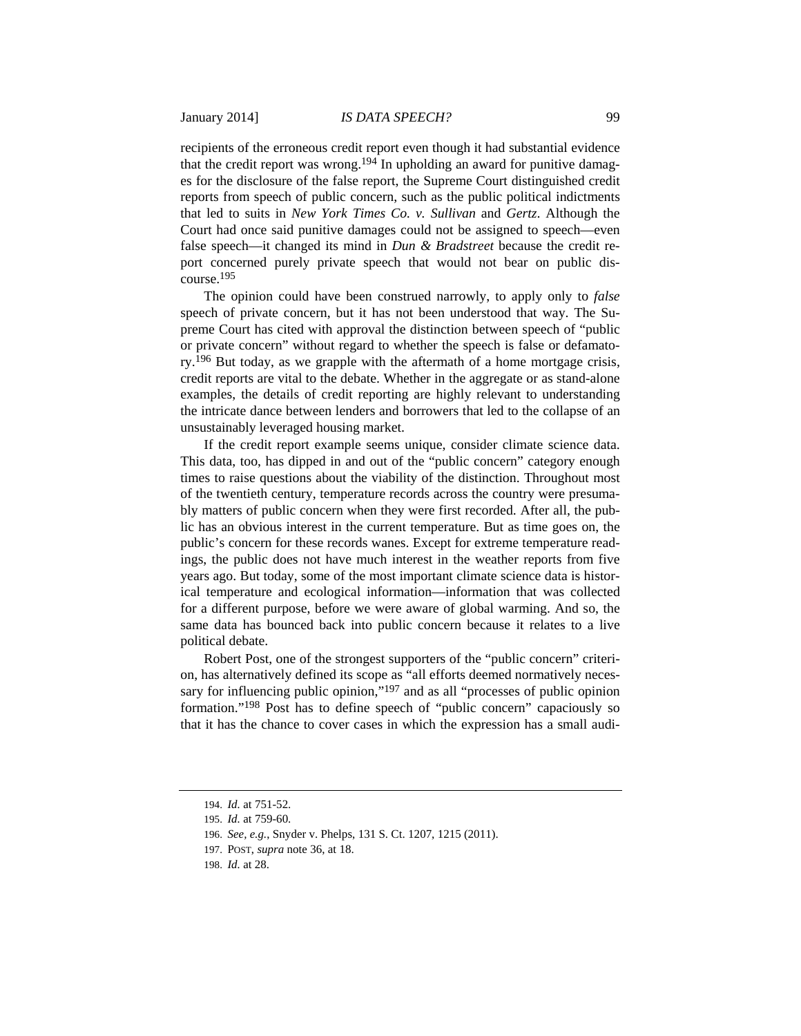recipients of the erroneous credit report even though it had substantial evidence that the credit report was wrong.<sup>194</sup> In upholding an award for punitive damages for the disclosure of the false report, the Supreme Court distinguished credit reports from speech of public concern, such as the public political indictments that led to suits in *New York Times Co. v. Sullivan* and *Gertz*. Although the Court had once said punitive damages could not be assigned to speech—even false speech—it changed its mind in *Dun & Bradstreet* because the credit report concerned purely private speech that would not bear on public discourse.195

The opinion could have been construed narrowly, to apply only to *false* speech of private concern, but it has not been understood that way. The Supreme Court has cited with approval the distinction between speech of "public or private concern" without regard to whether the speech is false or defamatory.196 But today, as we grapple with the aftermath of a home mortgage crisis, credit reports are vital to the debate. Whether in the aggregate or as stand-alone examples, the details of credit reporting are highly relevant to understanding the intricate dance between lenders and borrowers that led to the collapse of an unsustainably leveraged housing market.

If the credit report example seems unique, consider climate science data. This data, too, has dipped in and out of the "public concern" category enough times to raise questions about the viability of the distinction. Throughout most of the twentieth century, temperature records across the country were presumably matters of public concern when they were first recorded. After all, the public has an obvious interest in the current temperature. But as time goes on, the public's concern for these records wanes. Except for extreme temperature readings, the public does not have much interest in the weather reports from five years ago. But today, some of the most important climate science data is historical temperature and ecological information—information that was collected for a different purpose, before we were aware of global warming. And so, the same data has bounced back into public concern because it relates to a live political debate.

Robert Post, one of the strongest supporters of the "public concern" criterion, has alternatively defined its scope as "all efforts deemed normatively necessary for influencing public opinion,"<sup>197</sup> and as all "processes of public opinion formation."198 Post has to define speech of "public concern" capaciously so that it has the chance to cover cases in which the expression has a small audi-

<sup>194.</sup> *Id.* at 751-52.

<sup>195.</sup> *Id.* at 759-60.

<sup>196.</sup> *See, e.g.*, Snyder v. Phelps, 131 S. Ct. 1207, 1215 (2011).

<sup>197.</sup> POST, *supra* note 36, at 18.

<sup>198.</sup> *Id.* at 28.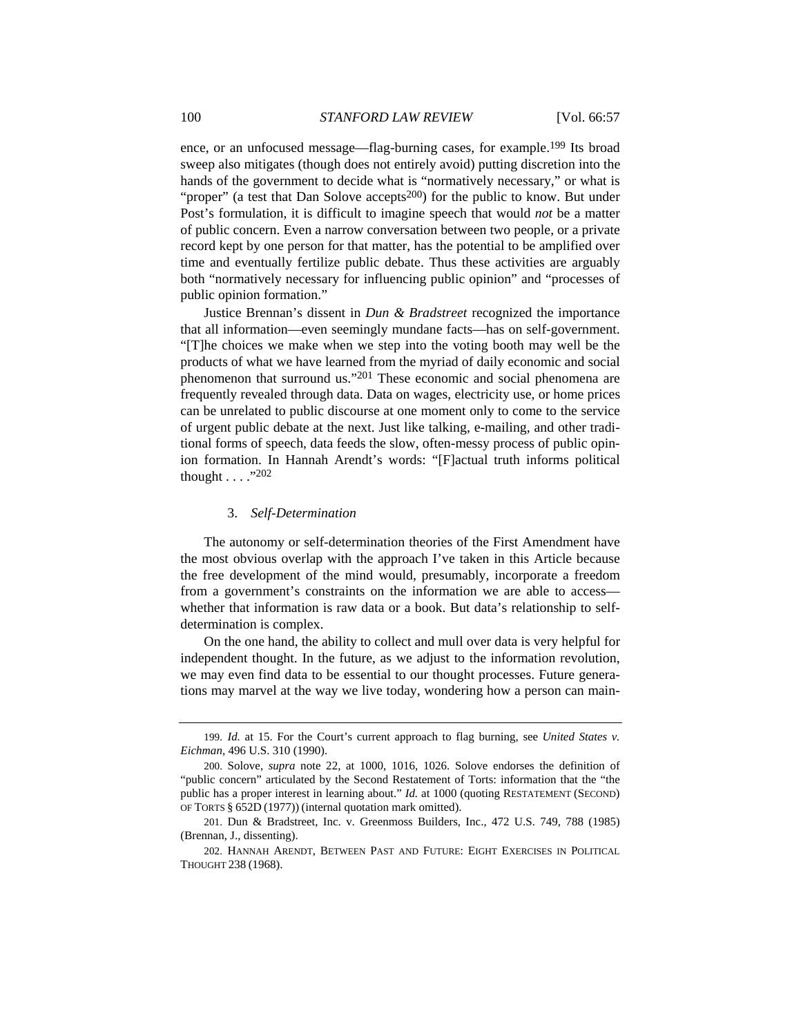ence, or an unfocused message—flag-burning cases, for example.199 Its broad sweep also mitigates (though does not entirely avoid) putting discretion into the hands of the government to decide what is "normatively necessary," or what is "proper" (a test that Dan Solove accepts<sup>200</sup>) for the public to know. But under Post's formulation, it is difficult to imagine speech that would *not* be a matter of public concern. Even a narrow conversation between two people, or a private record kept by one person for that matter, has the potential to be amplified over time and eventually fertilize public debate. Thus these activities are arguably both "normatively necessary for influencing public opinion" and "processes of public opinion formation."

 Justice Brennan's dissent in *Dun & Bradstreet* recognized the importance that all information—even seemingly mundane facts—has on self-government. "[T]he choices we make when we step into the voting booth may well be the products of what we have learned from the myriad of daily economic and social phenomenon that surround us."201 These economic and social phenomena are frequently revealed through data. Data on wages, electricity use, or home prices can be unrelated to public discourse at one moment only to come to the service of urgent public debate at the next. Just like talking, e-mailing, and other traditional forms of speech, data feeds the slow, often-messy process of public opinion formation. In Hannah Arendt's words: "[F]actual truth informs political thought . . . ."202

# 3. *Self-Determination*

The autonomy or self-determination theories of the First Amendment have the most obvious overlap with the approach I've taken in this Article because the free development of the mind would, presumably, incorporate a freedom from a government's constraints on the information we are able to access whether that information is raw data or a book. But data's relationship to selfdetermination is complex.

On the one hand, the ability to collect and mull over data is very helpful for independent thought. In the future, as we adjust to the information revolution, we may even find data to be essential to our thought processes. Future generations may marvel at the way we live today, wondering how a person can main-

<sup>199.</sup> *Id.* at 15. For the Court's current approach to flag burning, see *United States v. Eichman*, 496 U.S. 310 (1990).

<sup>200.</sup> Solove, *supra* note 22, at 1000, 1016, 1026. Solove endorses the definition of "public concern" articulated by the Second Restatement of Torts: information that the "the public has a proper interest in learning about." *Id.* at 1000 (quoting RESTATEMENT (SECOND) OF TORTS § 652D (1977)) (internal quotation mark omitted).

<sup>201.</sup> Dun & Bradstreet, Inc. v. Greenmoss Builders, Inc., 472 U.S. 749, 788 (1985) (Brennan, J., dissenting).

<sup>202.</sup> HANNAH ARENDT, BETWEEN PAST AND FUTURE: EIGHT EXERCISES IN POLITICAL THOUGHT 238 (1968).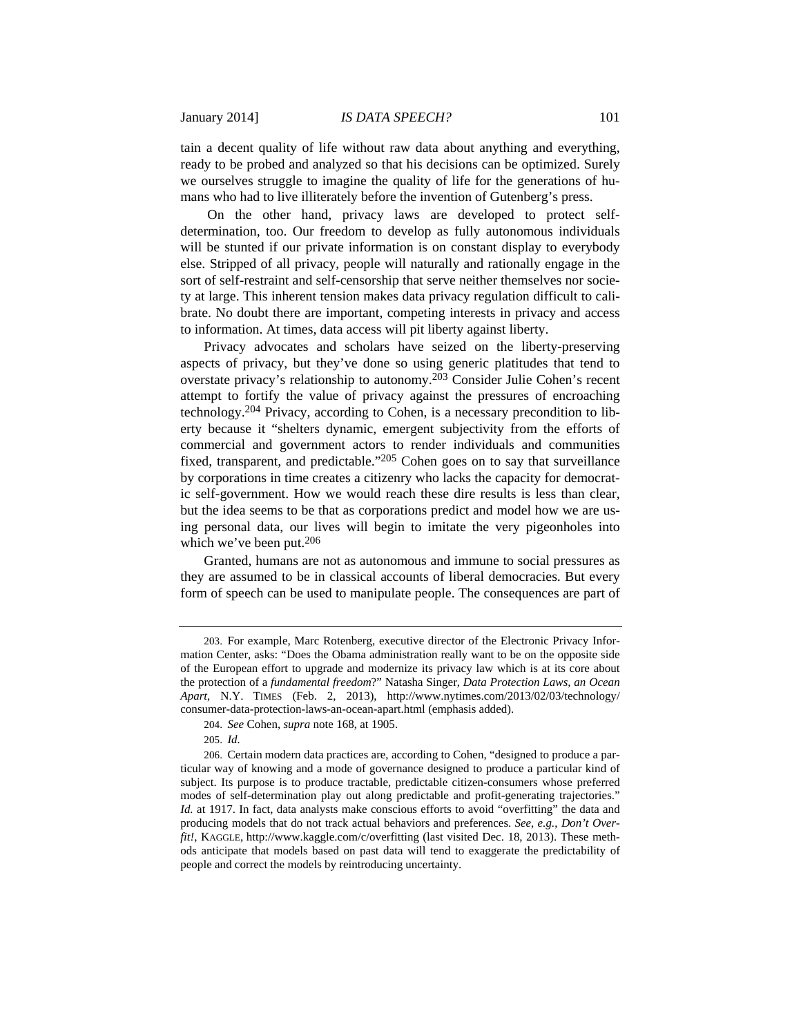tain a decent quality of life without raw data about anything and everything, ready to be probed and analyzed so that his decisions can be optimized. Surely we ourselves struggle to imagine the quality of life for the generations of humans who had to live illiterately before the invention of Gutenberg's press.

 On the other hand, privacy laws are developed to protect selfdetermination, too. Our freedom to develop as fully autonomous individuals will be stunted if our private information is on constant display to everybody else. Stripped of all privacy, people will naturally and rationally engage in the sort of self-restraint and self-censorship that serve neither themselves nor society at large. This inherent tension makes data privacy regulation difficult to calibrate. No doubt there are important, competing interests in privacy and access to information. At times, data access will pit liberty against liberty.

Privacy advocates and scholars have seized on the liberty-preserving aspects of privacy, but they've done so using generic platitudes that tend to overstate privacy's relationship to autonomy.203 Consider Julie Cohen's recent attempt to fortify the value of privacy against the pressures of encroaching technology.204 Privacy, according to Cohen, is a necessary precondition to liberty because it "shelters dynamic, emergent subjectivity from the efforts of commercial and government actors to render individuals and communities fixed, transparent, and predictable."205 Cohen goes on to say that surveillance by corporations in time creates a citizenry who lacks the capacity for democratic self-government. How we would reach these dire results is less than clear, but the idea seems to be that as corporations predict and model how we are using personal data, our lives will begin to imitate the very pigeonholes into which we've been put.206

Granted, humans are not as autonomous and immune to social pressures as they are assumed to be in classical accounts of liberal democracies. But every form of speech can be used to manipulate people. The consequences are part of

<sup>203.</sup> For example, Marc Rotenberg, executive director of the Electronic Privacy Information Center, asks: "Does the Obama administration really want to be on the opposite side of the European effort to upgrade and modernize its privacy law which is at its core about the protection of a *fundamental freedom*?" Natasha Singer, *Data Protection Laws, an Ocean Apart*, N.Y. TIMES (Feb. 2, 2013), http://www.nytimes.com/2013/02/03/technology/ consumer-data-protection-laws-an-ocean-apart.html (emphasis added).

<sup>204.</sup> *See* Cohen, *supra* note 168, at 1905.

<sup>205.</sup> *Id.*

<sup>206.</sup> Certain modern data practices are, according to Cohen, "designed to produce a particular way of knowing and a mode of governance designed to produce a particular kind of subject. Its purpose is to produce tractable, predictable citizen-consumers whose preferred modes of self-determination play out along predictable and profit-generating trajectories." *Id.* at 1917. In fact, data analysts make conscious efforts to avoid "overfitting" the data and producing models that do not track actual behaviors and preferences. *See, e.g.*, *Don't Overfit!*, KAGGLE, http://www.kaggle.com/c/overfitting (last visited Dec. 18, 2013). These methods anticipate that models based on past data will tend to exaggerate the predictability of people and correct the models by reintroducing uncertainty.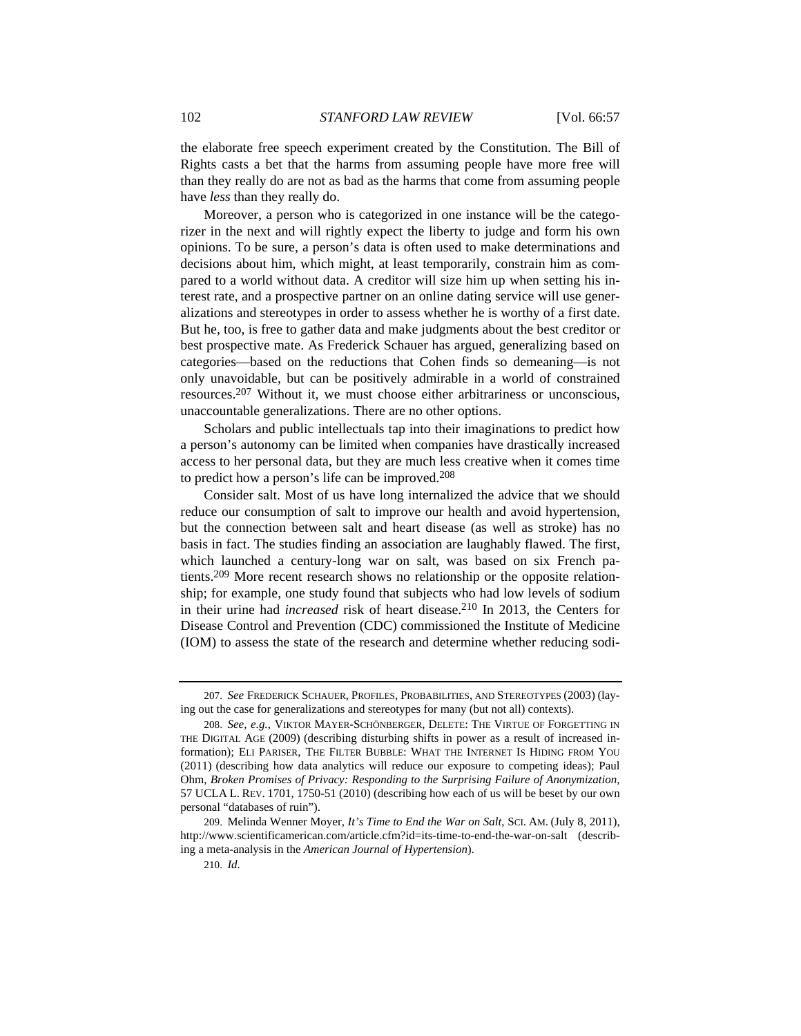the elaborate free speech experiment created by the Constitution. The Bill of Rights casts a bet that the harms from assuming people have more free will than they really do are not as bad as the harms that come from assuming people have *less* than they really do.

Moreover, a person who is categorized in one instance will be the categorizer in the next and will rightly expect the liberty to judge and form his own opinions. To be sure, a person's data is often used to make determinations and decisions about him, which might, at least temporarily, constrain him as compared to a world without data. A creditor will size him up when setting his interest rate, and a prospective partner on an online dating service will use generalizations and stereotypes in order to assess whether he is worthy of a first date. But he, too, is free to gather data and make judgments about the best creditor or best prospective mate. As Frederick Schauer has argued, generalizing based on categories—based on the reductions that Cohen finds so demeaning—is not only unavoidable, but can be positively admirable in a world of constrained resources.207 Without it, we must choose either arbitrariness or unconscious, unaccountable generalizations. There are no other options.

Scholars and public intellectuals tap into their imaginations to predict how a person's autonomy can be limited when companies have drastically increased access to her personal data, but they are much less creative when it comes time to predict how a person's life can be improved.208

Consider salt. Most of us have long internalized the advice that we should reduce our consumption of salt to improve our health and avoid hypertension, but the connection between salt and heart disease (as well as stroke) has no basis in fact. The studies finding an association are laughably flawed. The first, which launched a century-long war on salt, was based on six French patients.209 More recent research shows no relationship or the opposite relationship; for example, one study found that subjects who had low levels of sodium in their urine had *increased* risk of heart disease.210 In 2013, the Centers for Disease Control and Prevention (CDC) commissioned the Institute of Medicine (IOM) to assess the state of the research and determine whether reducing sodi-

<sup>207.</sup> *See* FREDERICK SCHAUER, PROFILES, PROBABILITIES, AND STEREOTYPES (2003) (laying out the case for generalizations and stereotypes for many (but not all) contexts).

<sup>208.</sup> *See, e.g.*, VIKTOR MAYER-SCHÖNBERGER, DELETE: THE VIRTUE OF FORGETTING IN THE DIGITAL AGE (2009) (describing disturbing shifts in power as a result of increased information); ELI PARISER, THE FILTER BUBBLE: WHAT THE INTERNET IS HIDING FROM YOU (2011) (describing how data analytics will reduce our exposure to competing ideas); Paul Ohm, *Broken Promises of Privacy: Responding to the Surprising Failure of Anonymization*, 57 UCLA L. REV. 1701, 1750-51 (2010) (describing how each of us will be beset by our own personal "databases of ruin").

<sup>209.</sup> Melinda Wenner Moyer, *It's Time to End the War on Salt*, SCI. AM. (July 8, 2011), http://www.scientificamerican.com/article.cfm?id=its-time-to-end-the-war-on-salt (describing a meta-analysis in the *American Journal of Hypertension*).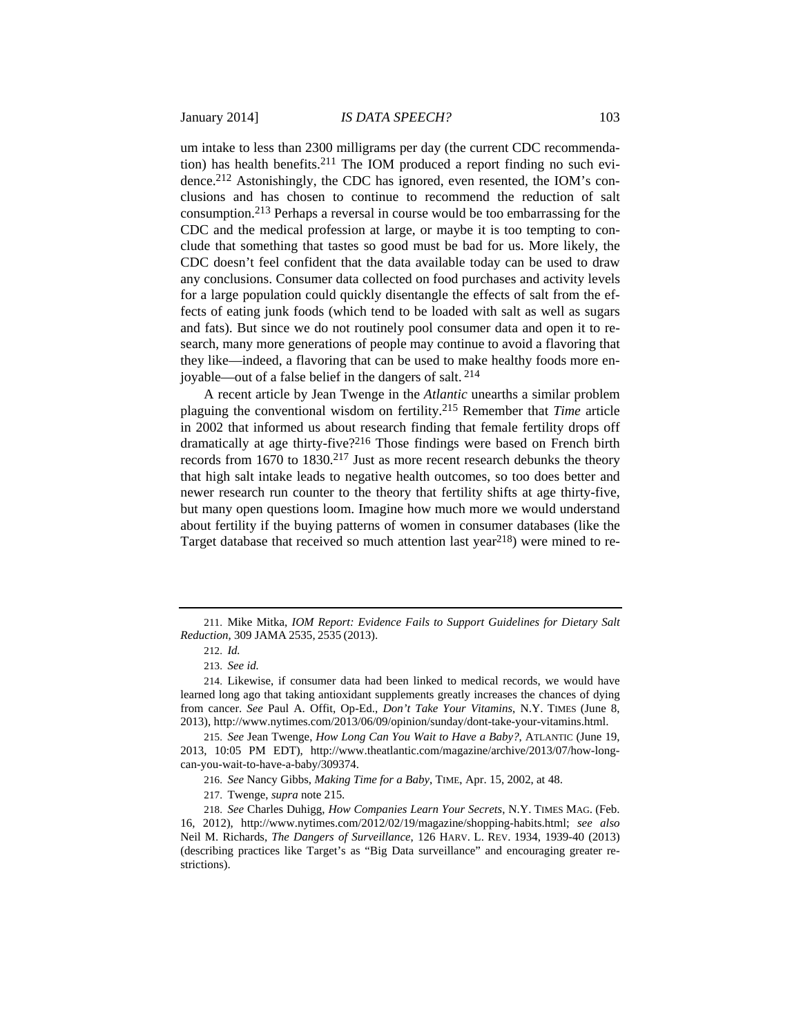um intake to less than 2300 milligrams per day (the current CDC recommendation) has health benefits.<sup>211</sup> The IOM produced a report finding no such evidence.212 Astonishingly, the CDC has ignored, even resented, the IOM's conclusions and has chosen to continue to recommend the reduction of salt consumption.213 Perhaps a reversal in course would be too embarrassing for the CDC and the medical profession at large, or maybe it is too tempting to conclude that something that tastes so good must be bad for us. More likely, the CDC doesn't feel confident that the data available today can be used to draw any conclusions. Consumer data collected on food purchases and activity levels for a large population could quickly disentangle the effects of salt from the effects of eating junk foods (which tend to be loaded with salt as well as sugars and fats). But since we do not routinely pool consumer data and open it to research, many more generations of people may continue to avoid a flavoring that they like—indeed, a flavoring that can be used to make healthy foods more enjoyable—out of a false belief in the dangers of salt. 214

A recent article by Jean Twenge in the *Atlantic* unearths a similar problem plaguing the conventional wisdom on fertility.215 Remember that *Time* article in 2002 that informed us about research finding that female fertility drops off dramatically at age thirty-five?216 Those findings were based on French birth records from 1670 to 1830.<sup>217</sup> Just as more recent research debunks the theory that high salt intake leads to negative health outcomes, so too does better and newer research run counter to the theory that fertility shifts at age thirty-five, but many open questions loom. Imagine how much more we would understand about fertility if the buying patterns of women in consumer databases (like the Target database that received so much attention last year $^{218}$ ) were mined to re-

216. *See* Nancy Gibbs, *Making Time for a Baby*, TIME, Apr. 15, 2002, at 48.

217. Twenge, *supra* note 215.

218. *See* Charles Duhigg, *How Companies Learn Your Secrets*, N.Y. TIMES MAG. (Feb. 16, 2012), http://www.nytimes.com/2012/02/19/magazine/shopping-habits.html; *see also*  Neil M. Richards, *The Dangers of Surveillance*, 126 HARV. L. REV. 1934, 1939-40 (2013) (describing practices like Target's as "Big Data surveillance" and encouraging greater restrictions).

<sup>211.</sup> Mike Mitka, *IOM Report: Evidence Fails to Support Guidelines for Dietary Salt Reduction*, 309 JAMA 2535, 2535 (2013).

<sup>212.</sup> *Id.* 

<sup>213.</sup> *See id.* 

<sup>214.</sup> Likewise, if consumer data had been linked to medical records, we would have learned long ago that taking antioxidant supplements greatly increases the chances of dying from cancer. *See* Paul A. Offit, Op-Ed., *Don't Take Your Vitamins*, N.Y. TIMES (June 8, 2013), http://www.nytimes.com/2013/06/09/opinion/sunday/dont-take-your-vitamins.html.

<sup>215.</sup> *See* Jean Twenge, *How Long Can You Wait to Have a Baby?*, ATLANTIC (June 19, 2013, 10:05 PM EDT), http://www.theatlantic.com/magazine/archive/2013/07/how-longcan-you-wait-to-have-a-baby/309374.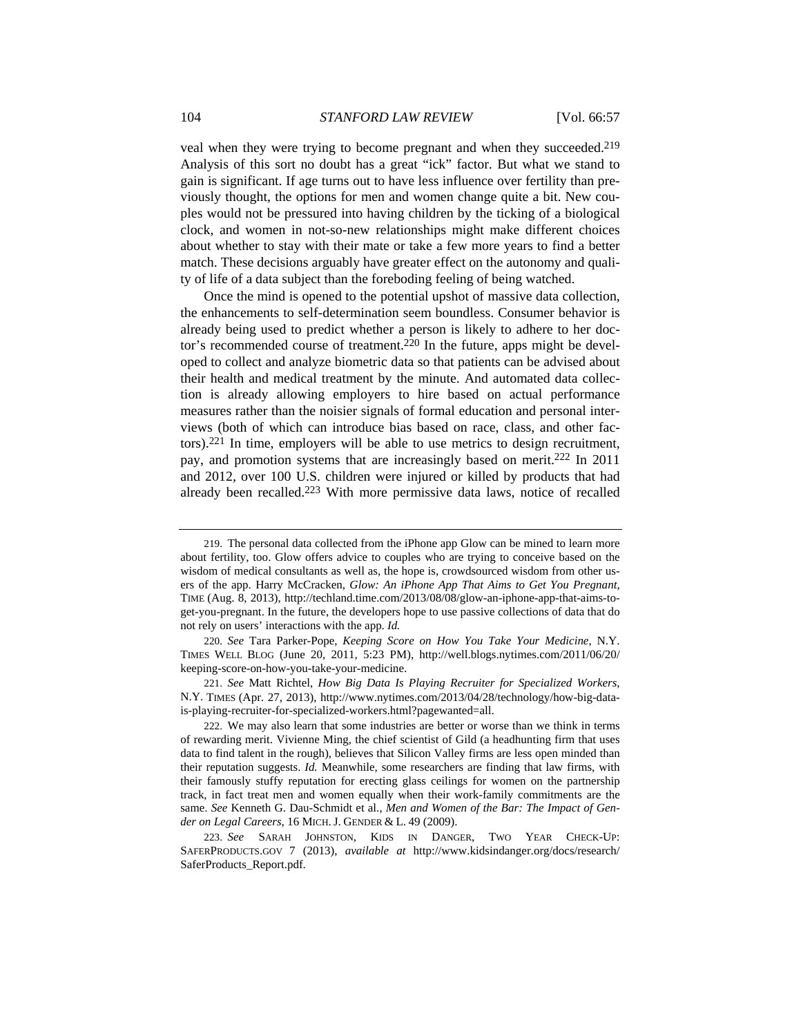veal when they were trying to become pregnant and when they succeeded.219 Analysis of this sort no doubt has a great "ick" factor. But what we stand to gain is significant. If age turns out to have less influence over fertility than previously thought, the options for men and women change quite a bit. New couples would not be pressured into having children by the ticking of a biological clock, and women in not-so-new relationships might make different choices about whether to stay with their mate or take a few more years to find a better match. These decisions arguably have greater effect on the autonomy and quality of life of a data subject than the foreboding feeling of being watched.

Once the mind is opened to the potential upshot of massive data collection, the enhancements to self-determination seem boundless. Consumer behavior is already being used to predict whether a person is likely to adhere to her doctor's recommended course of treatment.<sup>220</sup> In the future, apps might be developed to collect and analyze biometric data so that patients can be advised about their health and medical treatment by the minute. And automated data collection is already allowing employers to hire based on actual performance measures rather than the noisier signals of formal education and personal interviews (both of which can introduce bias based on race, class, and other factors).221 In time, employers will be able to use metrics to design recruitment, pay, and promotion systems that are increasingly based on merit.222 In 2011 and 2012, over 100 U.S. children were injured or killed by products that had already been recalled.<sup>223</sup> With more permissive data laws, notice of recalled

220. *See* Tara Parker-Pope, *Keeping Score on How You Take Your Medicine*, N.Y. TIMES WELL BLOG (June 20, 2011, 5:23 PM), http://well.blogs.nytimes.com/2011/06/20/ keeping-score-on-how-you-take-your-medicine.

<sup>219.</sup> The personal data collected from the iPhone app Glow can be mined to learn more about fertility, too. Glow offers advice to couples who are trying to conceive based on the wisdom of medical consultants as well as, the hope is, crowdsourced wisdom from other users of the app. Harry McCracken, *Glow: An iPhone App That Aims to Get You Pregnant*, TIME (Aug. 8, 2013), http://techland.time.com/2013/08/08/glow-an-iphone-app-that-aims-toget-you-pregnant. In the future, the developers hope to use passive collections of data that do not rely on users' interactions with the app. *Id.*

<sup>221.</sup> *See* Matt Richtel, *How Big Data Is Playing Recruiter for Specialized Workers*, N.Y. TIMES (Apr. 27, 2013), http://www.nytimes.com/2013/04/28/technology/how-big-datais-playing-recruiter-for-specialized-workers.html?pagewanted=all.

<sup>222.</sup> We may also learn that some industries are better or worse than we think in terms of rewarding merit. Vivienne Ming, the chief scientist of Gild (a headhunting firm that uses data to find talent in the rough), believes that Silicon Valley firms are less open minded than their reputation suggests. *Id.* Meanwhile, some researchers are finding that law firms, with their famously stuffy reputation for erecting glass ceilings for women on the partnership track, in fact treat men and women equally when their work-family commitments are the same. *See* Kenneth G. Dau-Schmidt et al., *Men and Women of the Bar: The Impact of Gender on Legal Careers*, 16 MICH.J. GENDER & L. 49 (2009).

<sup>223.</sup> *See* SARAH JOHNSTON, KIDS IN DANGER, TWO YEAR CHECK-UP: SAFERPRODUCTS.GOV 7 (2013), *available at* http://www.kidsindanger.org/docs/research/ SaferProducts\_Report.pdf.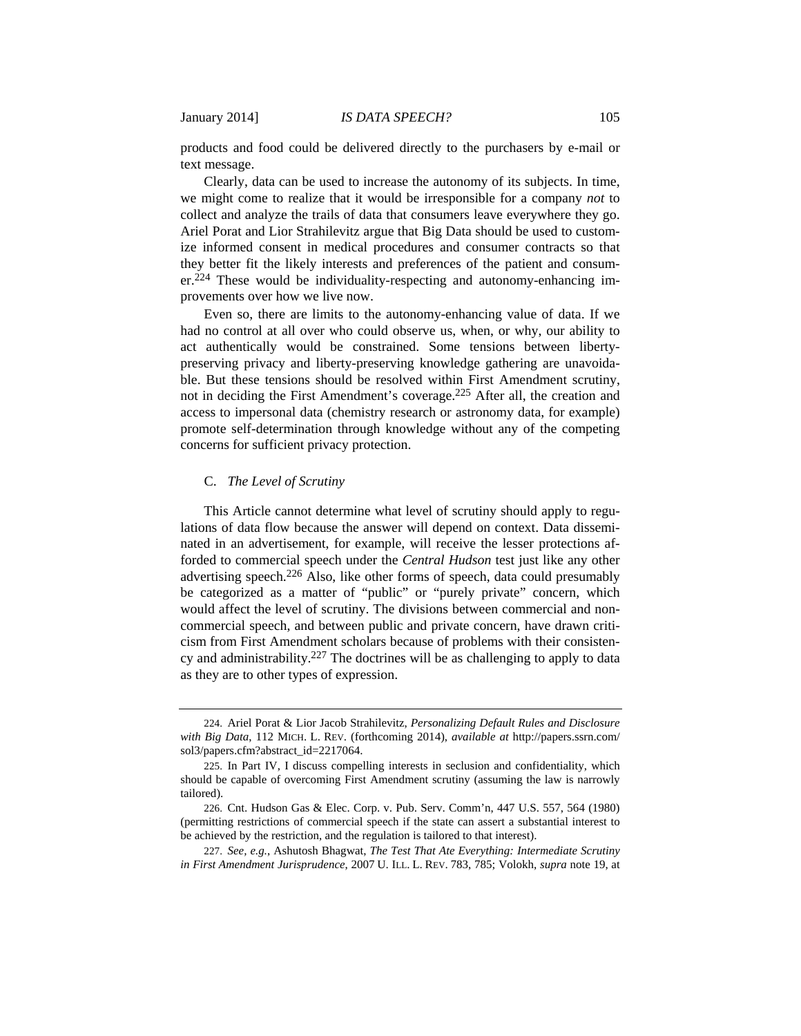products and food could be delivered directly to the purchasers by e-mail or text message.

Clearly, data can be used to increase the autonomy of its subjects. In time, we might come to realize that it would be irresponsible for a company *not* to collect and analyze the trails of data that consumers leave everywhere they go. Ariel Porat and Lior Strahilevitz argue that Big Data should be used to customize informed consent in medical procedures and consumer contracts so that they better fit the likely interests and preferences of the patient and consumer.224 These would be individuality-respecting and autonomy-enhancing improvements over how we live now.

Even so, there are limits to the autonomy-enhancing value of data. If we had no control at all over who could observe us, when, or why, our ability to act authentically would be constrained. Some tensions between libertypreserving privacy and liberty-preserving knowledge gathering are unavoidable. But these tensions should be resolved within First Amendment scrutiny, not in deciding the First Amendment's coverage.225 After all, the creation and access to impersonal data (chemistry research or astronomy data, for example) promote self-determination through knowledge without any of the competing concerns for sufficient privacy protection.

# C. *The Level of Scrutiny*

This Article cannot determine what level of scrutiny should apply to regulations of data flow because the answer will depend on context. Data disseminated in an advertisement, for example, will receive the lesser protections afforded to commercial speech under the *Central Hudson* test just like any other advertising speech.226 Also, like other forms of speech, data could presumably be categorized as a matter of "public" or "purely private" concern, which would affect the level of scrutiny. The divisions between commercial and noncommercial speech, and between public and private concern, have drawn criticism from First Amendment scholars because of problems with their consistency and administrability.<sup>227</sup> The doctrines will be as challenging to apply to data as they are to other types of expression.

<sup>224.</sup> Ariel Porat & Lior Jacob Strahilevitz, *Personalizing Default Rules and Disclosure with Big Data*, 112 MICH. L. REV. (forthcoming 2014), *available at* http://papers.ssrn.com/ sol3/papers.cfm?abstract\_id=2217064.

<sup>225.</sup> In Part IV, I discuss compelling interests in seclusion and confidentiality, which should be capable of overcoming First Amendment scrutiny (assuming the law is narrowly tailored).

<sup>226.</sup> Cnt. Hudson Gas & Elec. Corp. v. Pub. Serv. Comm'n, 447 U.S. 557, 564 (1980) (permitting restrictions of commercial speech if the state can assert a substantial interest to be achieved by the restriction, and the regulation is tailored to that interest).

<sup>227.</sup> *See, e.g.*, Ashutosh Bhagwat, *The Test That Ate Everything: Intermediate Scrutiny in First Amendment Jurisprudence*, 2007 U. ILL. L. REV. 783, 785; Volokh, *supra* note 19, at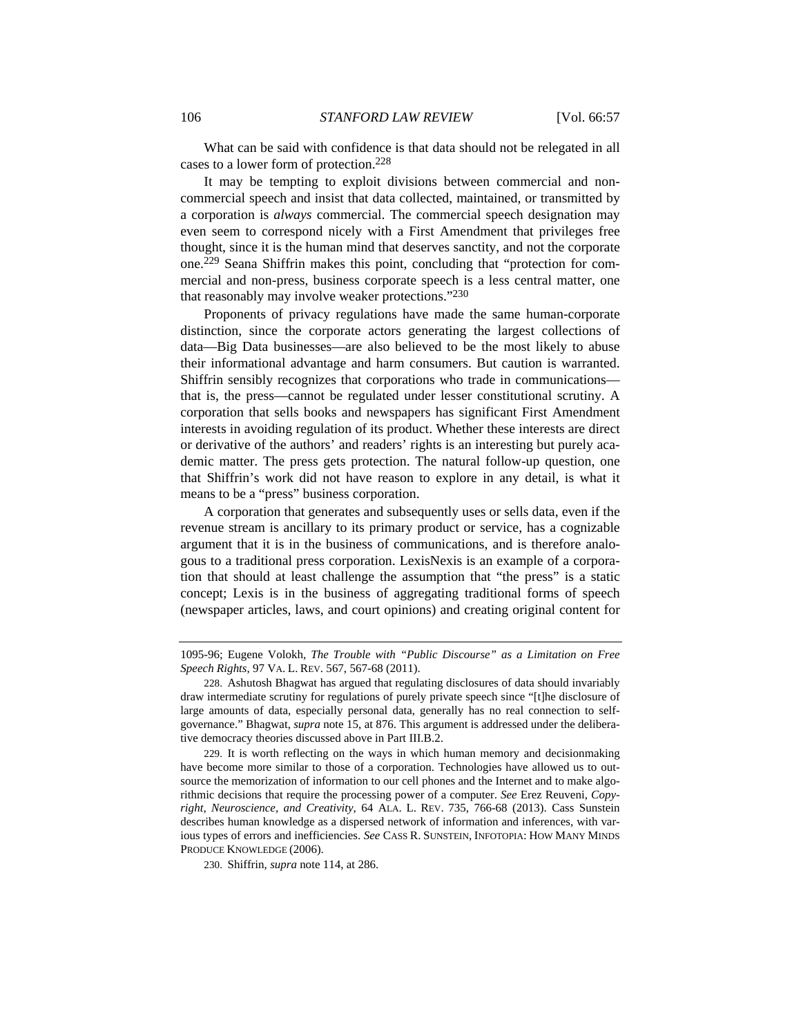What can be said with confidence is that data should not be relegated in all cases to a lower form of protection.228

It may be tempting to exploit divisions between commercial and noncommercial speech and insist that data collected, maintained, or transmitted by a corporation is *always* commercial. The commercial speech designation may even seem to correspond nicely with a First Amendment that privileges free thought, since it is the human mind that deserves sanctity, and not the corporate one.229 Seana Shiffrin makes this point, concluding that "protection for commercial and non-press, business corporate speech is a less central matter, one that reasonably may involve weaker protections."230

Proponents of privacy regulations have made the same human-corporate distinction, since the corporate actors generating the largest collections of data—Big Data businesses—are also believed to be the most likely to abuse their informational advantage and harm consumers. But caution is warranted. Shiffrin sensibly recognizes that corporations who trade in communications that is, the press—cannot be regulated under lesser constitutional scrutiny. A corporation that sells books and newspapers has significant First Amendment interests in avoiding regulation of its product. Whether these interests are direct or derivative of the authors' and readers' rights is an interesting but purely academic matter. The press gets protection. The natural follow-up question, one that Shiffrin's work did not have reason to explore in any detail, is what it means to be a "press" business corporation.

A corporation that generates and subsequently uses or sells data, even if the revenue stream is ancillary to its primary product or service, has a cognizable argument that it is in the business of communications, and is therefore analogous to a traditional press corporation. LexisNexis is an example of a corporation that should at least challenge the assumption that "the press" is a static concept; Lexis is in the business of aggregating traditional forms of speech (newspaper articles, laws, and court opinions) and creating original content for

230. Shiffrin, *supra* note 114, at 286.

<sup>1095-96;</sup> Eugene Volokh, *The Trouble with "Public Discourse" as a Limitation on Free Speech Rights*, 97 VA. L. REV. 567, 567-68 (2011).

<sup>228.</sup> Ashutosh Bhagwat has argued that regulating disclosures of data should invariably draw intermediate scrutiny for regulations of purely private speech since "[t]he disclosure of large amounts of data, especially personal data, generally has no real connection to selfgovernance." Bhagwat, *supra* note 15, at 876. This argument is addressed under the deliberative democracy theories discussed above in Part III.B.2.

<sup>229.</sup> It is worth reflecting on the ways in which human memory and decisionmaking have become more similar to those of a corporation. Technologies have allowed us to outsource the memorization of information to our cell phones and the Internet and to make algorithmic decisions that require the processing power of a computer. *See* Erez Reuveni, *Copyright, Neuroscience, and Creativity*, 64 ALA. L. REV. 735, 766-68 (2013). Cass Sunstein describes human knowledge as a dispersed network of information and inferences, with various types of errors and inefficiencies. *See* CASS R. SUNSTEIN, INFOTOPIA: HOW MANY MINDS PRODUCE KNOWLEDGE (2006).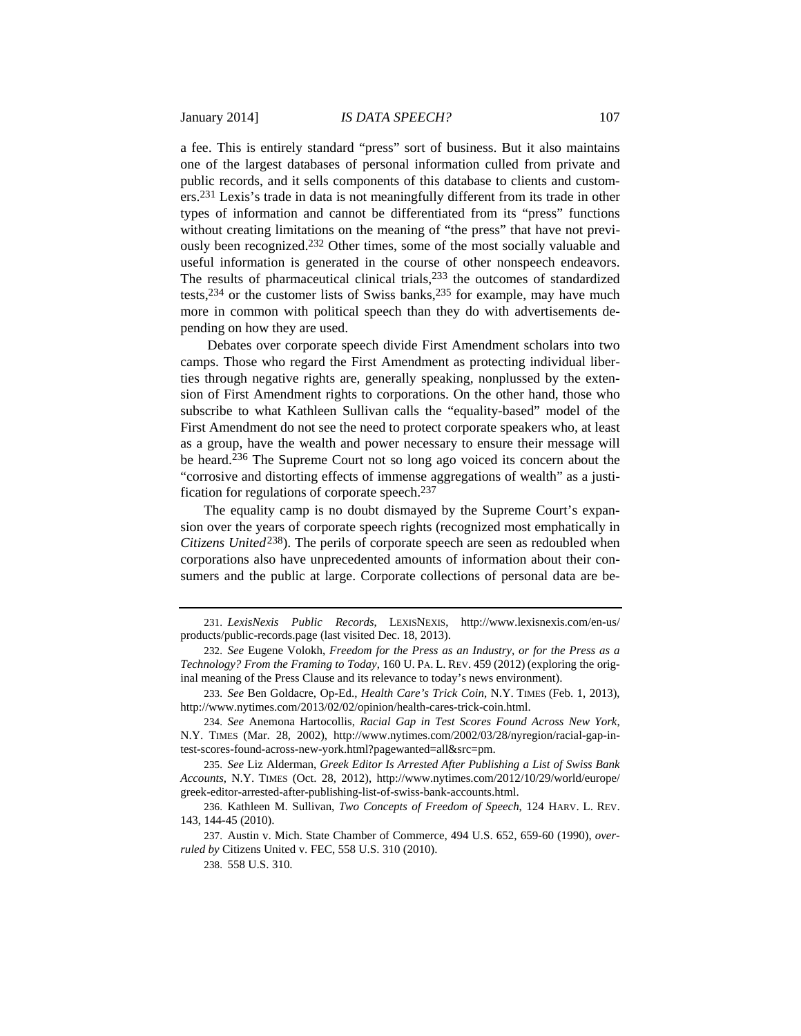a fee. This is entirely standard "press" sort of business. But it also maintains one of the largest databases of personal information culled from private and public records, and it sells components of this database to clients and customers.231 Lexis's trade in data is not meaningfully different from its trade in other types of information and cannot be differentiated from its "press" functions without creating limitations on the meaning of "the press" that have not previously been recognized.232 Other times, some of the most socially valuable and useful information is generated in the course of other nonspeech endeavors. The results of pharmaceutical clinical trials,<sup>233</sup> the outcomes of standardized tests,  $234$  or the customer lists of Swiss banks,  $235$  for example, may have much more in common with political speech than they do with advertisements depending on how they are used.

 Debates over corporate speech divide First Amendment scholars into two camps. Those who regard the First Amendment as protecting individual liberties through negative rights are, generally speaking, nonplussed by the extension of First Amendment rights to corporations. On the other hand, those who subscribe to what Kathleen Sullivan calls the "equality-based" model of the First Amendment do not see the need to protect corporate speakers who, at least as a group, have the wealth and power necessary to ensure their message will be heard.236 The Supreme Court not so long ago voiced its concern about the "corrosive and distorting effects of immense aggregations of wealth" as a justification for regulations of corporate speech.237

The equality camp is no doubt dismayed by the Supreme Court's expansion over the years of corporate speech rights (recognized most emphatically in *Citizens United*238). The perils of corporate speech are seen as redoubled when corporations also have unprecedented amounts of information about their consumers and the public at large. Corporate collections of personal data are be-

235. *See* Liz Alderman, *Greek Editor Is Arrested After Publishing a List of Swiss Bank Accounts*, N.Y. TIMES (Oct. 28, 2012), http://www.nytimes.com/2012/10/29/world/europe/ greek-editor-arrested-after-publishing-list-of-swiss-bank-accounts.html.

<sup>231.</sup> *LexisNexis Public Records*, LEXISNEXIS, http://www.lexisnexis.com/en-us/ products/public-records.page (last visited Dec. 18, 2013).

<sup>232.</sup> *See* Eugene Volokh, *Freedom for the Press as an Industry, or for the Press as a Technology? From the Framing to Today*, 160 U. PA. L. REV. 459 (2012) (exploring the original meaning of the Press Clause and its relevance to today's news environment).

<sup>233.</sup> *See* Ben Goldacre, Op-Ed., *Health Care's Trick Coin*, N.Y. TIMES (Feb. 1, 2013), http://www.nytimes.com/2013/02/02/opinion/health-cares-trick-coin.html.

<sup>234.</sup> *See* Anemona Hartocollis, *Racial Gap in Test Scores Found Across New York*, N.Y. TIMES (Mar. 28, 2002), http://www.nytimes.com/2002/03/28/nyregion/racial-gap-intest-scores-found-across-new-york.html?pagewanted=all&src=pm.

<sup>236.</sup> Kathleen M. Sullivan, *Two Concepts of Freedom of Speech*, 124 HARV. L. REV. 143, 144-45 (2010).

<sup>237.</sup> Austin v. Mich. State Chamber of Commerce, 494 U.S. 652, 659-60 (1990), *overruled by* Citizens United v. FEC, 558 U.S. 310 (2010).

<sup>238. 558</sup> U.S. 310.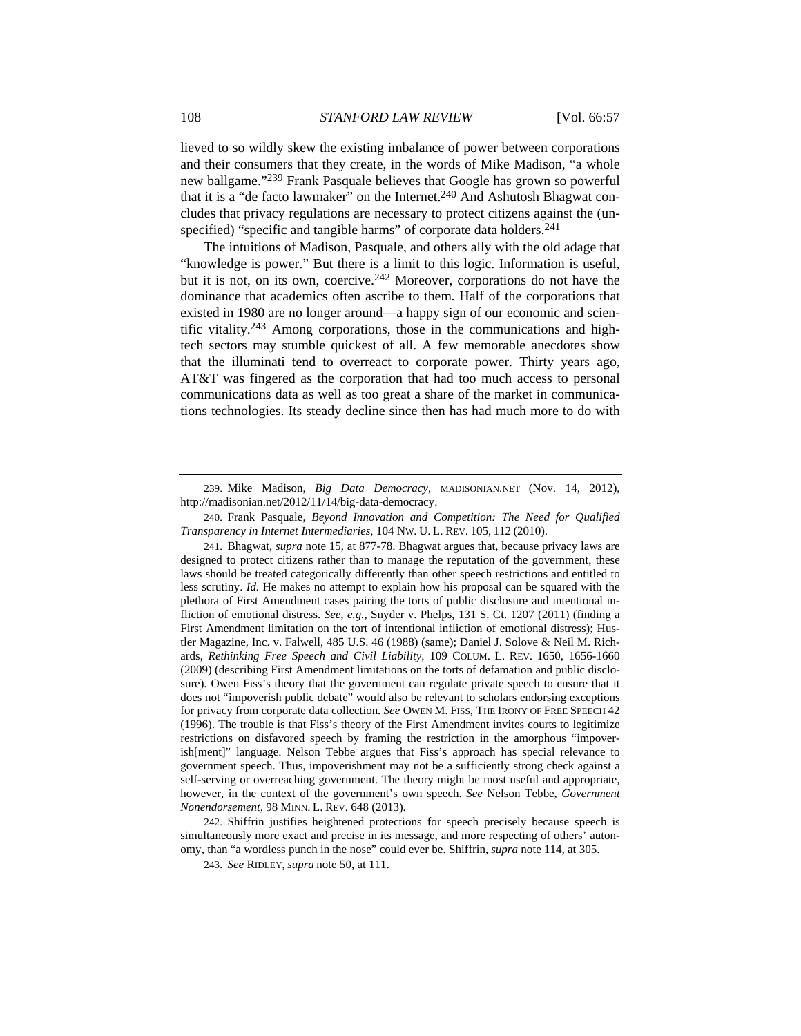lieved to so wildly skew the existing imbalance of power between corporations and their consumers that they create, in the words of Mike Madison, "a whole new ballgame."239 Frank Pasquale believes that Google has grown so powerful that it is a "de facto lawmaker" on the Internet.<sup>240</sup> And Ashutosh Bhagwat concludes that privacy regulations are necessary to protect citizens against the (unspecified) "specific and tangible harms" of corporate data holders.<sup>241</sup>

 The intuitions of Madison, Pasquale, and others ally with the old adage that "knowledge is power." But there is a limit to this logic. Information is useful, but it is not, on its own, coercive.242 Moreover, corporations do not have the dominance that academics often ascribe to them. Half of the corporations that existed in 1980 are no longer around—a happy sign of our economic and scientific vitality.243 Among corporations, those in the communications and hightech sectors may stumble quickest of all. A few memorable anecdotes show that the illuminati tend to overreact to corporate power. Thirty years ago, AT&T was fingered as the corporation that had too much access to personal communications data as well as too great a share of the market in communications technologies. Its steady decline since then has had much more to do with

241. Bhagwat, *supra* note 15, at 877-78. Bhagwat argues that, because privacy laws are designed to protect citizens rather than to manage the reputation of the government, these laws should be treated categorically differently than other speech restrictions and entitled to less scrutiny. *Id.* He makes no attempt to explain how his proposal can be squared with the plethora of First Amendment cases pairing the torts of public disclosure and intentional infliction of emotional distress. *See, e.g.*, Snyder v. Phelps, 131 S. Ct. 1207 (2011) (finding a First Amendment limitation on the tort of intentional infliction of emotional distress); Hustler Magazine, Inc. v. Falwell, 485 U.S. 46 (1988) (same); Daniel J. Solove & Neil M. Richards, *Rethinking Free Speech and Civil Liability,* 109 COLUM. L. REV. 1650, 1656-1660 (2009) (describing First Amendment limitations on the torts of defamation and public disclosure). Owen Fiss's theory that the government can regulate private speech to ensure that it does not "impoverish public debate" would also be relevant to scholars endorsing exceptions for privacy from corporate data collection. *See* OWEN M. FISS, THE IRONY OF FREE SPEECH 42 (1996). The trouble is that Fiss's theory of the First Amendment invites courts to legitimize restrictions on disfavored speech by framing the restriction in the amorphous "impoverish[ment]" language. Nelson Tebbe argues that Fiss's approach has special relevance to government speech. Thus, impoverishment may not be a sufficiently strong check against a self-serving or overreaching government. The theory might be most useful and appropriate, however, in the context of the government's own speech. *See* Nelson Tebbe, *Government Nonendorsement*, 98 MINN. L. REV. 648 (2013).

242. Shiffrin justifies heightened protections for speech precisely because speech is simultaneously more exact and precise in its message, and more respecting of others' autonomy, than "a wordless punch in the nose" could ever be. Shiffrin, *supra* note 114, at 305.

243. *See* RIDLEY, *supra* note 50, at 111.

<sup>239.</sup> Mike Madison, *Big Data Democracy*, MADISONIAN.NET (Nov. 14, 2012), http://madisonian.net/2012/11/14/big-data-democracy.

<sup>240.</sup> Frank Pasquale, *Beyond Innovation and Competition: The Need for Qualified Transparency in Internet Intermediaries*, 104 NW. U. L. REV. 105, 112 (2010).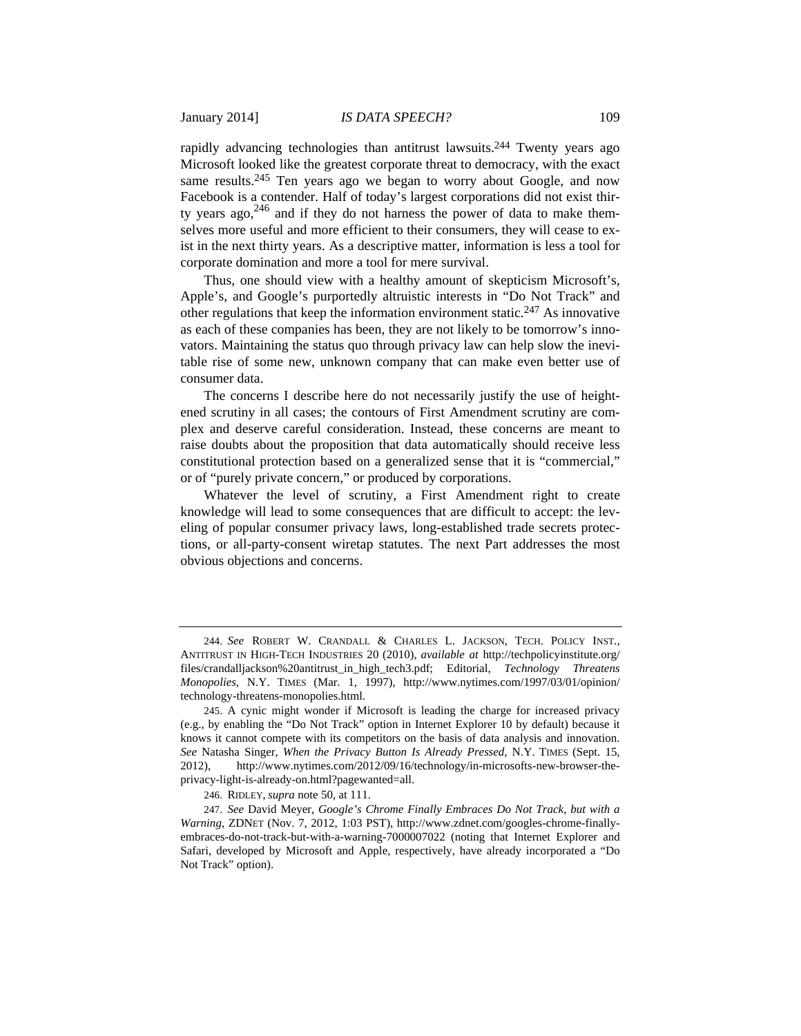rapidly advancing technologies than antitrust lawsuits.<sup>244</sup> Twenty years ago Microsoft looked like the greatest corporate threat to democracy, with the exact same results.<sup>245</sup> Ten years ago we began to worry about Google, and now Facebook is a contender. Half of today's largest corporations did not exist thirty years ago,  $246$  and if they do not harness the power of data to make themselves more useful and more efficient to their consumers, they will cease to exist in the next thirty years. As a descriptive matter, information is less a tool for corporate domination and more a tool for mere survival.

Thus, one should view with a healthy amount of skepticism Microsoft's, Apple's, and Google's purportedly altruistic interests in "Do Not Track" and other regulations that keep the information environment static.<sup>247</sup> As innovative as each of these companies has been, they are not likely to be tomorrow's innovators. Maintaining the status quo through privacy law can help slow the inevitable rise of some new, unknown company that can make even better use of consumer data.

The concerns I describe here do not necessarily justify the use of heightened scrutiny in all cases; the contours of First Amendment scrutiny are complex and deserve careful consideration. Instead, these concerns are meant to raise doubts about the proposition that data automatically should receive less constitutional protection based on a generalized sense that it is "commercial," or of "purely private concern," or produced by corporations.

Whatever the level of scrutiny, a First Amendment right to create knowledge will lead to some consequences that are difficult to accept: the leveling of popular consumer privacy laws, long-established trade secrets protections, or all-party-consent wiretap statutes. The next Part addresses the most obvious objections and concerns.

246. RIDLEY, *supra* note 50, at 111.

<sup>244.</sup> *See* ROBERT W. CRANDALL & CHARLES L. JACKSON, TECH. POLICY INST., ANTITRUST IN HIGH-TECH INDUSTRIES 20 (2010), *available at* http://techpolicyinstitute.org/ files/crandalljackson%20antitrust\_in\_high\_tech3.pdf; Editorial, *Technology Threatens Monopolies*, N.Y. TIMES (Mar. 1, 1997), http://www.nytimes.com/1997/03/01/opinion/ technology-threatens-monopolies.html.

<sup>245.</sup> A cynic might wonder if Microsoft is leading the charge for increased privacy (e.g., by enabling the "Do Not Track" option in Internet Explorer 10 by default) because it knows it cannot compete with its competitors on the basis of data analysis and innovation. *See* Natasha Singer, *When the Privacy Button Is Already Pressed*, N.Y. TIMES (Sept. 15, 2012), http://www.nytimes.com/2012/09/16/technology/in-microsofts-new-browser-theprivacy-light-is-already-on.html?pagewanted=all.

<sup>247.</sup> *See* David Meyer, *Google's Chrome Finally Embraces Do Not Track, but with a Warning*, ZDNET (Nov. 7, 2012, 1:03 PST), http://www.zdnet.com/googles-chrome-finallyembraces-do-not-track-but-with-a-warning-7000007022 (noting that Internet Explorer and Safari, developed by Microsoft and Apple, respectively, have already incorporated a "Do Not Track" option).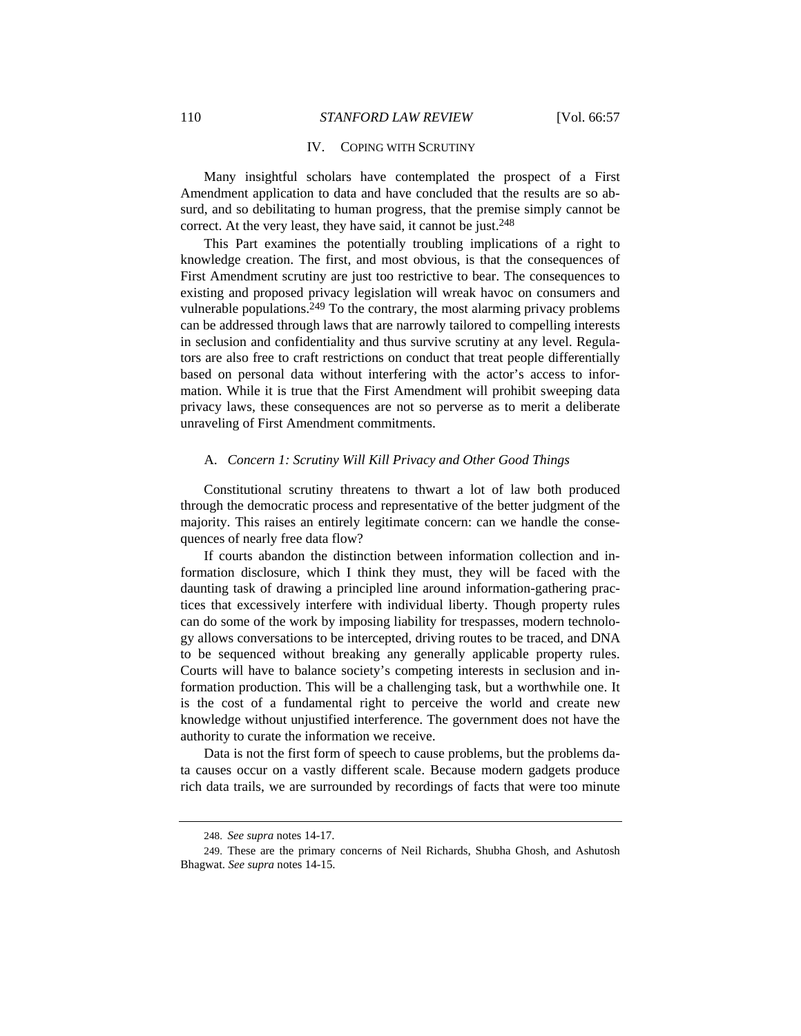# IV. COPING WITH SCRUTINY

Many insightful scholars have contemplated the prospect of a First Amendment application to data and have concluded that the results are so absurd, and so debilitating to human progress, that the premise simply cannot be correct. At the very least, they have said, it cannot be just.<sup>248</sup>

This Part examines the potentially troubling implications of a right to knowledge creation. The first, and most obvious, is that the consequences of First Amendment scrutiny are just too restrictive to bear. The consequences to existing and proposed privacy legislation will wreak havoc on consumers and vulnerable populations.<sup>249</sup> To the contrary, the most alarming privacy problems can be addressed through laws that are narrowly tailored to compelling interests in seclusion and confidentiality and thus survive scrutiny at any level. Regulators are also free to craft restrictions on conduct that treat people differentially based on personal data without interfering with the actor's access to information. While it is true that the First Amendment will prohibit sweeping data privacy laws, these consequences are not so perverse as to merit a deliberate unraveling of First Amendment commitments.

#### A. *Concern 1: Scrutiny Will Kill Privacy and Other Good Things*

Constitutional scrutiny threatens to thwart a lot of law both produced through the democratic process and representative of the better judgment of the majority. This raises an entirely legitimate concern: can we handle the consequences of nearly free data flow?

If courts abandon the distinction between information collection and information disclosure, which I think they must, they will be faced with the daunting task of drawing a principled line around information-gathering practices that excessively interfere with individual liberty. Though property rules can do some of the work by imposing liability for trespasses, modern technology allows conversations to be intercepted, driving routes to be traced, and DNA to be sequenced without breaking any generally applicable property rules. Courts will have to balance society's competing interests in seclusion and information production. This will be a challenging task, but a worthwhile one. It is the cost of a fundamental right to perceive the world and create new knowledge without unjustified interference. The government does not have the authority to curate the information we receive.

Data is not the first form of speech to cause problems, but the problems data causes occur on a vastly different scale. Because modern gadgets produce rich data trails, we are surrounded by recordings of facts that were too minute

<sup>248.</sup> *See supra* notes 14-17.

<sup>249.</sup> These are the primary concerns of Neil Richards, Shubha Ghosh, and Ashutosh Bhagwat. *See supra* notes 14-15.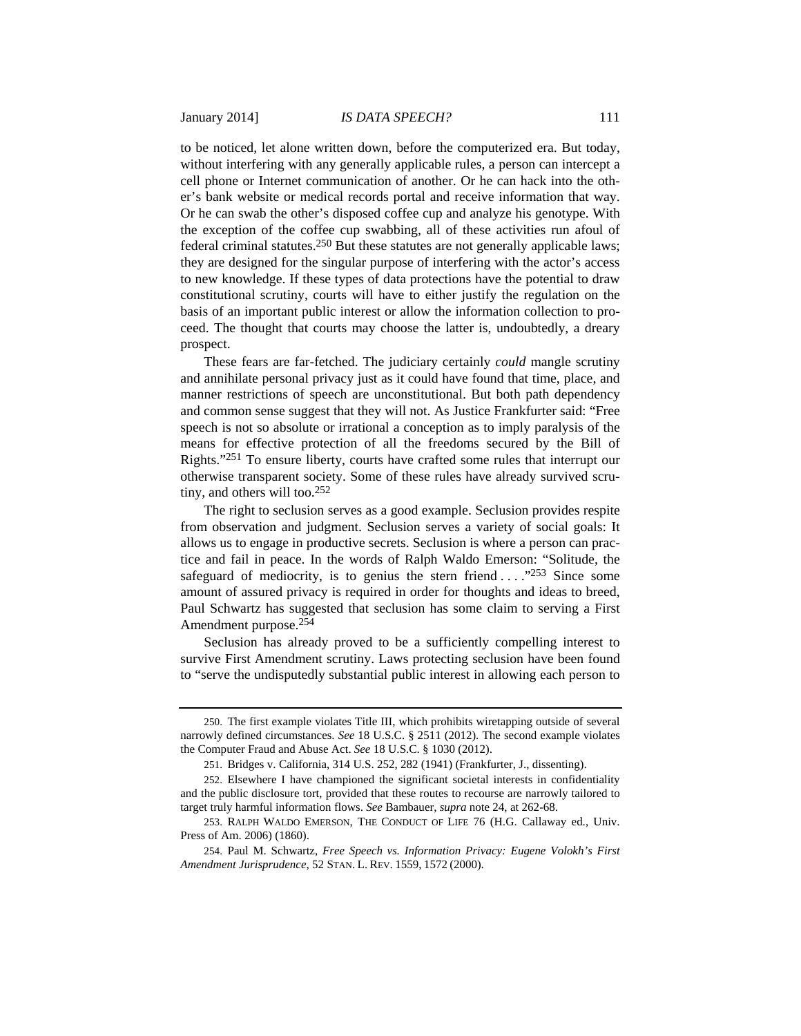to be noticed, let alone written down, before the computerized era. But today, without interfering with any generally applicable rules, a person can intercept a cell phone or Internet communication of another. Or he can hack into the other's bank website or medical records portal and receive information that way. Or he can swab the other's disposed coffee cup and analyze his genotype. With the exception of the coffee cup swabbing, all of these activities run afoul of federal criminal statutes.<sup>250</sup> But these statutes are not generally applicable laws; they are designed for the singular purpose of interfering with the actor's access to new knowledge. If these types of data protections have the potential to draw constitutional scrutiny, courts will have to either justify the regulation on the basis of an important public interest or allow the information collection to proceed. The thought that courts may choose the latter is, undoubtedly, a dreary prospect.

These fears are far-fetched. The judiciary certainly *could* mangle scrutiny and annihilate personal privacy just as it could have found that time, place, and manner restrictions of speech are unconstitutional. But both path dependency and common sense suggest that they will not. As Justice Frankfurter said: "Free speech is not so absolute or irrational a conception as to imply paralysis of the means for effective protection of all the freedoms secured by the Bill of Rights."251 To ensure liberty, courts have crafted some rules that interrupt our otherwise transparent society. Some of these rules have already survived scrutiny, and others will too.252

The right to seclusion serves as a good example. Seclusion provides respite from observation and judgment. Seclusion serves a variety of social goals: It allows us to engage in productive secrets. Seclusion is where a person can practice and fail in peace. In the words of Ralph Waldo Emerson: "Solitude, the safeguard of mediocrity, is to genius the stern friend . . . ."253 Since some amount of assured privacy is required in order for thoughts and ideas to breed, Paul Schwartz has suggested that seclusion has some claim to serving a First Amendment purpose.254

Seclusion has already proved to be a sufficiently compelling interest to survive First Amendment scrutiny. Laws protecting seclusion have been found to "serve the undisputedly substantial public interest in allowing each person to

<sup>250.</sup> The first example violates Title III, which prohibits wiretapping outside of several narrowly defined circumstances. *See* 18 U.S.C. § 2511 (2012). The second example violates the Computer Fraud and Abuse Act. *See* 18 U.S.C. § 1030 (2012).

<sup>251.</sup> Bridges v. California, 314 U.S. 252, 282 (1941) (Frankfurter, J., dissenting).

<sup>252.</sup> Elsewhere I have championed the significant societal interests in confidentiality and the public disclosure tort, provided that these routes to recourse are narrowly tailored to target truly harmful information flows. *See* Bambauer, *supra* note 24, at 262-68.

<sup>253.</sup> RALPH WALDO EMERSON, THE CONDUCT OF LIFE 76 (H.G. Callaway ed., Univ. Press of Am. 2006) (1860).

<sup>254.</sup> Paul M. Schwartz, *Free Speech vs. Information Privacy: Eugene Volokh's First Amendment Jurisprudence*, 52 STAN. L. REV. 1559, 1572 (2000).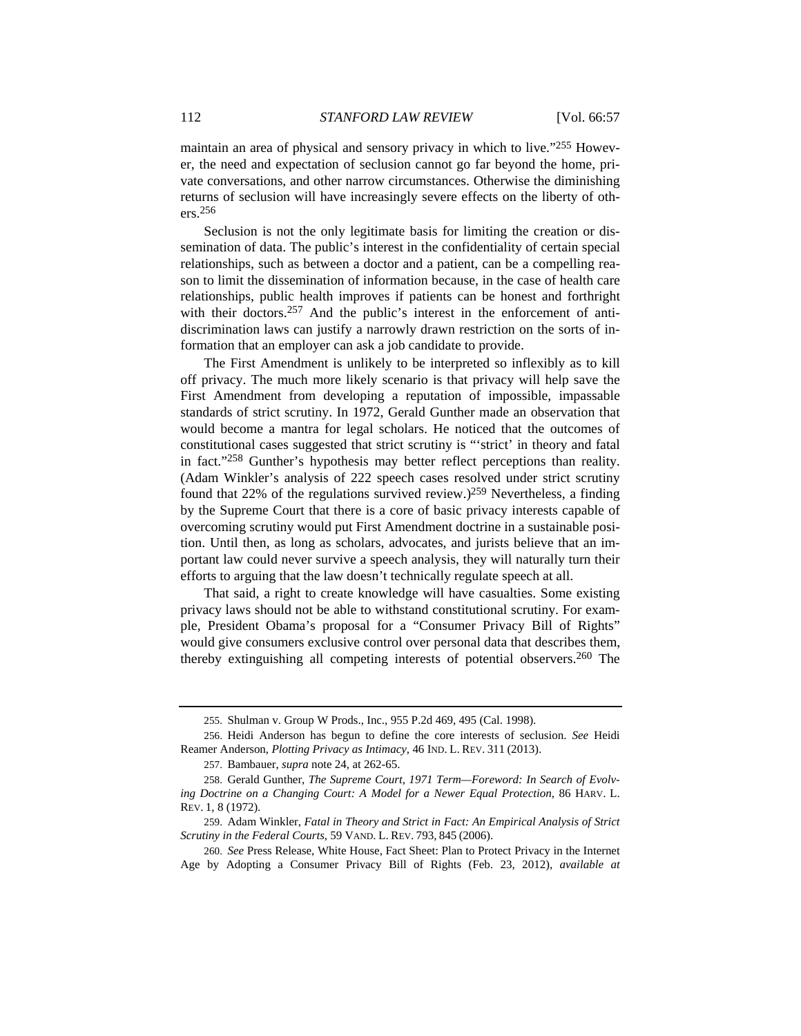maintain an area of physical and sensory privacy in which to live."255 However, the need and expectation of seclusion cannot go far beyond the home, private conversations, and other narrow circumstances. Otherwise the diminishing returns of seclusion will have increasingly severe effects on the liberty of others.256

Seclusion is not the only legitimate basis for limiting the creation or dissemination of data. The public's interest in the confidentiality of certain special relationships, such as between a doctor and a patient, can be a compelling reason to limit the dissemination of information because, in the case of health care relationships, public health improves if patients can be honest and forthright with their doctors.<sup>257</sup> And the public's interest in the enforcement of antidiscrimination laws can justify a narrowly drawn restriction on the sorts of information that an employer can ask a job candidate to provide.

The First Amendment is unlikely to be interpreted so inflexibly as to kill off privacy. The much more likely scenario is that privacy will help save the First Amendment from developing a reputation of impossible, impassable standards of strict scrutiny. In 1972, Gerald Gunther made an observation that would become a mantra for legal scholars. He noticed that the outcomes of constitutional cases suggested that strict scrutiny is "'strict' in theory and fatal in fact."258 Gunther's hypothesis may better reflect perceptions than reality. (Adam Winkler's analysis of 222 speech cases resolved under strict scrutiny found that 22% of the regulations survived review.)259 Nevertheless, a finding by the Supreme Court that there is a core of basic privacy interests capable of overcoming scrutiny would put First Amendment doctrine in a sustainable position. Until then, as long as scholars, advocates, and jurists believe that an important law could never survive a speech analysis, they will naturally turn their efforts to arguing that the law doesn't technically regulate speech at all.

That said, a right to create knowledge will have casualties. Some existing privacy laws should not be able to withstand constitutional scrutiny. For example, President Obama's proposal for a "Consumer Privacy Bill of Rights" would give consumers exclusive control over personal data that describes them, thereby extinguishing all competing interests of potential observers.260 The

257. Bambauer, *supra* note 24, at 262-65.

<sup>255.</sup> Shulman v. Group W Prods., Inc., 955 P.2d 469, 495 (Cal. 1998).

<sup>256.</sup> Heidi Anderson has begun to define the core interests of seclusion. *See* Heidi Reamer Anderson, *Plotting Privacy as Intimacy*, 46 IND. L. REV. 311 (2013).

<sup>258.</sup> Gerald Gunther, *The Supreme Court, 1971 Term—Foreword: In Search of Evolving Doctrine on a Changing Court: A Model for a Newer Equal Protection*, 86 HARV. L. REV. 1, 8 (1972).

<sup>259.</sup> Adam Winkler, *Fatal in Theory and Strict in Fact: An Empirical Analysis of Strict Scrutiny in the Federal Courts*, 59 VAND. L. REV. 793, 845 (2006).

<sup>260.</sup> *See* Press Release, White House, Fact Sheet: Plan to Protect Privacy in the Internet Age by Adopting a Consumer Privacy Bill of Rights (Feb. 23, 2012), *available at*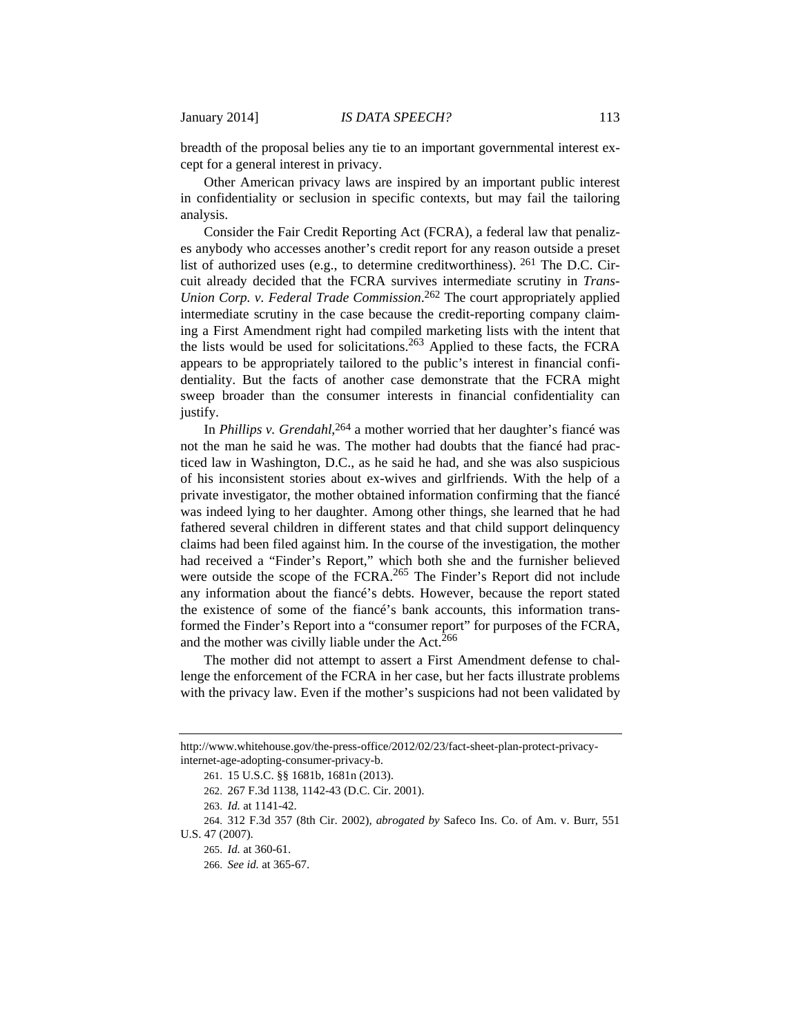breadth of the proposal belies any tie to an important governmental interest except for a general interest in privacy.

Other American privacy laws are inspired by an important public interest in confidentiality or seclusion in specific contexts, but may fail the tailoring analysis.

Consider the Fair Credit Reporting Act (FCRA), a federal law that penalizes anybody who accesses another's credit report for any reason outside a preset list of authorized uses (e.g., to determine creditworthiness). 261 The D.C. Circuit already decided that the FCRA survives intermediate scrutiny in *Trans-Union Corp. v. Federal Trade Commission*. 262 The court appropriately applied intermediate scrutiny in the case because the credit-reporting company claiming a First Amendment right had compiled marketing lists with the intent that the lists would be used for solicitations.263 Applied to these facts, the FCRA appears to be appropriately tailored to the public's interest in financial confidentiality. But the facts of another case demonstrate that the FCRA might sweep broader than the consumer interests in financial confidentiality can justify.

In *Phillips v. Grendahl*, 264 a mother worried that her daughter's fiancé was not the man he said he was. The mother had doubts that the fiancé had practiced law in Washington, D.C., as he said he had, and she was also suspicious of his inconsistent stories about ex-wives and girlfriends. With the help of a private investigator, the mother obtained information confirming that the fiancé was indeed lying to her daughter. Among other things, she learned that he had fathered several children in different states and that child support delinquency claims had been filed against him. In the course of the investigation, the mother had received a "Finder's Report," which both she and the furnisher believed were outside the scope of the FCRA. $^{265}$  The Finder's Report did not include any information about the fiancé's debts. However, because the report stated the existence of some of the fiancé's bank accounts, this information transformed the Finder's Report into a "consumer report" for purposes of the FCRA, and the mother was civilly liable under the Act.<sup>266</sup>

The mother did not attempt to assert a First Amendment defense to challenge the enforcement of the FCRA in her case, but her facts illustrate problems with the privacy law. Even if the mother's suspicions had not been validated by

262. 267 F.3d 1138, 1142-43 (D.C. Cir. 2001).

263. *Id.* at 1141-42.

265. *Id.* at 360-61.

http://www.whitehouse.gov/the-press-office/2012/02/23/fact-sheet-plan-protect-privacyinternet-age-adopting-consumer-privacy-b.

<sup>261. 15</sup> U.S.C. §§ 1681b, 1681n (2013).

<sup>264. 312</sup> F.3d 357 (8th Cir. 2002), *abrogated by* Safeco Ins. Co. of Am. v. Burr, 551 U.S. 47 (2007).

<sup>266.</sup> *See id.* at 365-67.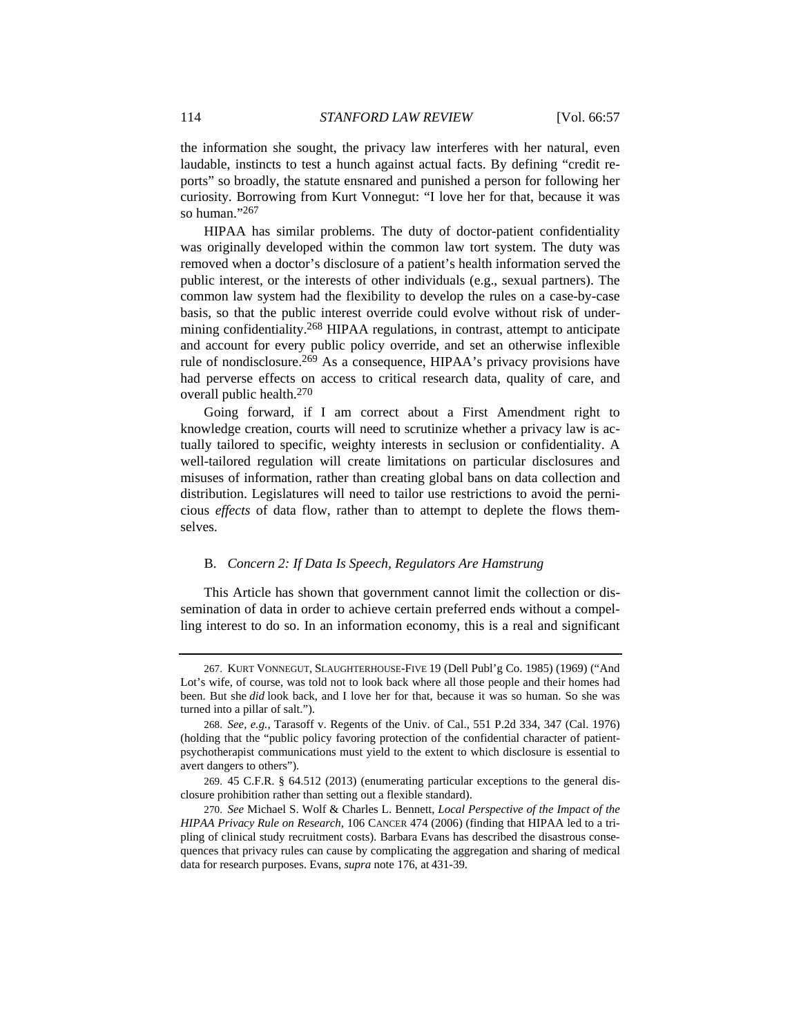the information she sought, the privacy law interferes with her natural, even laudable, instincts to test a hunch against actual facts. By defining "credit reports" so broadly, the statute ensnared and punished a person for following her curiosity. Borrowing from Kurt Vonnegut: "I love her for that, because it was so human."267

HIPAA has similar problems. The duty of doctor-patient confidentiality was originally developed within the common law tort system. The duty was removed when a doctor's disclosure of a patient's health information served the public interest, or the interests of other individuals (e.g., sexual partners). The common law system had the flexibility to develop the rules on a case-by-case basis, so that the public interest override could evolve without risk of undermining confidentiality.268 HIPAA regulations, in contrast, attempt to anticipate and account for every public policy override, and set an otherwise inflexible rule of nondisclosure.<sup>269</sup> As a consequence, HIPAA's privacy provisions have had perverse effects on access to critical research data, quality of care, and overall public health.270

Going forward, if I am correct about a First Amendment right to knowledge creation, courts will need to scrutinize whether a privacy law is actually tailored to specific, weighty interests in seclusion or confidentiality. A well-tailored regulation will create limitations on particular disclosures and misuses of information, rather than creating global bans on data collection and distribution. Legislatures will need to tailor use restrictions to avoid the pernicious *effects* of data flow, rather than to attempt to deplete the flows themselves.

# B. *Concern 2: If Data Is Speech, Regulators Are Hamstrung*

This Article has shown that government cannot limit the collection or dissemination of data in order to achieve certain preferred ends without a compelling interest to do so. In an information economy, this is a real and significant

<sup>267.</sup> KURT VONNEGUT, SLAUGHTERHOUSE-FIVE 19 (Dell Publ'g Co. 1985) (1969) ("And Lot's wife, of course, was told not to look back where all those people and their homes had been. But she *did* look back, and I love her for that, because it was so human. So she was turned into a pillar of salt.").

<sup>268.</sup> *See, e.g.*, Tarasoff v. Regents of the Univ. of Cal., 551 P.2d 334, 347 (Cal. 1976) (holding that the "public policy favoring protection of the confidential character of patientpsychotherapist communications must yield to the extent to which disclosure is essential to avert dangers to others").

<sup>269. 45</sup> C.F.R. § 64.512 (2013) (enumerating particular exceptions to the general disclosure prohibition rather than setting out a flexible standard).

<sup>270.</sup> *See* Michael S. Wolf & Charles L. Bennett, *Local Perspective of the Impact of the HIPAA Privacy Rule on Research*, 106 CANCER 474 (2006) (finding that HIPAA led to a tripling of clinical study recruitment costs). Barbara Evans has described the disastrous consequences that privacy rules can cause by complicating the aggregation and sharing of medical data for research purposes. Evans, *supra* note 176, at 431-39.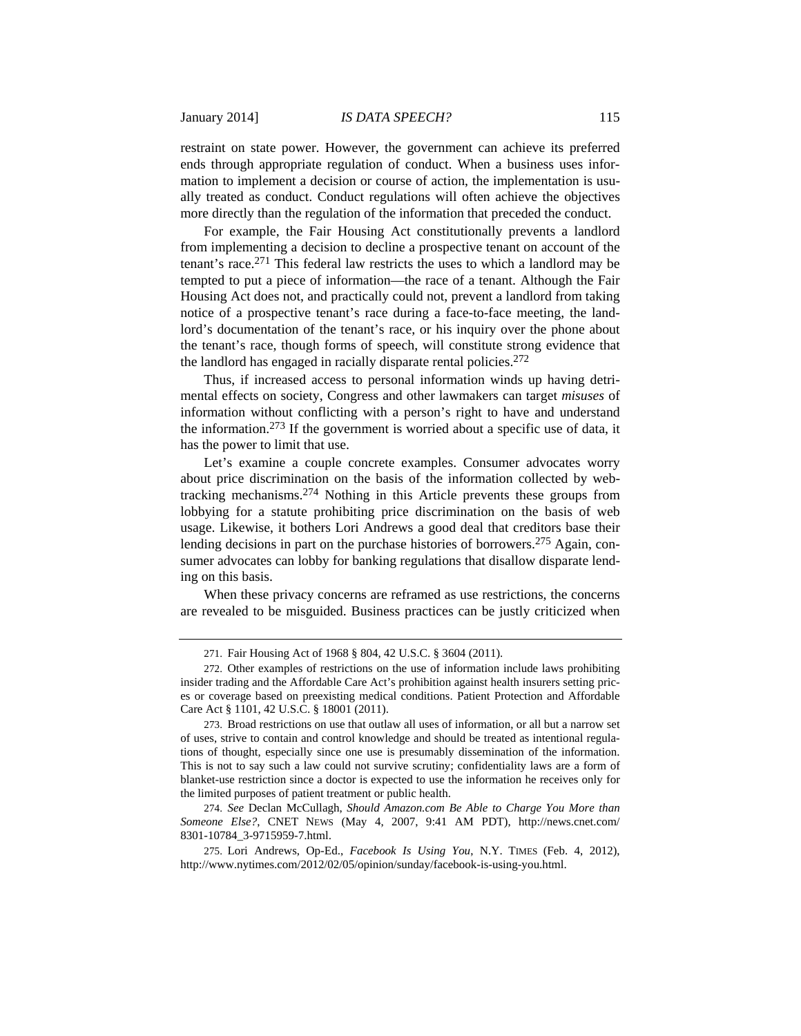restraint on state power. However, the government can achieve its preferred ends through appropriate regulation of conduct. When a business uses information to implement a decision or course of action, the implementation is usually treated as conduct. Conduct regulations will often achieve the objectives more directly than the regulation of the information that preceded the conduct.

For example, the Fair Housing Act constitutionally prevents a landlord from implementing a decision to decline a prospective tenant on account of the tenant's race.271 This federal law restricts the uses to which a landlord may be tempted to put a piece of information—the race of a tenant. Although the Fair Housing Act does not, and practically could not, prevent a landlord from taking notice of a prospective tenant's race during a face-to-face meeting, the landlord's documentation of the tenant's race, or his inquiry over the phone about the tenant's race, though forms of speech, will constitute strong evidence that the landlord has engaged in racially disparate rental policies.272

Thus, if increased access to personal information winds up having detrimental effects on society, Congress and other lawmakers can target *misuses* of information without conflicting with a person's right to have and understand the information.273 If the government is worried about a specific use of data, it has the power to limit that use.

Let's examine a couple concrete examples. Consumer advocates worry about price discrimination on the basis of the information collected by webtracking mechanisms.274 Nothing in this Article prevents these groups from lobbying for a statute prohibiting price discrimination on the basis of web usage. Likewise, it bothers Lori Andrews a good deal that creditors base their lending decisions in part on the purchase histories of borrowers.<sup>275</sup> Again, consumer advocates can lobby for banking regulations that disallow disparate lending on this basis.

When these privacy concerns are reframed as use restrictions, the concerns are revealed to be misguided. Business practices can be justly criticized when

274. *See* Declan McCullagh, *Should Amazon.com Be Able to Charge You More than Someone Else?*, CNET NEWS (May 4, 2007, 9:41 AM PDT), http://news.cnet.com/ 8301-10784\_3-9715959-7.html.

275. Lori Andrews, Op-Ed., *Facebook Is Using You*, N.Y. TIMES (Feb. 4, 2012), http://www.nytimes.com/2012/02/05/opinion/sunday/facebook-is-using-you.html.

<sup>271.</sup> Fair Housing Act of 1968 § 804, 42 U.S.C. § 3604 (2011).

<sup>272.</sup> Other examples of restrictions on the use of information include laws prohibiting insider trading and the Affordable Care Act's prohibition against health insurers setting prices or coverage based on preexisting medical conditions. Patient Protection and Affordable Care Act § 1101, 42 U.S.C. § 18001 (2011).

<sup>273.</sup> Broad restrictions on use that outlaw all uses of information, or all but a narrow set of uses, strive to contain and control knowledge and should be treated as intentional regulations of thought, especially since one use is presumably dissemination of the information. This is not to say such a law could not survive scrutiny; confidentiality laws are a form of blanket-use restriction since a doctor is expected to use the information he receives only for the limited purposes of patient treatment or public health.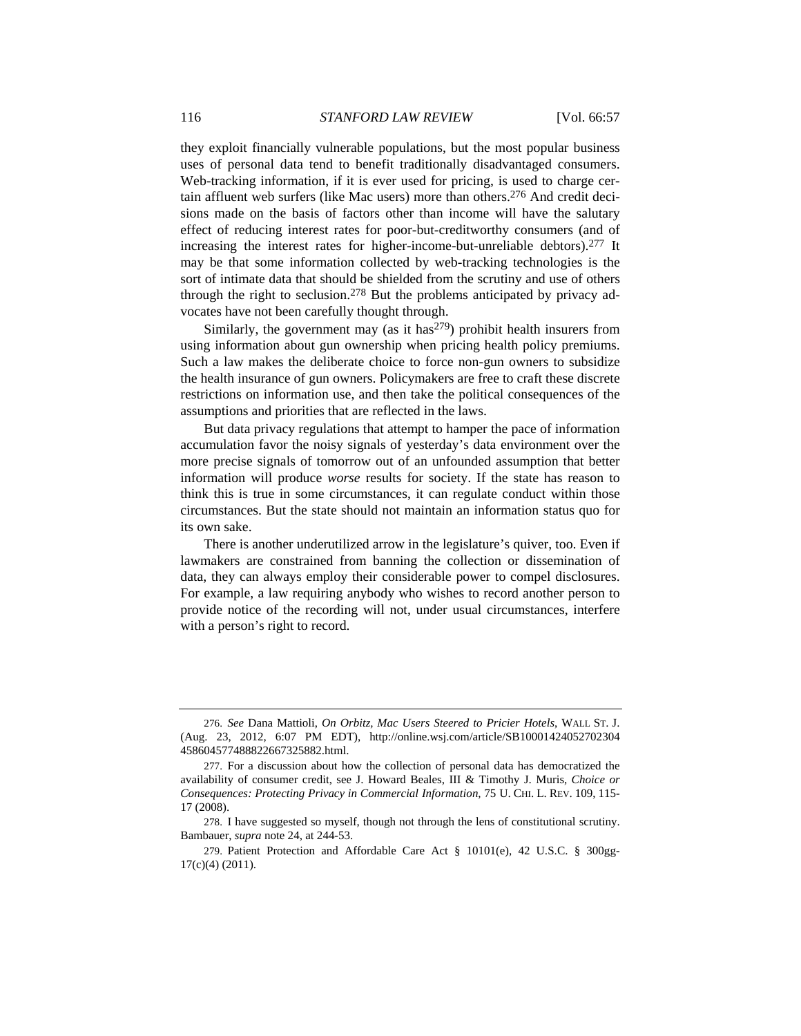they exploit financially vulnerable populations, but the most popular business uses of personal data tend to benefit traditionally disadvantaged consumers. Web-tracking information, if it is ever used for pricing, is used to charge certain affluent web surfers (like Mac users) more than others.276 And credit decisions made on the basis of factors other than income will have the salutary effect of reducing interest rates for poor-but-creditworthy consumers (and of increasing the interest rates for higher-income-but-unreliable debtors).277 It may be that some information collected by web-tracking technologies is the sort of intimate data that should be shielded from the scrutiny and use of others through the right to seclusion.278 But the problems anticipated by privacy advocates have not been carefully thought through.

Similarly, the government may (as it has  $279$ ) prohibit health insurers from using information about gun ownership when pricing health policy premiums. Such a law makes the deliberate choice to force non-gun owners to subsidize the health insurance of gun owners. Policymakers are free to craft these discrete restrictions on information use, and then take the political consequences of the assumptions and priorities that are reflected in the laws.

But data privacy regulations that attempt to hamper the pace of information accumulation favor the noisy signals of yesterday's data environment over the more precise signals of tomorrow out of an unfounded assumption that better information will produce *worse* results for society. If the state has reason to think this is true in some circumstances, it can regulate conduct within those circumstances. But the state should not maintain an information status quo for its own sake.

There is another underutilized arrow in the legislature's quiver, too. Even if lawmakers are constrained from banning the collection or dissemination of data, they can always employ their considerable power to compel disclosures. For example, a law requiring anybody who wishes to record another person to provide notice of the recording will not, under usual circumstances, interfere with a person's right to record.

<sup>276.</sup> *See* Dana Mattioli, *On Orbitz, Mac Users Steered to Pricier Hotels*, WALL ST. J. (Aug. 23, 2012, 6:07 PM EDT), http://online.wsj.com/article/SB10001424052702304 458604577488822667325882.html.

<sup>277.</sup> For a discussion about how the collection of personal data has democratized the availability of consumer credit, see J. Howard Beales, III & Timothy J. Muris, *Choice or Consequences: Protecting Privacy in Commercial Information*, 75 U. CHI. L. REV. 109, 115- 17 (2008).

<sup>278.</sup> I have suggested so myself, though not through the lens of constitutional scrutiny. Bambauer, *supra* note 24, at 244-53.

<sup>279.</sup> Patient Protection and Affordable Care Act § 10101(e), 42 U.S.C. § 300gg-17(c)(4) (2011).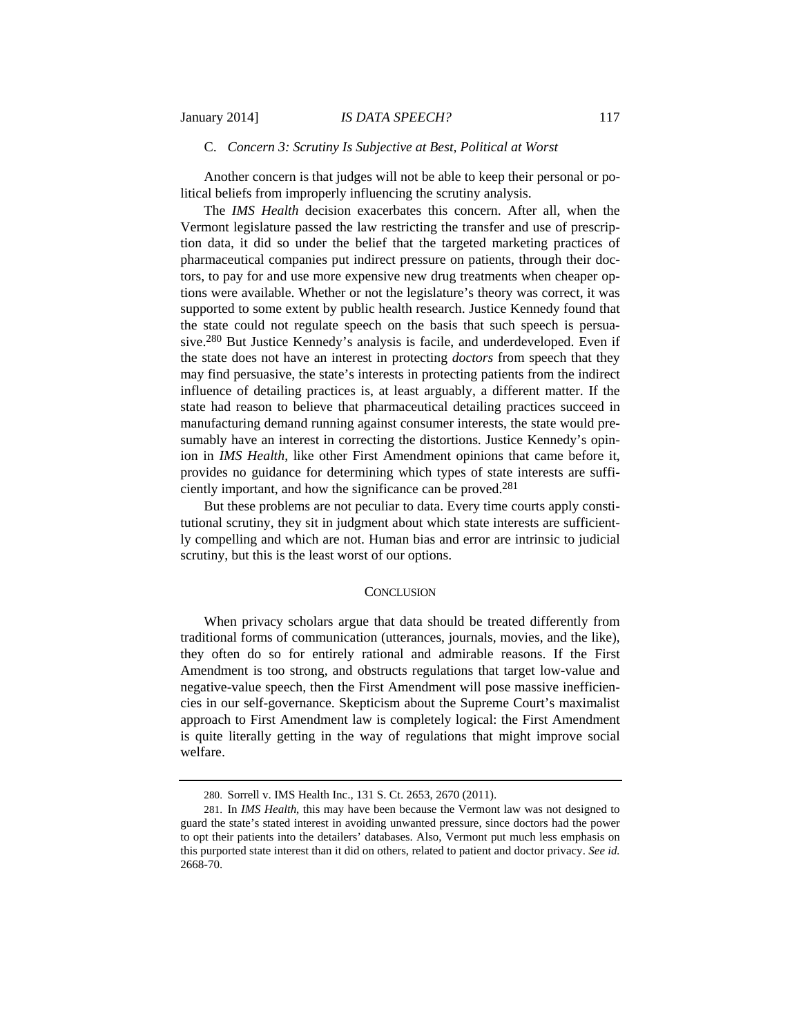#### C. *Concern 3: Scrutiny Is Subjective at Best, Political at Worst*

Another concern is that judges will not be able to keep their personal or political beliefs from improperly influencing the scrutiny analysis.

The *IMS Health* decision exacerbates this concern. After all, when the Vermont legislature passed the law restricting the transfer and use of prescription data, it did so under the belief that the targeted marketing practices of pharmaceutical companies put indirect pressure on patients, through their doctors, to pay for and use more expensive new drug treatments when cheaper options were available. Whether or not the legislature's theory was correct, it was supported to some extent by public health research. Justice Kennedy found that the state could not regulate speech on the basis that such speech is persuasive.280 But Justice Kennedy's analysis is facile, and underdeveloped. Even if the state does not have an interest in protecting *doctors* from speech that they may find persuasive, the state's interests in protecting patients from the indirect influence of detailing practices is, at least arguably, a different matter. If the state had reason to believe that pharmaceutical detailing practices succeed in manufacturing demand running against consumer interests, the state would presumably have an interest in correcting the distortions. Justice Kennedy's opinion in *IMS Health*, like other First Amendment opinions that came before it, provides no guidance for determining which types of state interests are sufficiently important, and how the significance can be proved.281

But these problems are not peculiar to data. Every time courts apply constitutional scrutiny, they sit in judgment about which state interests are sufficiently compelling and which are not. Human bias and error are intrinsic to judicial scrutiny, but this is the least worst of our options.

# **CONCLUSION**

When privacy scholars argue that data should be treated differently from traditional forms of communication (utterances, journals, movies, and the like), they often do so for entirely rational and admirable reasons. If the First Amendment is too strong, and obstructs regulations that target low-value and negative-value speech, then the First Amendment will pose massive inefficiencies in our self-governance. Skepticism about the Supreme Court's maximalist approach to First Amendment law is completely logical: the First Amendment is quite literally getting in the way of regulations that might improve social welfare.

<sup>280.</sup> Sorrell v. IMS Health Inc., 131 S. Ct. 2653, 2670 (2011).

<sup>281.</sup> In *IMS Health*, this may have been because the Vermont law was not designed to guard the state's stated interest in avoiding unwanted pressure, since doctors had the power to opt their patients into the detailers' databases. Also, Vermont put much less emphasis on this purported state interest than it did on others, related to patient and doctor privacy. *See id.*  2668-70.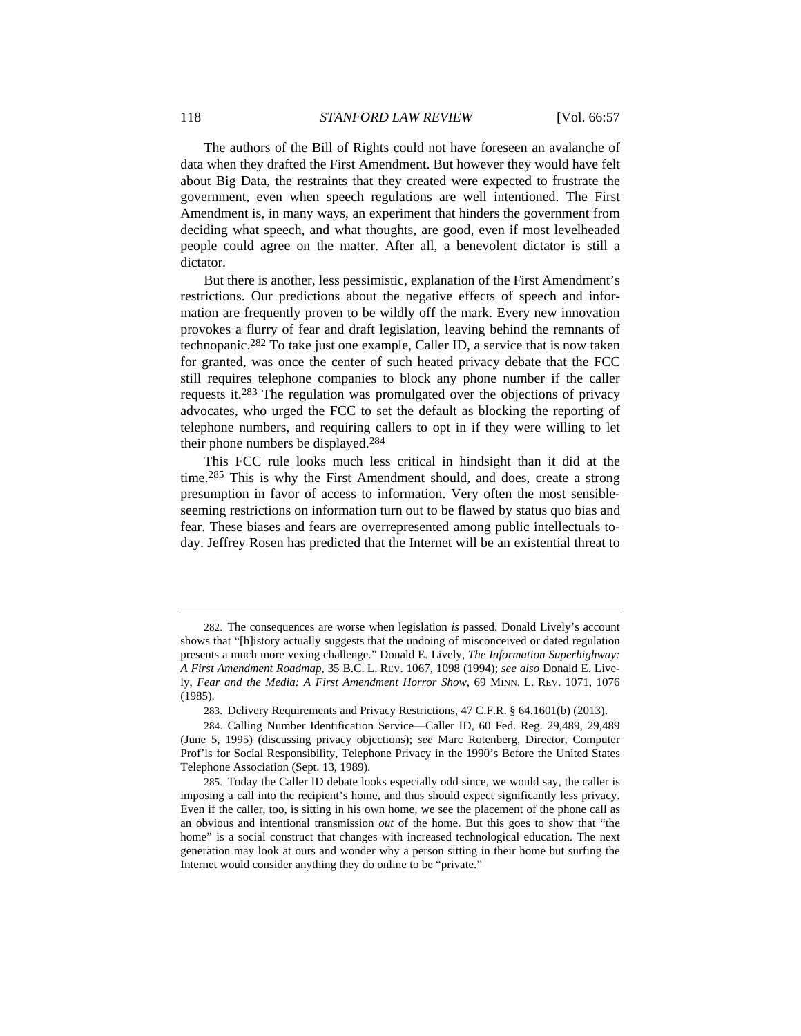The authors of the Bill of Rights could not have foreseen an avalanche of data when they drafted the First Amendment. But however they would have felt about Big Data, the restraints that they created were expected to frustrate the government, even when speech regulations are well intentioned. The First Amendment is, in many ways, an experiment that hinders the government from deciding what speech, and what thoughts, are good, even if most levelheaded people could agree on the matter. After all, a benevolent dictator is still a dictator.

But there is another, less pessimistic, explanation of the First Amendment's restrictions. Our predictions about the negative effects of speech and information are frequently proven to be wildly off the mark. Every new innovation provokes a flurry of fear and draft legislation, leaving behind the remnants of technopanic.282 To take just one example, Caller ID, a service that is now taken for granted, was once the center of such heated privacy debate that the FCC still requires telephone companies to block any phone number if the caller requests it.283 The regulation was promulgated over the objections of privacy advocates, who urged the FCC to set the default as blocking the reporting of telephone numbers, and requiring callers to opt in if they were willing to let their phone numbers be displayed.284

This FCC rule looks much less critical in hindsight than it did at the time.285 This is why the First Amendment should, and does, create a strong presumption in favor of access to information. Very often the most sensibleseeming restrictions on information turn out to be flawed by status quo bias and fear. These biases and fears are overrepresented among public intellectuals today. Jeffrey Rosen has predicted that the Internet will be an existential threat to

<sup>282.</sup> The consequences are worse when legislation *is* passed. Donald Lively's account shows that "[h]istory actually suggests that the undoing of misconceived or dated regulation presents a much more vexing challenge." Donald E. Lively, *The Information Superhighway: A First Amendment Roadmap*, 35 B.C. L. REV. 1067, 1098 (1994); *see also* Donald E. Lively, *Fear and the Media: A First Amendment Horror Show*, 69 MINN. L. REV. 1071, 1076 (1985).

<sup>283.</sup> Delivery Requirements and Privacy Restrictions, 47 C.F.R. § 64.1601(b) (2013).

<sup>284.</sup> Calling Number Identification Service—Caller ID, 60 Fed. Reg. 29,489, 29,489 (June 5, 1995) (discussing privacy objections); *see* Marc Rotenberg, Director, Computer Prof'ls for Social Responsibility, Telephone Privacy in the 1990's Before the United States Telephone Association (Sept. 13, 1989).

<sup>285.</sup> Today the Caller ID debate looks especially odd since, we would say, the caller is imposing a call into the recipient's home, and thus should expect significantly less privacy. Even if the caller, too, is sitting in his own home, we see the placement of the phone call as an obvious and intentional transmission *out* of the home. But this goes to show that "the home" is a social construct that changes with increased technological education. The next generation may look at ours and wonder why a person sitting in their home but surfing the Internet would consider anything they do online to be "private."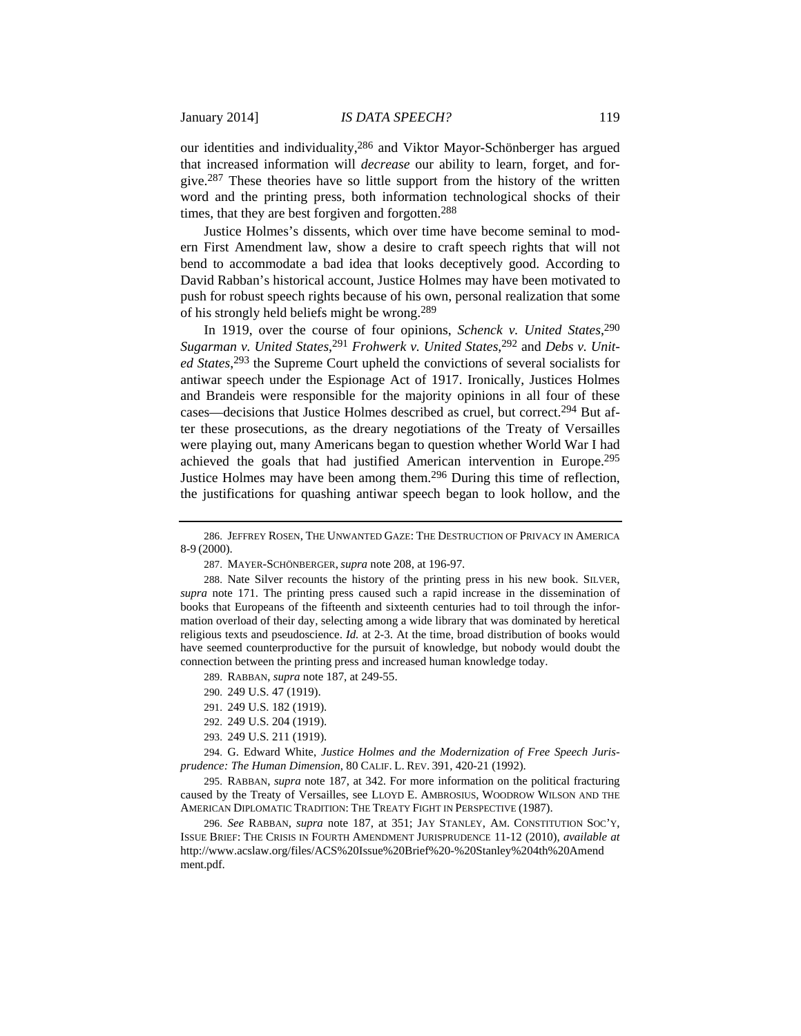our identities and individuality,286 and Viktor Mayor-Schönberger has argued that increased information will *decrease* our ability to learn, forget, and forgive.287 These theories have so little support from the history of the written word and the printing press, both information technological shocks of their times, that they are best forgiven and forgotten.<sup>288</sup>

Justice Holmes's dissents, which over time have become seminal to modern First Amendment law, show a desire to craft speech rights that will not bend to accommodate a bad idea that looks deceptively good. According to David Rabban's historical account, Justice Holmes may have been motivated to push for robust speech rights because of his own, personal realization that some of his strongly held beliefs might be wrong.289

In 1919, over the course of four opinions, *Schenck v. United States*, 290 Sugarman v. United States,<sup>291</sup> Frohwerk v. United States,<sup>292</sup> and Debs v. Unit*ed States*, 293 the Supreme Court upheld the convictions of several socialists for antiwar speech under the Espionage Act of 1917. Ironically, Justices Holmes and Brandeis were responsible for the majority opinions in all four of these cases—decisions that Justice Holmes described as cruel, but correct.294 But after these prosecutions, as the dreary negotiations of the Treaty of Versailles were playing out, many Americans began to question whether World War I had achieved the goals that had justified American intervention in Europe.295 Justice Holmes may have been among them.296 During this time of reflection, the justifications for quashing antiwar speech began to look hollow, and the

288. Nate Silver recounts the history of the printing press in his new book. SILVER, *supra* note 171. The printing press caused such a rapid increase in the dissemination of books that Europeans of the fifteenth and sixteenth centuries had to toil through the information overload of their day, selecting among a wide library that was dominated by heretical religious texts and pseudoscience. *Id.* at 2-3. At the time, broad distribution of books would have seemed counterproductive for the pursuit of knowledge, but nobody would doubt the connection between the printing press and increased human knowledge today.

289. RABBAN, *supra* note 187, at 249-55.

- 290. 249 U.S. 47 (1919).
- 291. 249 U.S. 182 (1919).
- 292. 249 U.S. 204 (1919).
- 293. 249 U.S. 211 (1919).

294. G. Edward White, *Justice Holmes and the Modernization of Free Speech Jurisprudence: The Human Dimension*, 80 CALIF. L. REV. 391, 420-21 (1992).

295. RABBAN, *supra* note 187, at 342. For more information on the political fracturing caused by the Treaty of Versailles, see LLOYD E. AMBROSIUS, WOODROW WILSON AND THE AMERICAN DIPLOMATIC TRADITION: THE TREATY FIGHT IN PERSPECTIVE (1987).

296. *See* RABBAN, *supra* note 187, at 351; JAY STANLEY, AM. CONSTITUTION SOC'Y, ISSUE BRIEF: THE CRISIS IN FOURTH AMENDMENT JURISPRUDENCE 11-12 (2010), *available at*  http://www.acslaw.org/files/ACS%20Issue%20Brief%20-%20Stanley%204th%20Amend ment.pdf.

<sup>286.</sup> JEFFREY ROSEN, THE UNWANTED GAZE: THE DESTRUCTION OF PRIVACY IN AMERICA 8-9 (2000).

<sup>287.</sup> MAYER-SCHÖNBERGER, *supra* note 208, at 196-97.